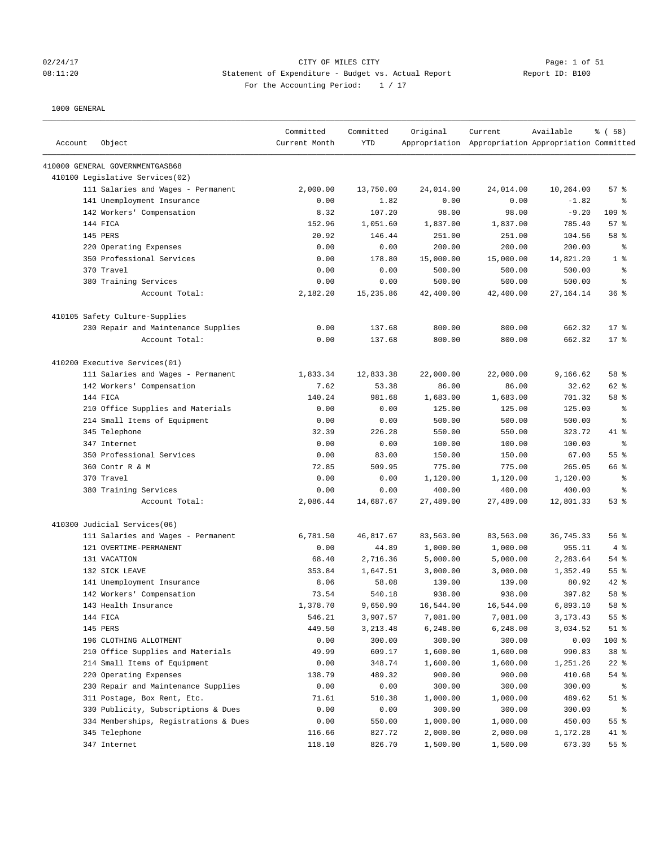# 02/24/17 Page: 1 of 51 08:11:20 Statement of Expenditure - Budget vs. Actual Report Report ID: B100 For the Accounting Period:  $1 / 17$

| Account | Object                                                 | Committed<br>Current Month | Committed<br><b>YTD</b> | Original             | Current<br>Appropriation Appropriation Appropriation Committed | Available          | 8 ( 58 )        |
|---------|--------------------------------------------------------|----------------------------|-------------------------|----------------------|----------------------------------------------------------------|--------------------|-----------------|
|         | 410000 GENERAL GOVERNMENTGASB68                        |                            |                         |                      |                                                                |                    |                 |
|         | 410100 Legislative Services(02)                        |                            |                         |                      |                                                                |                    |                 |
|         | 111 Salaries and Wages - Permanent                     | 2,000.00                   | 13,750.00               | 24,014.00            | 24,014.00                                                      | 10,264.00          | 57%             |
|         | 141 Unemployment Insurance                             | 0.00                       | 1.82                    | 0.00                 | 0.00                                                           | $-1.82$            | ి               |
|         | 142 Workers' Compensation                              | 8.32                       | 107.20                  | 98.00                | 98.00                                                          | $-9.20$            | 109 %           |
|         | 144 FICA                                               | 152.96                     | 1,051.60                | 1,837.00             | 1,837.00                                                       | 785.40             | 57%             |
|         | <b>145 PERS</b>                                        | 20.92                      | 146.44                  | 251.00               | 251.00                                                         | 104.56             | 58 %            |
|         | 220 Operating Expenses                                 | 0.00                       | 0.00                    | 200.00               | 200.00                                                         | 200.00             | ႜ               |
|         | 350 Professional Services                              | 0.00                       | 178.80                  | 15,000.00            | 15,000.00                                                      | 14,821.20          | 1 <sup>8</sup>  |
|         | 370 Travel                                             | 0.00                       | 0.00                    | 500.00               | 500.00                                                         | 500.00             | $\epsilon$      |
|         | 380 Training Services                                  | 0.00                       | 0.00                    | 500.00               | 500.00                                                         | 500.00             | နွ              |
|         | Account Total:                                         | 2,182.20                   | 15,235.86               | 42,400.00            | 42,400.00                                                      | 27,164.14          | 36%             |
|         | 410105 Safety Culture-Supplies                         |                            |                         |                      |                                                                |                    |                 |
|         | 230 Repair and Maintenance Supplies                    | 0.00                       | 137.68                  | 800.00               | 800.00                                                         | 662.32             | 17 <sub>8</sub> |
|         | Account Total:                                         | 0.00                       | 137.68                  | 800.00               | 800.00                                                         | 662.32             | $17*$           |
|         | 410200 Executive Services(01)                          |                            |                         |                      |                                                                |                    |                 |
|         | 111 Salaries and Wages - Permanent                     | 1,833.34                   | 12,833.38               | 22,000.00            | 22,000.00                                                      | 9,166.62           | 58 %            |
|         | 142 Workers' Compensation                              | 7.62                       | 53.38                   | 86.00                | 86.00                                                          | 32.62              | 62 %            |
|         | 144 FICA                                               | 140.24                     | 981.68                  | 1,683.00             | 1,683.00                                                       | 701.32             | 58 %            |
|         | 210 Office Supplies and Materials                      | 0.00                       | 0.00                    | 125.00               | 125.00                                                         | 125.00             | နွ              |
|         | 214 Small Items of Equipment                           | 0.00                       | 0.00                    | 500.00               | 500.00                                                         | 500.00             | နွ              |
|         | 345 Telephone                                          | 32.39                      | 226.28                  | 550.00               | 550.00                                                         | 323.72             | 41 %            |
|         | 347 Internet                                           | 0.00                       | 0.00                    | 100.00               | 100.00                                                         | 100.00             | နွ              |
|         | 350 Professional Services                              | 0.00                       | 83.00                   | 150.00               | 150.00                                                         | 67.00              | 55 %            |
|         | 360 Contr R & M                                        | 72.85                      | 509.95                  | 775.00               | 775.00                                                         | 265.05             | 66 %            |
|         | 370 Travel                                             | 0.00                       | 0.00                    | 1,120.00             | 1,120.00                                                       | 1,120.00           | နွ              |
|         | 380 Training Services                                  | 0.00                       | 0.00                    | 400.00               | 400.00                                                         | 400.00             | နွ              |
|         | Account Total:                                         | 2,086.44                   | 14,687.67               | 27,489.00            | 27,489.00                                                      | 12,801.33          | 53%             |
|         | 410300 Judicial Services(06)                           |                            |                         |                      |                                                                |                    |                 |
|         | 111 Salaries and Wages - Permanent                     | 6,781.50                   | 46,817.67               | 83,563.00            | 83,563.00                                                      | 36,745.33          | 56%             |
|         | 121 OVERTIME-PERMANENT                                 | 0.00                       | 44.89                   | 1,000.00             | 1,000.00                                                       | 955.11             | 4%              |
|         | 131 VACATION                                           | 68.40                      | 2,716.36                | 5,000.00             | 5,000.00                                                       | 2,283.64           | $54$ %          |
|         | 132 SICK LEAVE                                         | 353.84                     | 1,647.51                | 3,000.00             | 3,000.00                                                       | 1,352.49           | 55 %            |
|         | 141 Unemployment Insurance                             | 8.06                       | 58.08                   | 139.00               | 139.00                                                         | 80.92              | $42$ %          |
|         | 142 Workers' Compensation                              | 73.54                      | 540.18                  | 938.00               | 938.00                                                         | 397.82             | 58 %            |
|         | 143 Health Insurance                                   | 1,378.70                   | 9,650.90                | 16,544.00            | 16,544.00                                                      | 6,893.10           | 58 %            |
|         | 144 FICA                                               | 546.21                     | 3,907.57                | 7,081.00             | 7,081.00                                                       | 3, 173. 43         | 55%             |
|         | 145 PERS                                               | 449.50                     | 3,213.48                | 6,248.00             | 6,248.00                                                       | 3,034.52           | $51$ %          |
|         | 196 CLOTHING ALLOTMENT                                 | 0.00                       | 300.00                  | 300.00               | 300.00                                                         | 0.00               | 100 %           |
|         | 210 Office Supplies and Materials                      | 49.99                      | 609.17                  | 1,600.00             | 1,600.00                                                       | 990.83             | 38 <sup>8</sup> |
|         | 214 Small Items of Equipment                           | 0.00                       | 348.74                  | 1,600.00             | 1,600.00                                                       | 1,251.26           | $22$ %          |
|         | 220 Operating Expenses                                 | 138.79                     | 489.32                  | 900.00               | 900.00                                                         | 410.68             | 54 %            |
|         | 230 Repair and Maintenance Supplies                    | 0.00                       | 0.00                    | 300.00               | 300.00                                                         | 300.00             | ႜ               |
|         | 311 Postage, Box Rent, Etc.                            | 71.61                      | 510.38                  | 1,000.00             | 1,000.00                                                       | 489.62             | $51$ %          |
|         | 330 Publicity, Subscriptions & Dues                    | 0.00                       | 0.00                    | 300.00               | 300.00                                                         | 300.00             | နွ              |
|         | 334 Memberships, Registrations & Dues<br>345 Telephone | 0.00                       | 550.00<br>827.72        | 1,000.00<br>2,000.00 | 1,000.00                                                       | 450.00<br>1,172.28 | 55%<br>41 %     |
|         | 347 Internet                                           | 116.66<br>118.10           | 826.70                  | 1,500.00             | 2,000.00<br>1,500.00                                           |                    | $55$ %          |
|         |                                                        |                            |                         |                      |                                                                | 673.30             |                 |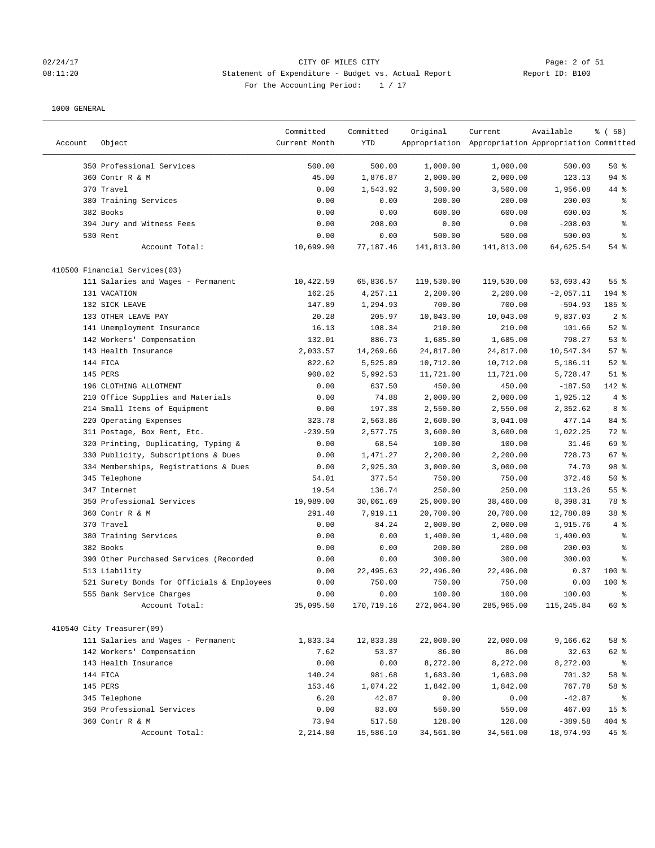### 02/24/17 CITY OF MILES CITY Page: 2 of 51 08:11:20 Statement of Expenditure - Budget vs. Actual Report Report ID: B100 For the Accounting Period:  $1 / 17$

|         |                                            | Committed     | Committed  | Original   | Current                                             | Available   | % ( 58 )        |
|---------|--------------------------------------------|---------------|------------|------------|-----------------------------------------------------|-------------|-----------------|
| Account | Object                                     | Current Month | YTD        |            | Appropriation Appropriation Appropriation Committed |             |                 |
|         | 350 Professional Services                  | 500.00        | 500.00     | 1,000.00   | 1,000.00                                            | 500.00      | 50%             |
|         | 360 Contr R & M                            | 45.00         | 1,876.87   | 2,000.00   | 2,000.00                                            | 123.13      | 94 %            |
|         | 370 Travel                                 | 0.00          | 1,543.92   | 3,500.00   | 3,500.00                                            | 1,956.08    | 44 %            |
|         | 380 Training Services                      | 0.00          | 0.00       | 200.00     | 200.00                                              | 200.00      | ್ಠಿ             |
|         | 382 Books                                  | 0.00          | 0.00       | 600.00     | 600.00                                              | 600.00      | ి               |
|         | 394 Jury and Witness Fees                  | 0.00          | 208.00     | 0.00       | 0.00                                                | $-208.00$   | る               |
|         | 530 Rent                                   | 0.00          | 0.00       | 500.00     | 500.00                                              | 500.00      | နွ              |
|         | Account Total:                             | 10,699.90     | 77,187.46  | 141,813.00 | 141,813.00                                          | 64,625.54   | 54 %            |
|         |                                            |               |            |            |                                                     |             |                 |
|         | 410500 Financial Services(03)              |               |            |            |                                                     |             |                 |
|         | 111 Salaries and Wages - Permanent         | 10,422.59     | 65,836.57  | 119,530.00 | 119,530.00                                          | 53,693.43   | 55 %            |
|         | 131 VACATION                               | 162.25        | 4,257.11   | 2,200.00   | 2,200.00                                            | $-2,057.11$ | 194 %           |
|         | 132 SICK LEAVE                             | 147.89        | 1,294.93   | 700.00     | 700.00                                              | $-594.93$   | 185 %           |
|         | 133 OTHER LEAVE PAY                        | 20.28         | 205.97     | 10,043.00  | 10,043.00                                           | 9,837.03    | 2 <sup>8</sup>  |
|         | 141 Unemployment Insurance                 | 16.13         | 108.34     | 210.00     | 210.00                                              | 101.66      | 52%             |
|         | 142 Workers' Compensation                  | 132.01        | 886.73     | 1,685.00   | 1,685.00                                            | 798.27      | 53%             |
|         | 143 Health Insurance                       | 2,033.57      | 14,269.66  | 24,817.00  | 24,817.00                                           | 10,547.34   | 57%             |
|         | 144 FICA                                   | 822.62        | 5,525.89   | 10,712.00  | 10,712.00                                           | 5,186.11    | $52$ $%$        |
|         | 145 PERS                                   | 900.02        | 5,992.53   | 11,721.00  | 11,721.00                                           | 5,728.47    | $51$ %          |
|         | 196 CLOTHING ALLOTMENT                     | 0.00          | 637.50     | 450.00     | 450.00                                              | $-187.50$   | 142 %           |
|         | 210 Office Supplies and Materials          | 0.00          | 74.88      | 2,000.00   | 2,000.00                                            | 1,925.12    | 4%              |
|         | 214 Small Items of Equipment               | 0.00          | 197.38     | 2,550.00   | 2,550.00                                            | 2,352.62    | 8 %             |
|         | 220 Operating Expenses                     | 323.78        | 2,563.86   | 2,600.00   | 3,041.00                                            | 477.14      | 84 %            |
|         | 311 Postage, Box Rent, Etc.                | $-239.59$     | 2,577.75   | 3,600.00   | 3,600.00                                            | 1,022.25    | 72 %            |
|         | 320 Printing, Duplicating, Typing &        | 0.00          | 68.54      | 100.00     | 100.00                                              | 31.46       | 69 %            |
|         | 330 Publicity, Subscriptions & Dues        | 0.00          | 1,471.27   | 2,200.00   | 2,200.00                                            | 728.73      | 67 %            |
|         | 334 Memberships, Registrations & Dues      | 0.00          | 2,925.30   | 3,000.00   | 3,000.00                                            | 74.70       | 98 %            |
|         | 345 Telephone                              | 54.01         | 377.54     | 750.00     | 750.00                                              | 372.46      | 50%             |
|         | 347 Internet                               | 19.54         | 136.74     | 250.00     | 250.00                                              | 113.26      | 55%             |
|         | 350 Professional Services                  | 19,989.00     | 30,061.69  | 25,000.00  | 38,460.00                                           | 8,398.31    | 78 %            |
|         | 360 Contr R & M                            | 291.40        | 7,919.11   | 20,700.00  | 20,700.00                                           | 12,780.89   | 38 %            |
|         | 370 Travel                                 | 0.00          | 84.24      | 2,000.00   | 2,000.00                                            | 1,915.76    | 4%              |
|         | 380 Training Services                      | 0.00          | 0.00       | 1,400.00   | 1,400.00                                            | 1,400.00    | နွ              |
|         | 382 Books                                  | 0.00          | 0.00       | 200.00     | 200.00                                              | 200.00      | る               |
|         | 390 Other Purchased Services (Recorded     | 0.00          | 0.00       | 300.00     | 300.00                                              | 300.00      | る               |
|         | 513 Liability                              | 0.00          | 22,495.63  | 22,496.00  | 22,496.00                                           | 0.37        | $100*$          |
|         | 521 Surety Bonds for Officials & Employees | 0.00          | 750.00     | 750.00     | 750.00                                              | 0.00        | $100*$          |
|         | 555 Bank Service Charges                   | 0.00          | 0.00       | 100.00     | 100.00                                              | 100.00      | ま               |
|         | Account Total:                             | 35,095.50     | 170,719.16 | 272,064.00 | 285,965.00                                          | 115,245.84  | 60 %            |
|         | 410540 City Treasurer(09)                  |               |            |            |                                                     |             |                 |
|         | 111 Salaries and Wages - Permanent         | 1,833.34      | 12,833.38  | 22,000.00  | 22,000.00                                           | 9,166.62    | 58 %            |
|         | 142 Workers' Compensation                  | 7.62          | 53.37      | 86.00      | 86.00                                               | 32.63       | 62 %            |
|         | 143 Health Insurance                       | 0.00          | 0.00       | 8,272.00   | 8,272.00                                            | 8,272.00    | ႜ               |
|         | 144 FICA                                   | 140.24        | 981.68     | 1,683.00   | 1,683.00                                            | 701.32      | 58 %            |
|         | 145 PERS                                   | 153.46        | 1,074.22   | 1,842.00   | 1,842.00                                            | 767.78      | 58 %            |
|         | 345 Telephone                              | 6.20          | 42.87      | 0.00       | 0.00                                                | $-42.87$    | ိ               |
|         | 350 Professional Services                  | 0.00          | 83.00      | 550.00     | 550.00                                              | 467.00      | 15 <sup>°</sup> |
|         | 360 Contr R & M                            | 73.94         | 517.58     | 128.00     | 128.00                                              | $-389.58$   | 404 %           |
|         | Account Total:                             | 2,214.80      | 15,586.10  | 34,561.00  | 34,561.00                                           | 18,974.90   | 45 %            |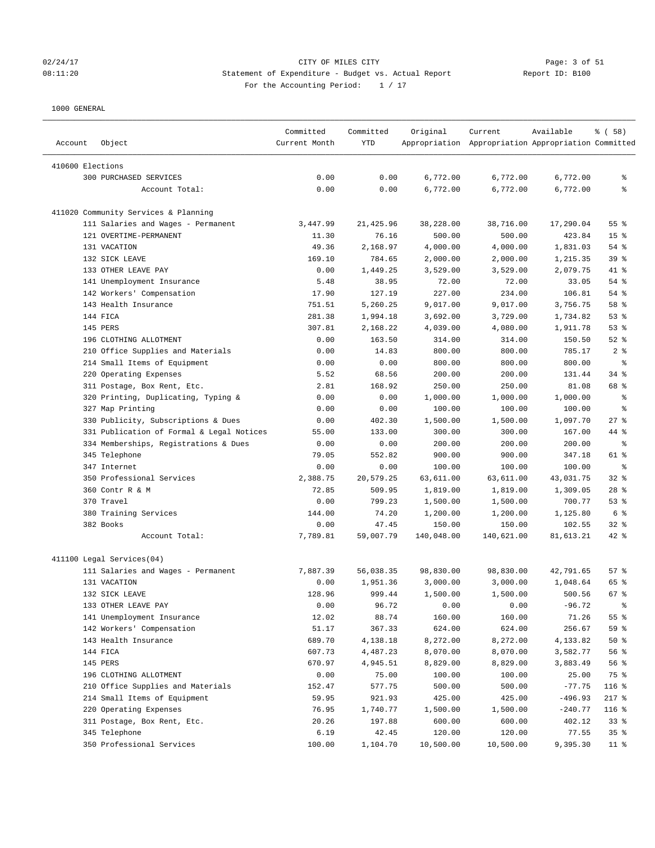### 02/24/17 CITY OF MILES CITY Page: 3 of 51 08:11:20 Statement of Expenditure - Budget vs. Actual Report Report ID: B100 For the Accounting Period:  $1 / 17$

| Account          | Object                                                       | Committed<br>Current Month | Committed<br>YTD   | Original             | Current<br>Appropriation Appropriation Appropriation Committed | Available            | % ( 58 )        |
|------------------|--------------------------------------------------------------|----------------------------|--------------------|----------------------|----------------------------------------------------------------|----------------------|-----------------|
| 410600 Elections |                                                              |                            |                    |                      |                                                                |                      |                 |
|                  | 300 PURCHASED SERVICES                                       | 0.00                       | 0.00               | 6,772.00             | 6,772.00                                                       | 6,772.00             | ႜ               |
|                  | Account Total:                                               | 0.00                       | 0.00               | 6,772.00             | 6,772.00                                                       | 6,772.00             | ి               |
|                  |                                                              |                            |                    |                      |                                                                |                      |                 |
|                  | 411020 Community Services & Planning                         |                            |                    |                      |                                                                |                      |                 |
|                  | 111 Salaries and Wages - Permanent<br>121 OVERTIME-PERMANENT | 3,447.99                   | 21,425.96          | 38,228.00            | 38,716.00                                                      | 17,290.04            | 55 %            |
|                  |                                                              | 11.30                      | 76.16              | 500.00               | 500.00                                                         | 423.84               | 15 <sup>°</sup> |
|                  | 131 VACATION                                                 | 49.36                      | 2,168.97           | 4,000.00             | 4,000.00                                                       | 1,831.03             | 54 %            |
|                  | 132 SICK LEAVE<br>133 OTHER LEAVE PAY                        | 169.10<br>0.00             | 784.65<br>1,449.25 | 2,000.00<br>3,529.00 | 2,000.00<br>3,529.00                                           | 1,215.35<br>2,079.75 | 39 %<br>41 %    |
|                  |                                                              |                            | 38.95              |                      |                                                                |                      | 54 %            |
|                  | 141 Unemployment Insurance                                   | 5.48                       |                    | 72.00                | 72.00                                                          | 33.05                |                 |
|                  | 142 Workers' Compensation                                    | 17.90                      | 127.19             | 227.00               | 234.00                                                         | 106.81               | 54 %            |
|                  | 143 Health Insurance                                         | 751.51                     | 5,260.25           | 9,017.00             | 9,017.00                                                       | 3,756.75             | 58 %            |
|                  | 144 FICA                                                     | 281.38                     | 1,994.18           | 3,692.00             | 3,729.00                                                       | 1,734.82             | 53%             |
|                  | 145 PERS                                                     | 307.81                     | 2,168.22           | 4,039.00             | 4,080.00                                                       | 1,911.78             | 53%             |
|                  | 196 CLOTHING ALLOTMENT                                       | 0.00                       | 163.50             | 314.00               | 314.00                                                         | 150.50               | $52$ $%$        |
|                  | 210 Office Supplies and Materials                            | 0.00                       | 14.83              | 800.00               | 800.00                                                         | 785.17               | 2 <sup>8</sup>  |
|                  | 214 Small Items of Equipment                                 | 0.00                       | 0.00               | 800.00               | 800.00                                                         | 800.00               | နွ              |
|                  | 220 Operating Expenses                                       | 5.52                       | 68.56              | 200.00               | 200.00                                                         | 131.44               | 34%             |
|                  | 311 Postage, Box Rent, Etc.                                  | 2.81                       | 168.92             | 250.00               | 250.00                                                         | 81.08                | 68 %            |
|                  | 320 Printing, Duplicating, Typing &                          | 0.00                       | 0.00               | 1,000.00             | 1,000.00                                                       | 1,000.00             | နွ              |
|                  | 327 Map Printing                                             | 0.00                       | 0.00               | 100.00               | 100.00                                                         | 100.00               | နွ              |
|                  | 330 Publicity, Subscriptions & Dues                          | 0.00                       | 402.30             | 1,500.00             | 1,500.00                                                       | 1,097.70             | $27$ %          |
|                  | 331 Publication of Formal & Legal Notices                    | 55.00                      | 133.00             | 300.00               | 300.00                                                         | 167.00               | 44 %            |
|                  | 334 Memberships, Registrations & Dues                        | 0.00                       | 0.00               | 200.00               | 200.00                                                         | 200.00               | $\epsilon$      |
|                  | 345 Telephone                                                | 79.05                      | 552.82             | 900.00               | 900.00                                                         | 347.18               | 61 %            |
|                  | 347 Internet                                                 | 0.00                       | 0.00               | 100.00               | 100.00                                                         | 100.00               | ႜ               |
|                  | 350 Professional Services                                    | 2,388.75                   | 20,579.25          | 63,611.00            | 63,611.00                                                      | 43,031.75            | $32$ $%$        |
|                  | 360 Contr R & M                                              | 72.85                      | 509.95             | 1,819.00             | 1,819.00                                                       | 1,309.05             | $28$ %          |
|                  | 370 Travel                                                   | 0.00                       | 799.23             | 1,500.00             | 1,500.00                                                       | 700.77               | 53%             |
|                  | 380 Training Services                                        | 144.00                     | 74.20              | 1,200.00             | 1,200.00                                                       | 1,125.80             | 6 <sup>°</sup>  |
|                  | 382 Books                                                    | 0.00                       | 47.45              | 150.00               | 150.00                                                         | 102.55               | $32$ $%$        |
|                  | Account Total:                                               | 7,789.81                   | 59,007.79          | 140,048.00           | 140,621.00                                                     | 81,613.21            | 42 %            |
|                  | 411100 Legal Services(04)                                    |                            |                    |                      |                                                                |                      |                 |
|                  | 111 Salaries and Wages - Permanent                           | 7,887.39                   | 56,038.35          | 98,830.00            | 98,830.00                                                      | 42,791.65            | 57%             |
|                  | 131 VACATION                                                 | 0.00                       | 1,951.36           | 3,000.00             | 3,000.00                                                       | 1,048.64             | 65 %            |
|                  | 132 SICK LEAVE                                               | 128.96                     | 999.44             | 1,500.00             | 1,500.00                                                       | 500.56               | 67%             |
|                  | 133 OTHER LEAVE PAY                                          | 0.00                       | 96.72              | 0.00                 | 0.00                                                           | $-96.72$             |                 |
|                  | 141 Unemployment Insurance                                   | 12.02                      | 88.74              | 160.00               | 160.00                                                         | 71.26                | 55 %            |
|                  | 142 Workers' Compensation                                    | 51.17                      | 367.33             | 624.00               | 624.00                                                         | 256.67               | 59 %            |
|                  | 143 Health Insurance                                         | 689.70                     | 4,138.18           | 8,272.00             | 8,272.00                                                       | 4,133.82             | 50%             |
|                  | 144 FICA                                                     | 607.73                     | 4,487.23           | 8,070.00             | 8,070.00                                                       | 3,582.77             | 56 %            |
|                  | 145 PERS                                                     | 670.97                     | 4,945.51           | 8,829.00             | 8,829.00                                                       | 3,883.49             | 56 %            |
|                  | 196 CLOTHING ALLOTMENT                                       | 0.00                       | 75.00              | 100.00               | 100.00                                                         | 25.00                | 75 %            |
|                  | 210 Office Supplies and Materials                            | 152.47                     | 577.75             | 500.00               | 500.00                                                         | $-77.75$             | 116 %           |
|                  | 214 Small Items of Equipment                                 | 59.95                      | 921.93             | 425.00               | 425.00                                                         | $-496.93$            | $217$ %         |
|                  | 220 Operating Expenses                                       | 76.95                      | 1,740.77           | 1,500.00             | 1,500.00                                                       | $-240.77$            | 116 %           |
|                  | 311 Postage, Box Rent, Etc.                                  | 20.26                      | 197.88             | 600.00               | 600.00                                                         | 402.12               | 33%             |
|                  | 345 Telephone                                                | 6.19                       | 42.45              | 120.00               | 120.00                                                         | 77.55                | 35%             |
|                  | 350 Professional Services                                    | 100.00                     | 1,104.70           | 10,500.00            | 10,500.00                                                      | 9,395.30             | $11$ %          |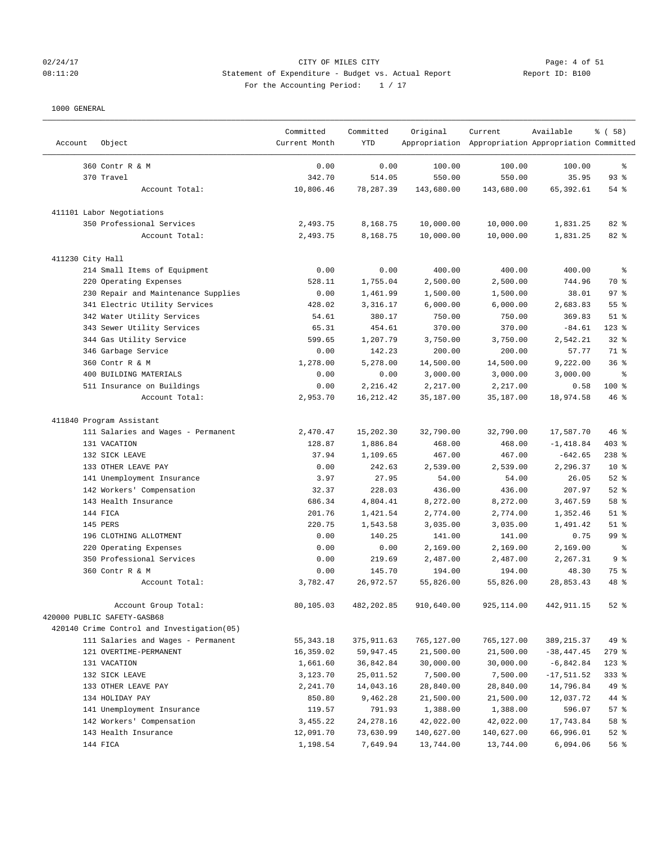# 02/24/17 CITY OF MILES CITY Page: 4 of 51 08:11:20 Statement of Expenditure - Budget vs. Actual Report Report ID: B100 For the Accounting Period:  $1 / 17$

| Object<br>Account                                   | Committed<br>Current Month | Committed<br><b>YTD</b> | Original   | Current<br>Appropriation Appropriation Appropriation Committed | Available     | % (58)          |
|-----------------------------------------------------|----------------------------|-------------------------|------------|----------------------------------------------------------------|---------------|-----------------|
| 360 Contr R & M                                     | 0.00                       | 0.00                    | 100.00     | 100.00                                                         | 100.00        | နွ              |
| 370 Travel                                          | 342.70                     | 514.05                  | 550.00     | 550.00                                                         | 35.95         | 93%             |
| Account Total:                                      | 10,806.46                  | 78,287.39               | 143,680.00 | 143,680.00                                                     | 65, 392.61    | 54 %            |
| 411101 Labor Negotiations                           |                            |                         |            |                                                                |               |                 |
| 350 Professional Services                           | 2,493.75                   | 8,168.75                | 10,000.00  | 10,000.00                                                      | 1,831.25      | 82 %            |
| Account Total:                                      | 2,493.75                   | 8,168.75                | 10,000.00  | 10,000.00                                                      | 1,831.25      | 82 %            |
| 411230 City Hall                                    |                            |                         |            |                                                                |               |                 |
| 214 Small Items of Equipment                        | 0.00                       | 0.00                    | 400.00     | 400.00                                                         | 400.00        | နွ              |
| 220 Operating Expenses                              | 528.11                     | 1,755.04                | 2,500.00   | 2,500.00                                                       | 744.96        | 70 %            |
| 230 Repair and Maintenance Supplies                 | 0.00                       | 1,461.99                | 1,500.00   | 1,500.00                                                       | 38.01         | 97 <sub>8</sub> |
| 341 Electric Utility Services                       | 428.02                     | 3,316.17                | 6,000.00   | 6,000.00                                                       | 2,683.83      | 55 %            |
| 342 Water Utility Services                          | 54.61                      | 380.17                  | 750.00     | 750.00                                                         | 369.83        | $51$ %          |
| 343 Sewer Utility Services                          | 65.31                      | 454.61                  | 370.00     | 370.00                                                         | $-84.61$      | $123$ %         |
| 344 Gas Utility Service                             | 599.65                     | 1,207.79                | 3,750.00   | 3,750.00                                                       | 2,542.21      | 32%             |
| 346 Garbage Service                                 | 0.00                       | 142.23                  | 200.00     | 200.00                                                         | 57.77         | 71 %            |
| 360 Contr R & M                                     | 1,278.00                   | 5,278.00                | 14,500.00  | 14,500.00                                                      | 9,222.00      | 36%             |
| 400 BUILDING MATERIALS                              | 0.00                       | 0.00                    | 3,000.00   | 3,000.00                                                       | 3,000.00      | နွ              |
| 511 Insurance on Buildings                          | 0.00                       | 2,216.42                | 2,217.00   | 2,217.00                                                       | 0.58          | 100 %           |
| Account Total:                                      | 2,953.70                   | 16, 212.42              | 35,187.00  | 35,187.00                                                      | 18,974.58     | 46 %            |
| 411840 Program Assistant                            |                            |                         |            |                                                                |               |                 |
| 111 Salaries and Wages - Permanent                  | 2,470.47                   | 15,202.30               | 32,790.00  | 32,790.00                                                      | 17,587.70     | 46 %            |
| 131 VACATION                                        | 128.87                     | 1,886.84                | 468.00     | 468.00                                                         | $-1,418.84$   | $403$ %         |
| 132 SICK LEAVE                                      | 37.94                      | 1,109.65                | 467.00     | 467.00                                                         | $-642.65$     | $238$ %         |
| 133 OTHER LEAVE PAY                                 | 0.00                       | 242.63                  | 2,539.00   | 2,539.00                                                       | 2,296.37      | $10*$           |
| 141 Unemployment Insurance                          | 3.97                       | 27.95                   | 54.00      | 54.00                                                          | 26.05         | $52$ $%$        |
| 142 Workers' Compensation                           | 32.37                      | 228.03                  | 436.00     | 436.00                                                         | 207.97        | $52$ %          |
| 143 Health Insurance                                | 686.34                     | 4,804.41                | 8,272.00   | 8,272.00                                                       | 3,467.59      | 58 %            |
| 144 FICA                                            | 201.76                     | 1,421.54                | 2,774.00   | 2,774.00                                                       | 1,352.46      | $51$ %          |
| 145 PERS                                            | 220.75                     | 1,543.58                | 3,035.00   | 3,035.00                                                       | 1,491.42      | $51$ %          |
| 196 CLOTHING ALLOTMENT                              | 0.00                       | 140.25                  | 141.00     | 141.00                                                         | 0.75          | 99 %            |
| 220 Operating Expenses                              | 0.00                       | 0.00                    | 2,169.00   | 2,169.00                                                       | 2,169.00      | ి               |
| 350 Professional Services                           | 0.00                       | 219.69                  | 2,487.00   | 2,487.00                                                       | 2,267.31      | 9 <sub>8</sub>  |
| 360 Contr R & M                                     | 0.00                       | 145.70                  | 194.00     | 194.00                                                         | 48.30         | 75 %            |
| Account Total:                                      | 3,782.47                   | 26,972.57               | 55,826.00  | 55,826.00                                                      | 28,853.43     | 48 %            |
| Account Group Total:<br>420000 PUBLIC SAFETY-GASB68 | 80,105.03                  | 482,202.85              | 910,640.00 | 925, 114.00                                                    | 442, 911.15   | $52$ $%$        |
| 420140 Crime Control and Investigation(05)          |                            |                         |            |                                                                |               |                 |
| 111 Salaries and Wages - Permanent                  | 55, 343. 18                | 375,911.63              | 765,127.00 | 765,127.00                                                     | 389, 215.37   | 49 %            |
| 121 OVERTIME-PERMANENT                              | 16,359.02                  | 59,947.45               | 21,500.00  | 21,500.00                                                      | $-38, 447.45$ | $279$ %         |
| 131 VACATION                                        | 1,661.60                   | 36,842.84               | 30,000.00  | 30,000.00                                                      | $-6,842.84$   | $123$ %         |
| 132 SICK LEAVE                                      | 3,123.70                   | 25,011.52               | 7,500.00   | 7,500.00                                                       | $-17,511.52$  | 333 %           |
| 133 OTHER LEAVE PAY                                 | 2,241.70                   | 14,043.16               | 28,840.00  | 28,840.00                                                      | 14,796.84     | 49 %            |
| 134 HOLIDAY PAY                                     | 850.80                     | 9,462.28                | 21,500.00  | 21,500.00                                                      | 12,037.72     | 44 %            |
| 141 Unemployment Insurance                          | 119.57                     | 791.93                  | 1,388.00   | 1,388.00                                                       | 596.07        | 57%             |
| 142 Workers' Compensation                           | 3,455.22                   | 24,278.16               | 42,022.00  | 42,022.00                                                      | 17,743.84     | 58 %            |
| 143 Health Insurance                                | 12,091.70                  | 73,630.99               | 140,627.00 | 140,627.00                                                     | 66,996.01     | $52$ $%$        |
| 144 FICA                                            | 1,198.54                   | 7,649.94                | 13,744.00  | 13,744.00                                                      | 6,094.06      | 56 %            |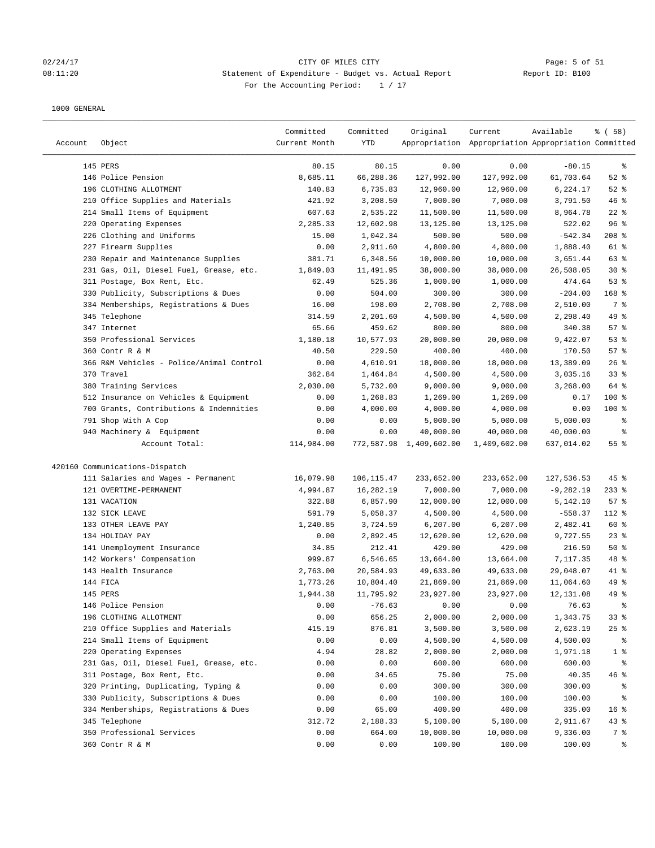# 02/24/17 Page: 5 of 51 08:11:20 Statement of Expenditure - Budget vs. Actual Report Report ID: B100 For the Accounting Period:  $1 / 17$

| Account | Object                                   | Committed<br>Current Month | Committed<br>YTD | Original                | Current<br>Appropriation Appropriation Appropriation Committed | Available   | % ( 58 )        |
|---------|------------------------------------------|----------------------------|------------------|-------------------------|----------------------------------------------------------------|-------------|-----------------|
|         | 145 PERS                                 | 80.15                      | 80.15            | 0.00                    | 0.00                                                           | $-80.15$    | ್ಠಿ             |
|         | 146 Police Pension                       | 8,685.11                   | 66,288.36        | 127,992.00              | 127,992.00                                                     | 61,703.64   | $52$ $%$        |
|         | 196 CLOTHING ALLOTMENT                   | 140.83                     | 6,735.83         | 12,960.00               | 12,960.00                                                      | 6,224.17    | $52$ $%$        |
|         | 210 Office Supplies and Materials        | 421.92                     | 3,208.50         | 7,000.00                | 7,000.00                                                       | 3,791.50    | 46%             |
|         | 214 Small Items of Equipment             | 607.63                     | 2,535.22         | 11,500.00               | 11,500.00                                                      | 8,964.78    | $22$ %          |
|         | 220 Operating Expenses                   | 2,285.33                   | 12,602.98        | 13,125.00               | 13,125.00                                                      | 522.02      | 96%             |
|         | 226 Clothing and Uniforms                | 15.00                      | 1,042.34         | 500.00                  | 500.00                                                         | $-542.34$   | $208$ %         |
|         | 227 Firearm Supplies                     | 0.00                       | 2,911.60         | 4,800.00                | 4,800.00                                                       | 1,888.40    | 61 %            |
|         | 230 Repair and Maintenance Supplies      | 381.71                     | 6,348.56         | 10,000.00               | 10,000.00                                                      | 3,651.44    | 63 %            |
|         | 231 Gas, Oil, Diesel Fuel, Grease, etc.  | 1,849.03                   | 11,491.95        | 38,000.00               | 38,000.00                                                      | 26,508.05   | $30*$           |
|         | 311 Postage, Box Rent, Etc.              | 62.49                      | 525.36           | 1,000.00                | 1,000.00                                                       | 474.64      | 53%             |
|         | 330 Publicity, Subscriptions & Dues      | 0.00                       | 504.00           | 300.00                  | 300.00                                                         | $-204.00$   | $168$ %         |
|         | 334 Memberships, Registrations & Dues    | 16.00                      | 198.00           | 2,708.00                | 2,708.00                                                       | 2,510.00    | 7 %             |
|         | 345 Telephone                            | 314.59                     | 2,201.60         | 4,500.00                | 4,500.00                                                       | 2,298.40    | 49 %            |
|         | 347 Internet                             | 65.66                      | 459.62           | 800.00                  | 800.00                                                         | 340.38      | 57%             |
|         | 350 Professional Services                | 1,180.18                   | 10,577.93        | 20,000.00               | 20,000.00                                                      | 9,422.07    | 53%             |
|         | 360 Contr R & M                          | 40.50                      | 229.50           | 400.00                  | 400.00                                                         | 170.50      | 57%             |
|         | 366 R&M Vehicles - Police/Animal Control | 0.00                       | 4,610.91         | 18,000.00               | 18,000.00                                                      | 13,389.09   | 26%             |
|         | 370 Travel                               | 362.84                     | 1,464.84         | 4,500.00                | 4,500.00                                                       | 3,035.16    | 33%             |
|         | 380 Training Services                    | 2,030.00                   | 5,732.00         | 9,000.00                | 9,000.00                                                       | 3,268.00    | 64 %            |
|         | 512 Insurance on Vehicles & Equipment    | 0.00                       | 1,268.83         | 1,269.00                | 1,269.00                                                       | 0.17        | 100 %           |
|         | 700 Grants, Contributions & Indemnities  | 0.00                       | 4,000.00         | 4,000.00                | 4,000.00                                                       | 0.00        | $100$ %         |
|         | 791 Shop With A Cop                      | 0.00                       | 0.00             | 5,000.00                | 5,000.00                                                       | 5,000.00    | နွ              |
|         | 940 Machinery & Equipment                | 0.00                       | 0.00             | 40,000.00               | 40,000.00                                                      | 40,000.00   | ್ಠಿ             |
|         | Account Total:                           | 114,984.00                 |                  | 772,587.98 1,409,602.00 | 1,409,602.00                                                   | 637,014.02  | 55%             |
|         | 420160 Communications-Dispatch           |                            |                  |                         |                                                                |             |                 |
|         | 111 Salaries and Wages - Permanent       | 16,079.98                  | 106, 115.47      | 233,652.00              | 233,652.00                                                     | 127,536.53  | $45$ %          |
|         | 121 OVERTIME-PERMANENT                   | 4,994.87                   | 16,282.19        | 7,000.00                | 7,000.00                                                       | $-9,282.19$ | $233$ $%$       |
|         | 131 VACATION                             | 322.88                     | 6,857.90         | 12,000.00               | 12,000.00                                                      | 5,142.10    | 57%             |
|         | 132 SICK LEAVE                           | 591.79                     | 5,058.37         | 4,500.00                | 4,500.00                                                       | $-558.37$   | $112$ %         |
|         | 133 OTHER LEAVE PAY                      | 1,240.85                   | 3,724.59         | 6, 207.00               | 6,207.00                                                       | 2,482.41    | 60%             |
|         | 134 HOLIDAY PAY                          | 0.00                       | 2,892.45         | 12,620.00               | 12,620.00                                                      | 9,727.55    | $23$ %          |
|         | 141 Unemployment Insurance               | 34.85                      | 212.41           | 429.00                  | 429.00                                                         | 216.59      | 50%             |
|         | 142 Workers' Compensation                | 999.87                     | 6,546.65         | 13,664.00               | 13,664.00                                                      | 7,117.35    | 48 %            |
|         | 143 Health Insurance                     | 2,763.00                   | 20,584.93        | 49,633.00               | 49,633.00                                                      | 29,048.07   | 41 %            |
|         | 144 FICA                                 | 1,773.26                   | 10,804.40        | 21,869.00               | 21,869.00                                                      | 11,064.60   | 49 %            |
|         | 145 PERS                                 | 1,944.38                   | 11,795.92        | 23,927.00               | 23,927.00                                                      | 12,131.08   | $49*$           |
|         | 146 Police Pension                       | 0.00                       | $-76.63$         | 0.00                    | 0.00                                                           | 76.63       | ွေ              |
|         | 196 CLOTHING ALLOTMENT                   | 0.00                       | 656.25           | 2,000.00                | 2,000.00                                                       | 1,343.75    | 33%             |
|         | 210 Office Supplies and Materials        | 415.19                     | 876.81           | 3,500.00                | 3,500.00                                                       | 2,623.19    | 25%             |
|         | 214 Small Items of Equipment             | 0.00                       | 0.00             | 4,500.00                | 4,500.00                                                       | 4,500.00    | ႜ               |
|         | 220 Operating Expenses                   | 4.94                       | 28.82            | 2,000.00                | 2,000.00                                                       | 1,971.18    | 1 <sup>8</sup>  |
|         | 231 Gas, Oil, Diesel Fuel, Grease, etc.  | 0.00                       | 0.00             | 600.00                  | 600.00                                                         | 600.00      | ိစ              |
|         | 311 Postage, Box Rent, Etc.              | 0.00                       | 34.65            | 75.00                   | 75.00                                                          | 40.35       | 46 %            |
|         | 320 Printing, Duplicating, Typing &      | 0.00                       | 0.00             | 300.00                  | 300.00                                                         | 300.00      | ႜ               |
|         | 330 Publicity, Subscriptions & Dues      | 0.00                       | 0.00             | 100.00                  | 100.00                                                         | 100.00      | ိစ              |
|         | 334 Memberships, Registrations & Dues    | 0.00                       | 65.00            | 400.00                  | 400.00                                                         | 335.00      | 16 <sup>°</sup> |
|         | 345 Telephone                            | 312.72                     | 2,188.33         | 5,100.00                | 5,100.00                                                       | 2,911.67    | $43*$           |
|         | 350 Professional Services                | 0.00                       | 664.00           | 10,000.00               | 10,000.00                                                      | 9,336.00    | 7 %             |
|         | 360 Contr R & M                          | 0.00                       | 0.00             | 100.00                  | 100.00                                                         | 100.00      | ွေ              |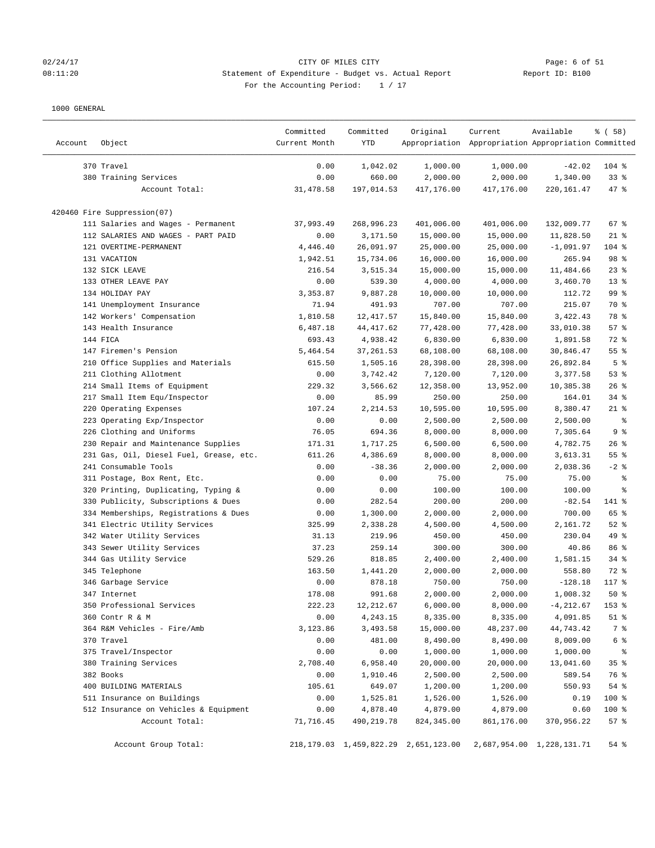## 02/24/17 Page: 6 of 51 08:11:20 Statement of Expenditure - Budget vs. Actual Report Report ID: B100 For the Accounting Period: 1 / 17

| Account | Object                                  | Committed<br>Current Month | Committed<br>YTD | Original                                  | Current<br>Appropriation Appropriation Appropriation Committed | Available                 | % ( 58 )        |
|---------|-----------------------------------------|----------------------------|------------------|-------------------------------------------|----------------------------------------------------------------|---------------------------|-----------------|
|         | 370 Travel                              | 0.00                       | 1,042.02         | 1,000.00                                  | 1,000.00                                                       | $-42.02$                  | $104$ %         |
|         | 380 Training Services                   | 0.00                       | 660.00           | 2,000.00                                  | 2,000.00                                                       | 1,340.00                  | $33$ $%$        |
|         | Account Total:                          | 31, 478.58                 | 197,014.53       | 417,176.00                                | 417,176.00                                                     | 220,161.47                | $47$ %          |
|         | 420460 Fire Suppression(07)             |                            |                  |                                           |                                                                |                           |                 |
|         | 111 Salaries and Wages - Permanent      | 37,993.49                  | 268,996.23       | 401,006.00                                | 401,006.00                                                     | 132,009.77                | 67%             |
|         | 112 SALARIES AND WAGES - PART PAID      | 0.00                       | 3,171.50         | 15,000.00                                 | 15,000.00                                                      | 11,828.50                 | $21$ %          |
|         | 121 OVERTIME-PERMANENT                  | 4,446.40                   | 26,091.97        | 25,000.00                                 | 25,000.00                                                      | $-1,091.97$               | 104 %           |
|         | 131 VACATION                            | 1,942.51                   | 15,734.06        | 16,000.00                                 | 16,000.00                                                      | 265.94                    | 98 %            |
|         | 132 SICK LEAVE                          | 216.54                     | 3,515.34         | 15,000.00                                 | 15,000.00                                                      | 11,484.66                 | $23$ $%$        |
|         | 133 OTHER LEAVE PAY                     | 0.00                       | 539.30           | 4,000.00                                  | 4,000.00                                                       | 3,460.70                  | $13*$           |
|         | 134 HOLIDAY PAY                         | 3,353.87                   | 9,887.28         | 10,000.00                                 | 10,000.00                                                      | 112.72                    | 99 <sup>8</sup> |
|         | 141 Unemployment Insurance              | 71.94                      | 491.93           | 707.00                                    | 707.00                                                         | 215.07                    | 70 %            |
|         | 142 Workers' Compensation               | 1,810.58                   | 12, 417.57       | 15,840.00                                 | 15,840.00                                                      | 3,422.43                  | 78 %            |
|         | 143 Health Insurance                    | 6,487.18                   | 44, 417.62       | 77,428.00                                 | 77,428.00                                                      | 33,010.38                 | 57%             |
|         | 144 FICA                                | 693.43                     | 4,938.42         | 6,830.00                                  | 6,830.00                                                       | 1,891.58                  | 72 %            |
|         | 147 Firemen's Pension                   | 5,464.54                   | 37, 261.53       | 68,108.00                                 | 68,108.00                                                      | 30,846.47                 | 55%             |
|         | 210 Office Supplies and Materials       | 615.50                     | 1,505.16         | 28,398.00                                 | 28,398.00                                                      | 26,892.84                 | 5 <sup>°</sup>  |
|         | 211 Clothing Allotment                  | 0.00                       | 3,742.42         | 7,120.00                                  | 7,120.00                                                       | 3,377.58                  | 53%             |
|         | 214 Small Items of Equipment            | 229.32                     | 3,566.62         | 12,358.00                                 | 13,952.00                                                      | 10,385.38                 | 26%             |
|         | 217 Small Item Equ/Inspector            | 0.00                       | 85.99            | 250.00                                    | 250.00                                                         | 164.01                    | $34$ $%$        |
|         | 220 Operating Expenses                  | 107.24                     | 2,214.53         | 10,595.00                                 | 10,595.00                                                      | 8,380.47                  | $21$ %          |
|         | 223 Operating Exp/Inspector             | 0.00                       | 0.00             | 2,500.00                                  | 2,500.00                                                       | 2,500.00                  | နွ              |
|         | 226 Clothing and Uniforms               | 76.05                      | 694.36           | 8,000.00                                  | 8,000.00                                                       | 7,305.64                  | 9%              |
|         | 230 Repair and Maintenance Supplies     | 171.31                     | 1,717.25         | 6,500.00                                  | 6,500.00                                                       | 4,782.75                  | 26%             |
|         | 231 Gas, Oil, Diesel Fuel, Grease, etc. | 611.26                     | 4,386.69         | 8,000.00                                  | 8,000.00                                                       | 3,613.31                  | 55%             |
|         | 241 Consumable Tools                    | 0.00                       | $-38.36$         | 2,000.00                                  | 2,000.00                                                       | 2,038.36                  | $-2$ %          |
|         | 311 Postage, Box Rent, Etc.             | 0.00                       | 0.00             | 75.00                                     | 75.00                                                          | 75.00                     | နွ              |
|         | 320 Printing, Duplicating, Typing &     | 0.00                       | 0.00             | 100.00                                    | 100.00                                                         | 100.00                    | ್ಠಿ             |
|         | 330 Publicity, Subscriptions & Dues     | 0.00                       | 282.54           | 200.00                                    | 200.00                                                         | $-82.54$                  | 141 %           |
|         | 334 Memberships, Registrations & Dues   | 0.00                       | 1,300.00         | 2,000.00                                  | 2,000.00                                                       | 700.00                    | 65 %            |
|         | 341 Electric Utility Services           | 325.99                     | 2,338.28         | 4,500.00                                  | 4,500.00                                                       | 2,161.72                  | $52$ $%$        |
|         | 342 Water Utility Services              | 31.13                      | 219.96           | 450.00                                    | 450.00                                                         | 230.04                    | 49 %            |
|         | 343 Sewer Utility Services              | 37.23                      | 259.14           | 300.00                                    | 300.00                                                         | 40.86                     | 86 %            |
|         | 344 Gas Utility Service                 | 529.26                     | 818.85           | 2,400.00                                  | 2,400.00                                                       | 1,581.15                  | 34%             |
|         | 345 Telephone                           | 163.50                     | 1,441.20         | 2,000.00                                  | 2,000.00                                                       | 558.80                    | 72 %            |
|         | 346 Garbage Service                     | 0.00                       | 878.18           | 750.00                                    | 750.00                                                         | $-128.18$                 | $117*$          |
|         | 347 Internet                            | 178.08                     | 991.68           | 2,000.00                                  | 2.000.00                                                       | 1,008.32                  | 50%             |
|         | 350 Professional Services               | 222.23                     | 12, 212.67       | 6,000.00                                  | 8,000.00                                                       | $-4, 212.67$              | 153 %           |
|         | 360 Contr R & M                         | 0.00                       | 4,243.15         | 8,335.00                                  | 8,335.00                                                       | 4,091.85                  | $51$ %          |
|         | 364 R&M Vehicles - Fire/Amb             | 3,123.86                   | 3,493.58         | 15,000.00                                 | 48,237.00                                                      | 44,743.42                 | 7 %             |
|         | 370 Travel                              | 0.00                       | 481.00           | 8,490.00                                  | 8,490.00                                                       | 8,009.00                  | 6 <sup>°</sup>  |
|         | 375 Travel/Inspector                    | 0.00                       | 0.00             | 1,000.00                                  | 1,000.00                                                       | 1,000.00                  | နွ              |
|         | 380 Training Services                   | 2,708.40                   | 6,958.40         | 20,000.00                                 | 20,000.00                                                      | 13,041.60                 | 35%             |
|         | 382 Books                               | 0.00                       | 1,910.46         | 2,500.00                                  | 2,500.00                                                       | 589.54                    | 76 %            |
|         | 400 BUILDING MATERIALS                  | 105.61                     | 649.07           | 1,200.00                                  | 1,200.00                                                       | 550.93                    | 54 %            |
|         | 511 Insurance on Buildings              | 0.00                       | 1,525.81         | 1,526.00                                  | 1,526.00                                                       | 0.19                      | 100 %           |
|         | 512 Insurance on Vehicles & Equipment   | 0.00                       | 4,878.40         | 4,879.00                                  | 4,879.00                                                       | 0.60                      | 100 %           |
|         | Account Total:                          | 71,716.45                  | 490,219.78       | 824, 345.00                               | 861,176.00                                                     | 370,956.22                | 57%             |
|         |                                         |                            |                  |                                           |                                                                |                           |                 |
|         | Account Group Total:                    |                            |                  | 218, 179.03 1, 459, 822.29 2, 651, 123.00 |                                                                | 2,687,954.00 1,228,131.71 | 54 %            |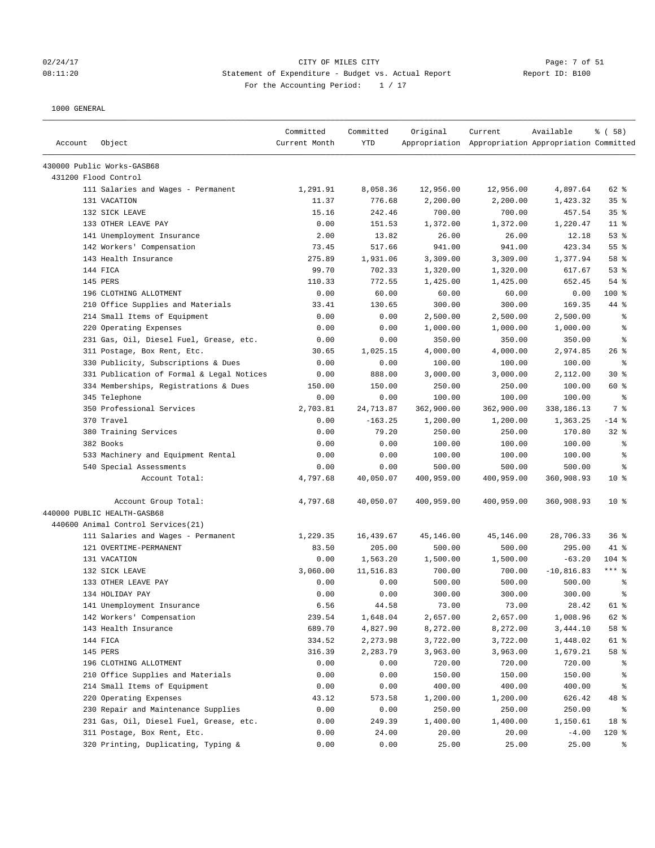### 02/24/17 CITY OF MILES CITY Page: 7 of 51 08:11:20 Statement of Expenditure - Budget vs. Actual Report Report ID: B100 For the Accounting Period:  $1 / 17$

| Account | Object                                    | Committed<br>Current Month | Committed<br><b>YTD</b> | Original   | Current<br>Appropriation Appropriation Appropriation Committed | Available     | % (58)          |
|---------|-------------------------------------------|----------------------------|-------------------------|------------|----------------------------------------------------------------|---------------|-----------------|
|         | 430000 Public Works-GASB68                |                            |                         |            |                                                                |               |                 |
|         | 431200 Flood Control                      |                            |                         |            |                                                                |               |                 |
|         | 111 Salaries and Wages - Permanent        | 1,291.91                   | 8,058.36                | 12,956.00  | 12,956.00                                                      | 4,897.64      | 62 %            |
|         | 131 VACATION                              | 11.37                      | 776.68                  | 2,200.00   | 2,200.00                                                       | 1,423.32      | 35%             |
|         | 132 SICK LEAVE                            | 15.16                      | 242.46                  | 700.00     | 700.00                                                         | 457.54        | 35%             |
|         | 133 OTHER LEAVE PAY                       | 0.00                       | 151.53                  | 1,372.00   | 1,372.00                                                       | 1,220.47      | $11$ %          |
|         | 141 Unemployment Insurance                | 2.00                       | 13.82                   | 26.00      | 26.00                                                          | 12.18         | 53%             |
|         | 142 Workers' Compensation                 | 73.45                      | 517.66                  | 941.00     | 941.00                                                         | 423.34        | 55 %            |
|         | 143 Health Insurance                      | 275.89                     | 1,931.06                | 3,309.00   | 3,309.00                                                       | 1,377.94      | 58 %            |
|         | 144 FICA                                  | 99.70                      | 702.33                  | 1,320.00   | 1,320.00                                                       | 617.67        | 53%             |
|         | 145 PERS                                  | 110.33                     | 772.55                  | 1,425.00   | 1,425.00                                                       | 652.45        | 54 %            |
|         | 196 CLOTHING ALLOTMENT                    | 0.00                       | 60.00                   | 60.00      | 60.00                                                          | 0.00          | $100$ %         |
|         | 210 Office Supplies and Materials         | 33.41                      | 130.65                  | 300.00     | 300.00                                                         | 169.35        | 44 %            |
|         | 214 Small Items of Equipment              | 0.00                       | 0.00                    | 2,500.00   | 2,500.00                                                       | 2,500.00      | る               |
|         | 220 Operating Expenses                    | 0.00                       | 0.00                    | 1,000.00   | 1,000.00                                                       | 1,000.00      | နွ              |
|         | 231 Gas, Oil, Diesel Fuel, Grease, etc.   | 0.00                       | 0.00                    | 350.00     | 350.00                                                         | 350.00        | る               |
|         | 311 Postage, Box Rent, Etc.               | 30.65                      | 1,025.15                | 4,000.00   | 4,000.00                                                       | 2,974.85      | $26$ %          |
|         | 330 Publicity, Subscriptions & Dues       | 0.00                       | 0.00                    | 100.00     | 100.00                                                         | 100.00        | နွ              |
|         | 331 Publication of Formal & Legal Notices | 0.00                       | 888.00                  | 3,000.00   | 3,000.00                                                       | 2,112.00      | $30*$           |
|         | 334 Memberships, Registrations & Dues     | 150.00                     | 150.00                  | 250.00     | 250.00                                                         | 100.00        | 60 %            |
|         | 345 Telephone                             | 0.00                       | 0.00                    | 100.00     | 100.00                                                         | 100.00        | နွ              |
|         | 350 Professional Services                 | 2,703.81                   | 24,713.87               | 362,900.00 | 362,900.00                                                     | 338,186.13    | 7 %             |
|         | 370 Travel                                | 0.00                       | $-163.25$               | 1,200.00   | 1,200.00                                                       | 1,363.25      | $-14$ %         |
|         | 380 Training Services                     | 0.00                       | 79.20                   | 250.00     | 250.00                                                         | 170.80        | $32$ $%$        |
|         | 382 Books                                 | 0.00                       | 0.00                    | 100.00     | 100.00                                                         | 100.00        | る               |
|         | 533 Machinery and Equipment Rental        | 0.00                       | 0.00                    | 100.00     | 100.00                                                         | 100.00        | နွ              |
|         | 540 Special Assessments                   | 0.00                       | 0.00                    | 500.00     | 500.00                                                         | 500.00        | နွ              |
|         | Account Total:                            | 4,797.68                   | 40,050.07               | 400,959.00 | 400,959.00                                                     | 360,908.93    | $10*$           |
|         | Account Group Total:                      | 4,797.68                   | 40,050.07               | 400,959.00 | 400,959.00                                                     | 360,908.93    | 10 <sup>°</sup> |
|         | 440000 PUBLIC HEALTH-GASB68               |                            |                         |            |                                                                |               |                 |
|         | 440600 Animal Control Services(21)        |                            |                         |            |                                                                |               |                 |
|         | 111 Salaries and Wages - Permanent        | 1,229.35                   | 16,439.67               | 45,146.00  | 45,146.00                                                      | 28,706.33     | 36%             |
|         | 121 OVERTIME-PERMANENT                    | 83.50                      | 205.00                  | 500.00     | 500.00                                                         | 295.00        | 41 %            |
|         | 131 VACATION                              | 0.00                       | 1,563.20                | 1,500.00   | 1,500.00                                                       | $-63.20$      | 104 %           |
|         | 132 SICK LEAVE                            | 3,060.00                   | 11,516.83               | 700.00     | 700.00                                                         | $-10, 816.83$ | $***$ 8         |
|         | 133 OTHER LEAVE PAY                       | 0.00                       | 0.00                    | 500.00     | 500.00                                                         | 500.00        | နွ              |
|         | 134 HOLIDAY PAY                           | 0.00                       | 0.00                    | 300.00     | 300.00                                                         | 300.00        | 昙               |
|         | 141 Unemployment Insurance                | 6.56                       | 44.58                   | 73.00      | 73.00                                                          | 28.42         | 61 %            |
|         | 142 Workers' Compensation                 | 239.54                     | 1,648.04                | 2,657.00   | 2,657.00                                                       | 1,008.96      | 62 %            |
|         | 143 Health Insurance                      | 689.70                     | 4,827.90                | 8,272.00   | 8,272.00                                                       | 3,444.10      | 58 %            |
|         | 144 FICA                                  | 334.52                     | 2,273.98                | 3,722.00   | 3,722.00                                                       | 1,448.02      | 61 %            |
|         | 145 PERS                                  | 316.39                     | 2,283.79                | 3,963.00   | 3,963.00                                                       | 1,679.21      | 58 %            |
|         | 196 CLOTHING ALLOTMENT                    | 0.00                       | 0.00                    | 720.00     | 720.00                                                         | 720.00        | ႜ               |
|         | 210 Office Supplies and Materials         | 0.00                       | 0.00                    | 150.00     | 150.00                                                         | 150.00        | ိစ              |
|         | 214 Small Items of Equipment              | 0.00                       | 0.00                    | 400.00     | 400.00                                                         | 400.00        | ႜ               |
|         | 220 Operating Expenses                    | 43.12                      | 573.58                  | 1,200.00   | 1,200.00                                                       | 626.42        | 48 %            |
|         | 230 Repair and Maintenance Supplies       | 0.00                       | 0.00                    | 250.00     | 250.00                                                         | 250.00        | ႜ               |
|         | 231 Gas, Oil, Diesel Fuel, Grease, etc.   | 0.00                       | 249.39                  | 1,400.00   | 1,400.00                                                       | 1,150.61      | 18 %            |
|         | 311 Postage, Box Rent, Etc.               | 0.00                       | 24.00                   | 20.00      | 20.00                                                          | $-4.00$       | 120 %           |
|         | 320 Printing, Duplicating, Typing &       | 0.00                       | 0.00                    | 25.00      | 25.00                                                          | 25.00         | နွ              |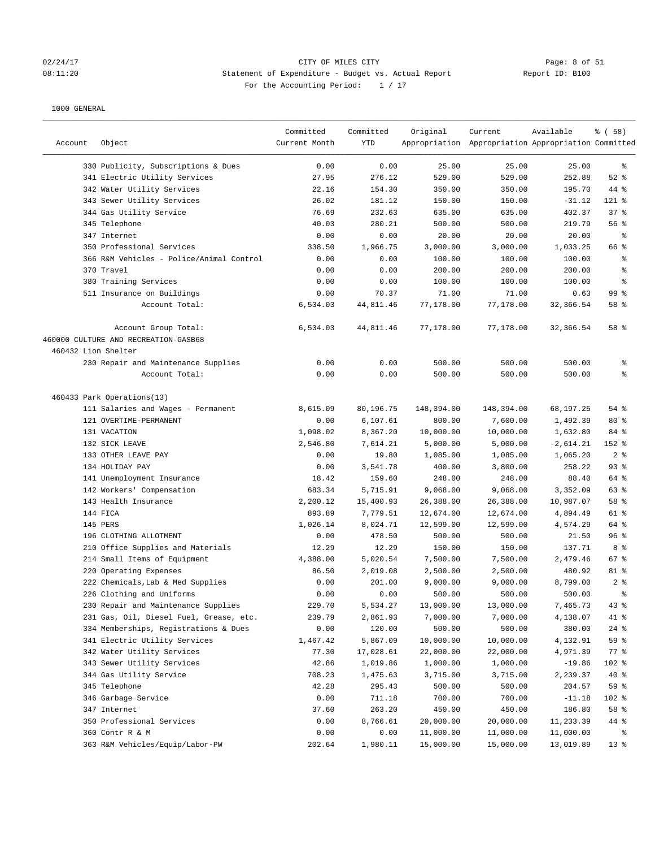## 02/24/17 CITY OF MILES CITY<br>
08:11:20 Statement of Expenditure - Budget vs. Actual Report 11: 20 Report ID: B100 08:11:20 Statement of Expenditure - Budget vs. Actual Report For the Accounting Period: 1 / 17

| Account             | Object                                   | Committed<br>Current Month | Committed<br><b>YTD</b> | Original   | Current<br>Appropriation Appropriation Appropriation Committed | Available   | 8 ( 58 )        |
|---------------------|------------------------------------------|----------------------------|-------------------------|------------|----------------------------------------------------------------|-------------|-----------------|
|                     | 330 Publicity, Subscriptions & Dues      | 0.00                       | 0.00                    | 25.00      | 25.00                                                          | 25.00       | နွ              |
|                     | 341 Electric Utility Services            | 27.95                      | 276.12                  | 529.00     | 529.00                                                         | 252.88      | $52$ $%$        |
|                     | 342 Water Utility Services               | 22.16                      | 154.30                  | 350.00     | 350.00                                                         | 195.70      | 44 %            |
|                     | 343 Sewer Utility Services               | 26.02                      | 181.12                  | 150.00     | 150.00                                                         | $-31.12$    | 121 %           |
|                     | 344 Gas Utility Service                  | 76.69                      | 232.63                  | 635.00     | 635.00                                                         | 402.37      | 37%             |
|                     | 345 Telephone                            | 40.03                      | 280.21                  | 500.00     | 500.00                                                         | 219.79      | 56%             |
|                     | 347 Internet                             | 0.00                       | 0.00                    | 20.00      | 20.00                                                          | 20.00       | ႜ               |
|                     | 350 Professional Services                | 338.50                     | 1,966.75                | 3,000.00   | 3,000.00                                                       | 1,033.25    | 66 %            |
|                     | 366 R&M Vehicles - Police/Animal Control | 0.00                       | 0.00                    | 100.00     | 100.00                                                         | 100.00      | ್ಠಿ             |
|                     | 370 Travel                               | 0.00                       | 0.00                    | 200.00     | 200.00                                                         | 200.00      | ್ಠಿ             |
|                     | 380 Training Services                    | 0.00                       | 0.00                    | 100.00     | 100.00                                                         | 100.00      | နွ              |
|                     | 511 Insurance on Buildings               | 0.00                       | 70.37                   | 71.00      | 71.00                                                          | 0.63        | 99 <sup>8</sup> |
|                     | Account Total:                           | 6,534.03                   | 44,811.46               | 77,178.00  | 77,178.00                                                      | 32,366.54   | 58 %            |
|                     | Account Group Total:                     | 6,534.03                   | 44,811.46               | 77,178.00  | 77,178.00                                                      | 32,366.54   | 58 %            |
|                     | 460000 CULTURE AND RECREATION-GASB68     |                            |                         |            |                                                                |             |                 |
| 460432 Lion Shelter |                                          |                            |                         |            |                                                                |             |                 |
|                     | 230 Repair and Maintenance Supplies      | 0.00                       | 0.00                    | 500.00     | 500.00                                                         | 500.00      | နွ              |
|                     | Account Total:                           | 0.00                       | 0.00                    | 500.00     | 500.00                                                         | 500.00      | ి               |
|                     | 460433 Park Operations(13)               |                            |                         |            |                                                                |             |                 |
|                     | 111 Salaries and Wages - Permanent       | 8,615.09                   | 80,196.75               | 148,394.00 | 148,394.00                                                     | 68,197.25   | $54$ %          |
|                     | 121 OVERTIME-PERMANENT                   | 0.00                       | 6,107.61                | 800.00     | 7,600.00                                                       | 1,492.39    | $80*$           |
|                     | 131 VACATION                             | 1,098.02                   | 8,367.20                | 10,000.00  | 10,000.00                                                      | 1,632.80    | 84 %            |
|                     | 132 SICK LEAVE                           | 2,546.80                   | 7,614.21                | 5,000.00   | 5,000.00                                                       | $-2,614.21$ | 152 %           |
|                     | 133 OTHER LEAVE PAY                      | 0.00                       | 19.80                   | 1,085.00   | 1,085.00                                                       | 1,065.20    | 2%              |
|                     | 134 HOLIDAY PAY                          | 0.00                       | 3,541.78                | 400.00     | 3,800.00                                                       | 258.22      | 93%             |
|                     | 141 Unemployment Insurance               | 18.42                      | 159.60                  | 248.00     | 248.00                                                         | 88.40       | 64 %            |
|                     | 142 Workers' Compensation                | 683.34                     | 5,715.91                | 9,068.00   | 9,068.00                                                       | 3,352.09    | 63 %            |
|                     | 143 Health Insurance                     | 2,200.12                   | 15,400.93               | 26,388.00  | 26,388.00                                                      | 10,987.07   | 58 %            |
|                     | 144 FICA                                 | 893.89                     | 7,779.51                | 12,674.00  | 12,674.00                                                      | 4,894.49    | 61 %            |
|                     | 145 PERS                                 | 1,026.14                   | 8,024.71                | 12,599.00  | 12,599.00                                                      | 4,574.29    | 64 %            |
|                     | 196 CLOTHING ALLOTMENT                   | 0.00                       | 478.50                  | 500.00     | 500.00                                                         | 21.50       | 96%             |
|                     | 210 Office Supplies and Materials        | 12.29                      | 12.29                   | 150.00     | 150.00                                                         | 137.71      | 8%              |
|                     | 214 Small Items of Equipment             | 4,388.00                   | 5,020.54                | 7,500.00   | 7,500.00                                                       | 2,479.46    | 67%             |
|                     | 220 Operating Expenses                   | 86.50                      | 2,019.08                | 2,500.00   | 2,500.00                                                       | 480.92      | 81 %            |
|                     | 222 Chemicals, Lab & Med Supplies        | 0.00                       | 201.00                  | 9,000.00   | 9,000.00                                                       | 8,799.00    | 2%              |
|                     | 226 Clothing and Uniforms                | 0.00                       | 0.00                    | 500.00     | 500.00                                                         | 500.00      | ÷,              |
|                     | 230 Repair and Maintenance Supplies      | 229.70                     | 5,534.27                | 13,000.00  | 13,000.00                                                      | 7,465.73    | 43%             |
|                     | 231 Gas, Oil, Diesel Fuel, Grease, etc.  | 239.79                     | 2,861.93                | 7,000.00   | 7,000.00                                                       | 4,138.07    | 41 %            |
|                     | 334 Memberships, Registrations & Dues    | 0.00                       | 120.00                  | 500.00     | 500.00                                                         | 380.00      | $24$ %          |
|                     | 341 Electric Utility Services            | 1,467.42                   | 5,867.09                | 10,000.00  | 10,000.00                                                      | 4,132.91    | 59 %            |
|                     | 342 Water Utility Services               | 77.30                      | 17,028.61               | 22,000.00  | 22,000.00                                                      | 4,971.39    | $77$ $%$        |
|                     | 343 Sewer Utility Services               | 42.86                      | 1,019.86                | 1,000.00   | 1,000.00                                                       | $-19.86$    | 102 %           |
|                     | 344 Gas Utility Service                  | 708.23                     | 1,475.63                | 3,715.00   | 3,715.00                                                       | 2,239.37    | $40*$           |
|                     | 345 Telephone                            | 42.28                      | 295.43                  | 500.00     | 500.00                                                         | 204.57      | 59 %            |
|                     | 346 Garbage Service                      | 0.00                       | 711.18                  | 700.00     | 700.00                                                         | $-11.18$    | 102 %           |
|                     | 347 Internet                             | 37.60                      | 263.20                  | 450.00     | 450.00                                                         | 186.80      | 58 %            |
|                     | 350 Professional Services                | 0.00                       | 8,766.61                | 20,000.00  | 20,000.00                                                      | 11,233.39   | 44 %            |
|                     | 360 Contr R & M                          | 0.00                       | 0.00                    | 11,000.00  | 11,000.00                                                      | 11,000.00   | နွ              |
|                     | 363 R&M Vehicles/Equip/Labor-PW          | 202.64                     | 1,980.11                | 15,000.00  | 15,000.00                                                      | 13,019.89   | 13 <sup>°</sup> |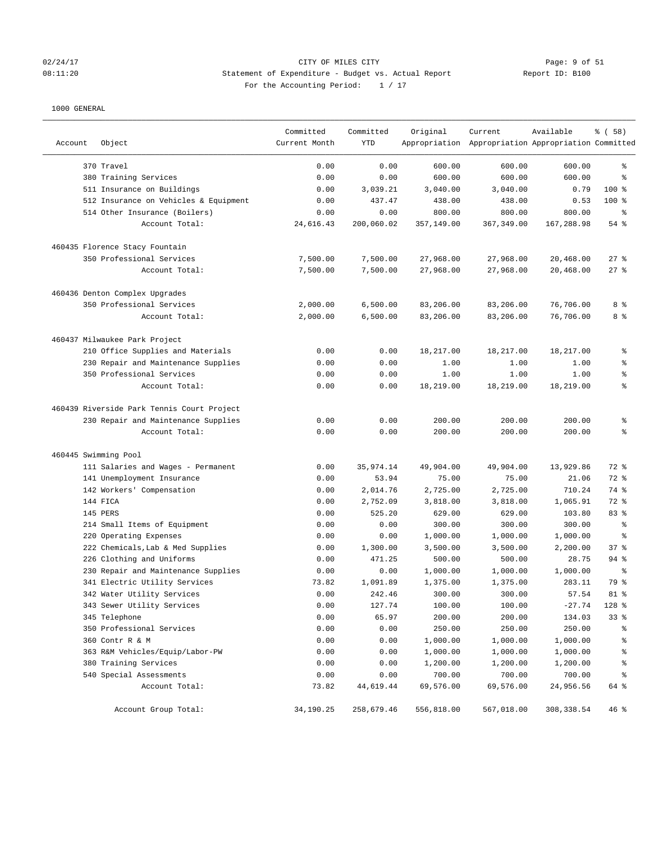## 02/24/17 CITY OF MILES CITY<br>08:11:20 08:11:20 Statement of Expenditure - Budget vs. Actual Report 11: Page: 9 of 51 08:11:20 Statement of Expenditure - Budget vs. Actual Report For the Accounting Period: 1 / 17

| Account              | Object                                                                 | Committed<br>Current Month | Committed<br>YTD | Original         | Current<br>Appropriation Appropriation Appropriation Committed | Available      | 8 ( 58 )                 |
|----------------------|------------------------------------------------------------------------|----------------------------|------------------|------------------|----------------------------------------------------------------|----------------|--------------------------|
|                      |                                                                        |                            |                  |                  |                                                                |                |                          |
|                      | 370 Travel                                                             | 0.00                       | 0.00             | 600.00           | 600.00                                                         | 600.00         | ి                        |
|                      | 380 Training Services                                                  | 0.00                       | 0.00             | 600.00           | 600.00                                                         | 600.00         | ి                        |
|                      | 511 Insurance on Buildings                                             | 0.00                       | 3,039.21         | 3,040.00         | 3,040.00                                                       | 0.79           | $100$ %                  |
|                      | 512 Insurance on Vehicles & Equipment<br>514 Other Insurance (Boilers) | 0.00<br>0.00               | 437.47<br>0.00   | 438.00<br>800.00 | 438.00<br>800.00                                               | 0.53<br>800.00 | $100$ %<br>್ಠಿ           |
|                      | Account Total:                                                         | 24,616.43                  | 200,060.02       | 357,149.00       | 367,349.00                                                     | 167,288.98     | 54 %                     |
|                      | 460435 Florence Stacy Fountain                                         |                            |                  |                  |                                                                |                |                          |
|                      | 350 Professional Services                                              | 7,500.00                   | 7,500.00         | 27,968.00        | 27,968.00                                                      | 20,468.00      | $27$ %                   |
|                      | Account Total:                                                         | 7,500.00                   | 7,500.00         | 27,968.00        | 27,968.00                                                      | 20,468.00      | 27%                      |
|                      | 460436 Denton Complex Upgrades                                         |                            |                  |                  |                                                                |                |                          |
|                      | 350 Professional Services                                              | 2,000.00                   | 6,500.00         | 83,206.00        | 83,206.00                                                      | 76,706.00      | 8 %                      |
|                      | Account Total:                                                         | 2,000.00                   | 6,500.00         | 83,206.00        | 83,206.00                                                      | 76,706.00      | 8 %                      |
|                      | 460437 Milwaukee Park Project                                          |                            |                  |                  |                                                                |                |                          |
|                      | 210 Office Supplies and Materials                                      | 0.00                       | 0.00             | 18,217.00        | 18,217.00                                                      | 18,217.00      | ್ಠಿ                      |
|                      | 230 Repair and Maintenance Supplies                                    | 0.00                       | 0.00             | 1.00             | 1.00                                                           | 1.00           | ್ಠಿ                      |
|                      | 350 Professional Services                                              | 0.00                       | 0.00             | 1.00             | 1.00                                                           | 1.00           | ್ಠಿ                      |
|                      | Account Total:                                                         | 0.00                       | 0.00             | 18,219.00        | 18,219.00                                                      | 18,219.00      | $\epsilon$               |
|                      | 460439 Riverside Park Tennis Court Project                             |                            |                  |                  |                                                                |                |                          |
|                      | 230 Repair and Maintenance Supplies                                    | 0.00                       | 0.00             | 200.00           | 200.00                                                         | 200.00         | ್ಠಿ                      |
|                      | Account Total:                                                         | 0.00                       | 0.00             | 200.00           | 200.00                                                         | 200.00         | ి                        |
| 460445 Swimming Pool |                                                                        |                            |                  |                  |                                                                |                |                          |
|                      | 111 Salaries and Wages - Permanent                                     | 0.00                       | 35,974.14        | 49,904.00        | 49,904.00                                                      | 13,929.86      | 72 %                     |
|                      | 141 Unemployment Insurance                                             | 0.00                       | 53.94            | 75.00            | 75.00                                                          | 21.06          | 72 %                     |
|                      | 142 Workers' Compensation                                              | 0.00                       | 2,014.76         | 2,725.00         | 2,725.00                                                       | 710.24         | 74 %                     |
|                      | 144 FICA                                                               | 0.00                       | 2,752.09         | 3,818.00         | 3,818.00                                                       | 1,065.91       | 72 %                     |
|                      | 145 PERS                                                               | 0.00                       | 525.20           | 629.00           | 629.00                                                         | 103.80         | 83 %                     |
|                      | 214 Small Items of Equipment                                           | 0.00                       | 0.00             | 300.00           | 300.00                                                         | 300.00         | နွ                       |
|                      | 220 Operating Expenses                                                 | 0.00                       | 0.00             | 1,000.00         | 1,000.00                                                       | 1,000.00       | ి                        |
|                      | 222 Chemicals, Lab & Med Supplies                                      | 0.00                       | 1,300.00         | 3,500.00         | 3,500.00                                                       | 2,200.00       | 37%                      |
|                      | 226 Clothing and Uniforms                                              | 0.00                       | 471.25           | 500.00           | 500.00                                                         | 28.75          | $94$ %                   |
|                      | 230 Repair and Maintenance Supplies                                    | 0.00                       | 0.00             | 1,000.00         | 1,000.00                                                       | 1,000.00       | ి                        |
|                      | 341 Electric Utility Services                                          | 73.82                      | 1,091.89         | 1,375.00         | 1,375.00                                                       | 283.11         | 79 %                     |
|                      | 342 Water Utility Services                                             | 0.00                       | 242.46           | 300.00           | 300.00                                                         | 57.54          | $81$ %                   |
|                      | 343 Sewer Utility Services                                             | 0.00                       | 127.74           | 100.00           | 100.00                                                         | $-27.74$       | 128 %                    |
|                      | 345 Telephone                                                          | 0.00                       | 65.97            | 200.00           | 200.00                                                         | 134.03         | 33%                      |
|                      | 350 Professional Services                                              | 0.00                       | 0.00             | 250.00           | 250.00                                                         | 250.00         | န့                       |
|                      | 360 Contr R & M                                                        | 0.00                       | 0.00             | 1,000.00         | 1,000.00                                                       | 1,000.00       | န့                       |
|                      | 363 R&M Vehicles/Equip/Labor-PW                                        | 0.00                       | 0.00             | 1,000.00         | 1,000.00                                                       | 1,000.00       | န့                       |
|                      | 380 Training Services                                                  | 0.00                       | 0.00             | 1,200.00         | 1,200.00                                                       | 1,200.00       | န့                       |
|                      | 540 Special Assessments                                                | 0.00                       | 0.00             | 700.00           | 700.00                                                         | 700.00         | $\,{}^{\circ}\!\!\delta$ |
|                      | Account Total:                                                         | 73.82                      | 44,619.44        | 69,576.00        | 69,576.00                                                      | 24,956.56      | 64 %                     |
|                      | Account Group Total:                                                   | 34,190.25                  | 258,679.46       | 556,818.00       | 567,018.00                                                     | 308, 338.54    | 46%                      |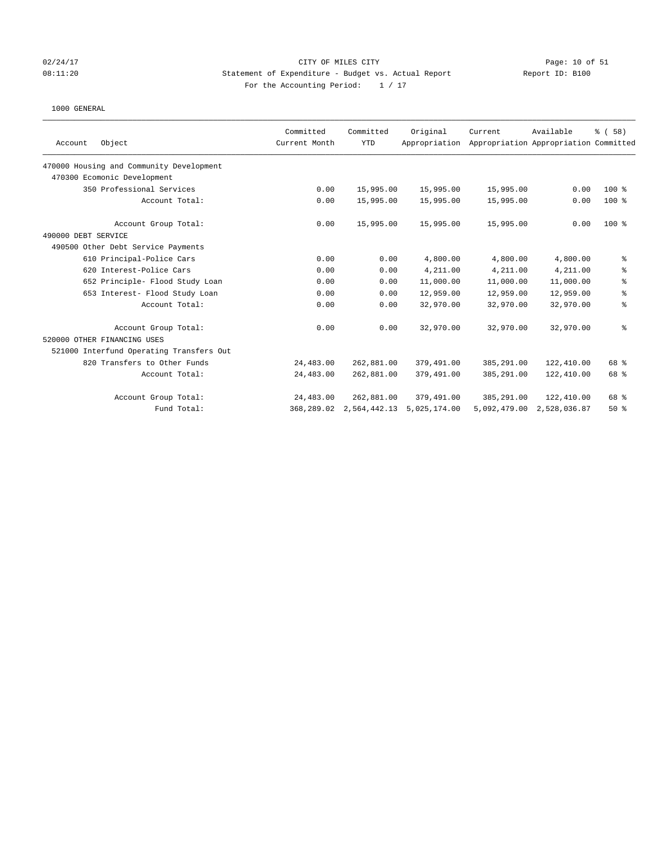## 02/24/17 CITY OF MILES CITY Page: 10 of 51 08:11:20 Statement of Expenditure - Budget vs. Actual Report Report ID: B100 For the Accounting Period:  $1 / 17$

|                                          | Committed     | Committed    | Original      | Current      | Available                             | % (58)  |
|------------------------------------------|---------------|--------------|---------------|--------------|---------------------------------------|---------|
| Object<br>Account                        | Current Month | <b>YTD</b>   | Appropriation |              | Appropriation Appropriation Committed |         |
| 470000 Housing and Community Development |               |              |               |              |                                       |         |
| 470300 Ecomonic Development              |               |              |               |              |                                       |         |
| 350 Professional Services                | 0.00          | 15,995.00    | 15,995.00     | 15,995.00    | 0.00                                  | $100*$  |
| Account Total:                           | 0.00          | 15,995.00    | 15,995.00     | 15,995.00    | 0.00                                  | $100$ % |
| Account Group Total:                     | 0.00          | 15,995.00    | 15,995.00     | 15,995.00    | 0.00                                  | $100*$  |
| 490000 DEBT SERVICE                      |               |              |               |              |                                       |         |
| 490500 Other Debt Service Payments       |               |              |               |              |                                       |         |
| 610 Principal-Police Cars                | 0.00          | 0.00         | 4,800.00      | 4,800.00     | 4,800.00                              | ್ಠಿ     |
| 620 Interest-Police Cars                 | 0.00          | 0.00         | 4,211.00      | 4,211.00     | 4,211.00                              | ి       |
| 652 Principle- Flood Study Loan          | 0.00          | 0.00         | 11,000.00     | 11,000.00    | 11,000.00                             | ್ಠಿ     |
| 653 Interest- Flood Study Loan           | 0.00          | 0.00         | 12,959.00     | 12,959.00    | 12,959.00                             | နွ      |
| Account Total:                           | 0.00          | 0.00         | 32,970.00     | 32,970.00    | 32,970.00                             | နွ      |
| Account Group Total:                     | 0.00          | 0.00         | 32,970.00     | 32,970.00    | 32,970.00                             | ి       |
| 520000 OTHER FINANCING USES              |               |              |               |              |                                       |         |
| 521000 Interfund Operating Transfers Out |               |              |               |              |                                       |         |
| 820 Transfers to Other Funds             | 24,483.00     | 262,881.00   | 379,491.00    | 385,291.00   | 122,410.00                            | 68 %    |
| Account Total:                           | 24,483.00     | 262,881.00   | 379,491.00    | 385,291.00   | 122,410.00                            | 68 %    |
| Account Group Total:                     | 24,483.00     | 262,881.00   | 379,491.00    | 385,291.00   | 122,410.00                            | 68 %    |
| Fund Total:                              | 368,289.02    | 2,564,442.13 | 5,025,174.00  | 5,092,479.00 | 2,528,036.87                          | 50%     |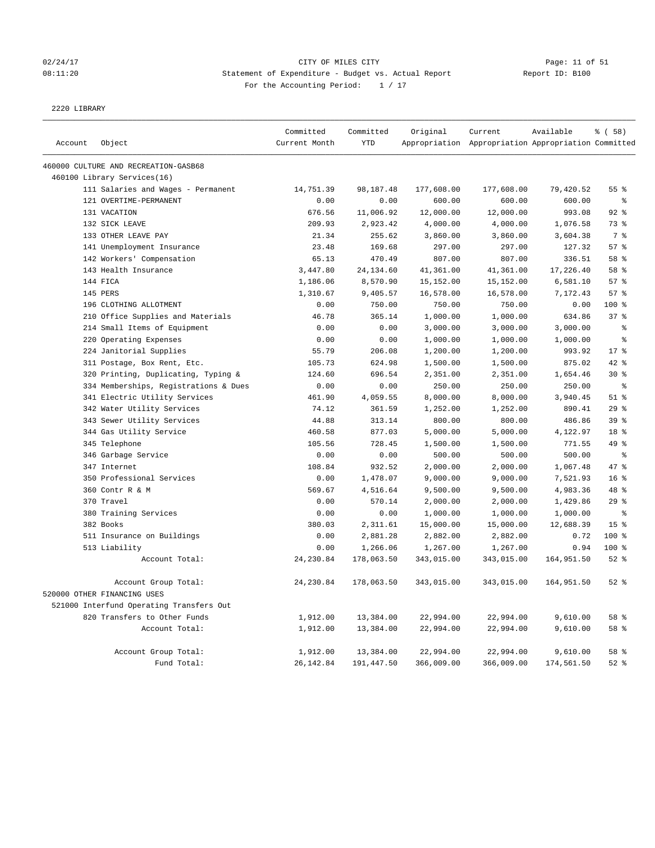## 02/24/17 Page: 11 of 51 08:11:20 Statement of Expenditure - Budget vs. Actual Report Changer Report ID: B100 For the Accounting Period: 1 / 17

2220 LIBRARY

|         |                                          | Committed     | Committed  | Original   | Current                                             | Available  | % (58)          |
|---------|------------------------------------------|---------------|------------|------------|-----------------------------------------------------|------------|-----------------|
| Account | Object                                   | Current Month | <b>YTD</b> |            | Appropriation Appropriation Appropriation Committed |            |                 |
|         | 460000 CULTURE AND RECREATION-GASB68     |               |            |            |                                                     |            |                 |
|         | 460100 Library Services(16)              |               |            |            |                                                     |            |                 |
|         | 111 Salaries and Wages - Permanent       | 14,751.39     | 98,187.48  | 177,608.00 | 177,608.00                                          | 79,420.52  | 55 %            |
|         | 121 OVERTIME-PERMANENT                   | 0.00          | 0.00       | 600.00     | 600.00                                              | 600.00     | $\,$ 8          |
|         | 131 VACATION                             | 676.56        | 11,006.92  | 12,000.00  | 12,000.00                                           | 993.08     | $92$ %          |
|         | 132 SICK LEAVE                           | 209.93        | 2,923.42   | 4,000.00   | 4,000.00                                            | 1,076.58   | 73 %            |
|         | 133 OTHER LEAVE PAY                      | 21.34         | 255.62     | 3,860.00   | 3,860.00                                            | 3,604.38   | 7 <sup>8</sup>  |
|         | 141 Unemployment Insurance               | 23.48         | 169.68     | 297.00     | 297.00                                              | 127.32     | 57%             |
|         | 142 Workers' Compensation                | 65.13         | 470.49     | 807.00     | 807.00                                              | 336.51     | 58 %            |
|         | 143 Health Insurance                     | 3,447.80      | 24,134.60  | 41,361.00  | 41,361.00                                           | 17,226.40  | 58 %            |
|         | 144 FICA                                 | 1,186.06      | 8,570.90   | 15,152.00  | 15,152.00                                           | 6,581.10   | 57%             |
|         | 145 PERS                                 | 1,310.67      | 9,405.57   | 16,578.00  | 16,578.00                                           | 7,172.43   | 57%             |
|         | 196 CLOTHING ALLOTMENT                   | 0.00          | 750.00     | 750.00     | 750.00                                              | 0.00       | 100 %           |
|         | 210 Office Supplies and Materials        | 46.78         | 365.14     | 1,000.00   | 1,000.00                                            | 634.86     | 37%             |
|         | 214 Small Items of Equipment             | 0.00          | 0.00       | 3,000.00   | 3,000.00                                            | 3,000.00   | $\,$ 8          |
|         | 220 Operating Expenses                   | 0.00          | 0.00       | 1,000.00   | 1,000.00                                            | 1,000.00   | နွ              |
|         | 224 Janitorial Supplies                  | 55.79         | 206.08     | 1,200.00   | 1,200.00                                            | 993.92     | $17*$           |
|         | 311 Postage, Box Rent, Etc.              | 105.73        | 624.98     | 1,500.00   | 1,500.00                                            | 875.02     | 42 %            |
|         | 320 Printing, Duplicating, Typing &      | 124.60        | 696.54     | 2,351.00   | 2,351.00                                            | 1,654.46   | $30*$           |
|         | 334 Memberships, Registrations & Dues    | 0.00          | 0.00       | 250.00     | 250.00                                              | 250.00     | $\rm ^{9}$      |
|         | 341 Electric Utility Services            | 461.90        | 4,059.55   | 8,000.00   | 8,000.00                                            | 3,940.45   | $51$ %          |
|         | 342 Water Utility Services               | 74.12         | 361.59     | 1,252.00   | 1,252.00                                            | 890.41     | 29%             |
|         | 343 Sewer Utility Services               | 44.88         | 313.14     | 800.00     | 800.00                                              | 486.86     | 39 %            |
|         | 344 Gas Utility Service                  | 460.58        | 877.03     | 5,000.00   | 5,000.00                                            | 4,122.97   | 18 %            |
|         | 345 Telephone                            | 105.56        | 728.45     | 1,500.00   | 1,500.00                                            | 771.55     | 49 %            |
|         | 346 Garbage Service                      | 0.00          | 0.00       | 500.00     | 500.00                                              | 500.00     | $\epsilon$      |
|         | 347 Internet                             | 108.84        | 932.52     | 2,000.00   | 2,000.00                                            | 1,067.48   | 47.8            |
|         | 350 Professional Services                | 0.00          | 1,478.07   | 9,000.00   | 9,000.00                                            | 7,521.93   | 16 <sup>8</sup> |
|         | 360 Contr R & M                          | 569.67        | 4,516.64   | 9,500.00   | 9,500.00                                            | 4,983.36   | 48 %            |
|         | 370 Travel                               | 0.00          | 570.14     | 2,000.00   | 2,000.00                                            | 1,429.86   | $29$ %          |
|         | 380 Training Services                    | 0.00          | 0.00       | 1,000.00   | 1,000.00                                            | 1,000.00   | $\epsilon$      |
|         | 382 Books                                | 380.03        | 2,311.61   | 15,000.00  | 15,000.00                                           | 12,688.39  | 15 <sup>°</sup> |
|         | 511 Insurance on Buildings               | 0.00          | 2,881.28   | 2,882.00   | 2,882.00                                            | 0.72       | 100 %           |
|         | 513 Liability                            | 0.00          | 1,266.06   | 1,267.00   | 1,267.00                                            | 0.94       | $100*$          |
|         | Account Total:                           | 24, 230.84    | 178,063.50 | 343,015.00 | 343,015.00                                          | 164,951.50 | $52$ $%$        |
|         | Account Group Total:                     | 24, 230.84    | 178,063.50 | 343,015.00 | 343,015.00                                          | 164,951.50 | $52$ $%$        |
|         | 520000 OTHER FINANCING USES              |               |            |            |                                                     |            |                 |
|         | 521000 Interfund Operating Transfers Out |               |            |            |                                                     |            |                 |
|         | 820 Transfers to Other Funds             | 1,912.00      | 13,384.00  | 22,994.00  | 22,994.00                                           | 9,610.00   | 58 %            |
|         | Account Total:                           | 1,912.00      | 13,384.00  | 22,994.00  | 22,994.00                                           | 9,610.00   | 58 %            |
|         | Account Group Total:                     | 1,912.00      | 13,384.00  | 22,994.00  | 22,994.00                                           | 9,610.00   | 58 %            |
|         | Fund Total:                              | 26, 142.84    | 191,447.50 | 366,009.00 | 366,009.00                                          | 174,561.50 | $52$ $%$        |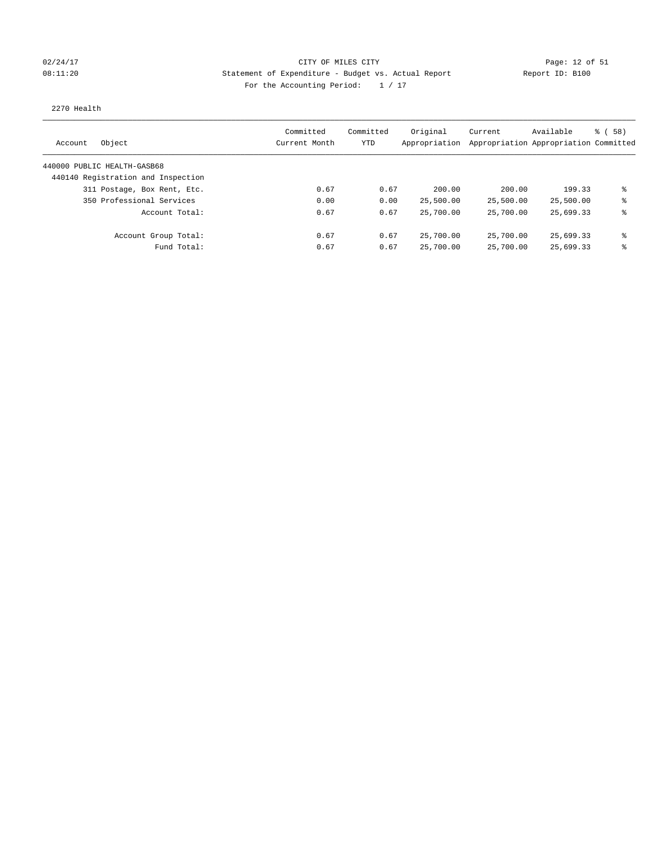## 02/24/17 Page: 12 of 51 Page: 12 of 51 08:11:20 Statement of Expenditure - Budget vs. Actual Report Report ID: B100 For the Accounting Period:  $1 / 17$

### 2270 Health

| Object<br>Account                  | Committed<br>Current Month | Committed<br>YTD | Original<br>Appropriation | Current   | Available<br>Appropriation Appropriation Committed | 8 ( 58 ) |
|------------------------------------|----------------------------|------------------|---------------------------|-----------|----------------------------------------------------|----------|
| 440000 PUBLIC HEALTH-GASB68        |                            |                  |                           |           |                                                    |          |
| 440140 Registration and Inspection |                            |                  |                           |           |                                                    |          |
| 311 Postage, Box Rent, Etc.        | 0.67                       | 0.67             | 200.00                    | 200.00    | 199.33                                             | ま        |
| 350 Professional Services          | 0.00                       | 0.00             | 25,500.00                 | 25,500.00 | 25,500.00                                          | ⊱        |
| Account Total:                     | 0.67                       | 0.67             | 25,700.00                 | 25,700.00 | 25,699.33                                          | ⊱        |
| Account Group Total:               | 0.67                       | 0.67             | 25,700.00                 | 25,700.00 | 25,699.33                                          | ま        |
| Fund Total:                        | 0.67                       | 0.67             | 25,700.00                 | 25,700.00 | 25,699.33                                          | ⊱        |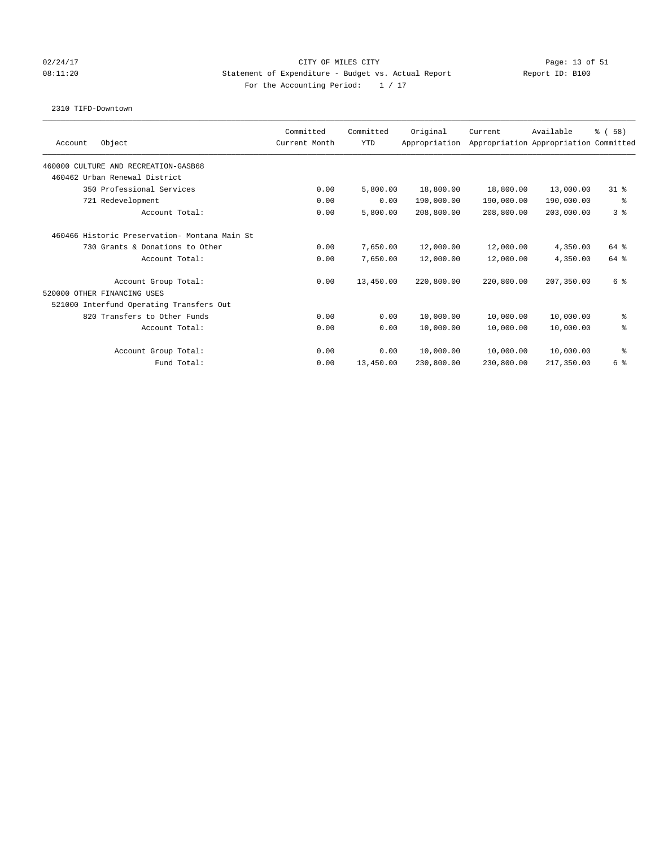## 02/24/17 Page: 13 of 51 Page: 13 OF MILES CITY 08:11:20 Statement of Expenditure - Budget vs. Actual Report Report ID: B100 For the Accounting Period:  $1 / 17$

### 2310 TIFD-Downtown

| Object<br>Account                             | Committed<br>Current Month | Committed<br><b>YTD</b> | Original<br>Appropriation | Current    | Available<br>Appropriation Appropriation Committed | % (58)         |
|-----------------------------------------------|----------------------------|-------------------------|---------------------------|------------|----------------------------------------------------|----------------|
| 460000 CULTURE AND RECREATION-GASB68          |                            |                         |                           |            |                                                    |                |
| 460462 Urban Renewal District                 |                            |                         |                           |            |                                                    |                |
| 350 Professional Services                     | 0.00                       | 5,800.00                | 18,800.00                 | 18,800.00  | 13,000.00                                          | $31*$          |
| 721 Redevelopment                             | 0.00                       | 0.00                    | 190,000.00                | 190,000.00 | 190,000.00                                         | နွ             |
| Account Total:                                | 0.00                       | 5,800.00                | 208,800.00                | 208,800.00 | 203,000.00                                         | 3 <sup>8</sup> |
| 460466 Historic Preservation- Montana Main St |                            |                         |                           |            |                                                    |                |
| 730 Grants & Donations to Other               | 0.00                       | 7,650.00                | 12,000.00                 | 12,000.00  | 4,350.00                                           | 64 %           |
| Account Total:                                | 0.00                       | 7,650.00                | 12,000.00                 | 12,000.00  | 4,350.00                                           | 64 %           |
| Account Group Total:                          | 0.00                       | 13,450.00               | 220,800.00                | 220,800.00 | 207,350.00                                         | 6 %            |
| 520000 OTHER FINANCING USES                   |                            |                         |                           |            |                                                    |                |
| 521000 Interfund Operating Transfers Out      |                            |                         |                           |            |                                                    |                |
| 820 Transfers to Other Funds                  | 0.00                       | 0.00                    | 10,000.00                 | 10,000.00  | 10,000.00                                          | နွ             |
| Account Total:                                | 0.00                       | 0.00                    | 10,000.00                 | 10,000.00  | 10,000.00                                          | る              |
| Account Group Total:                          | 0.00                       | 0.00                    | 10,000.00                 | 10,000.00  | 10,000.00                                          | နွ             |
| Fund Total:                                   | 0.00                       | 13,450.00               | 230,800.00                | 230,800.00 | 217,350.00                                         | 6 %            |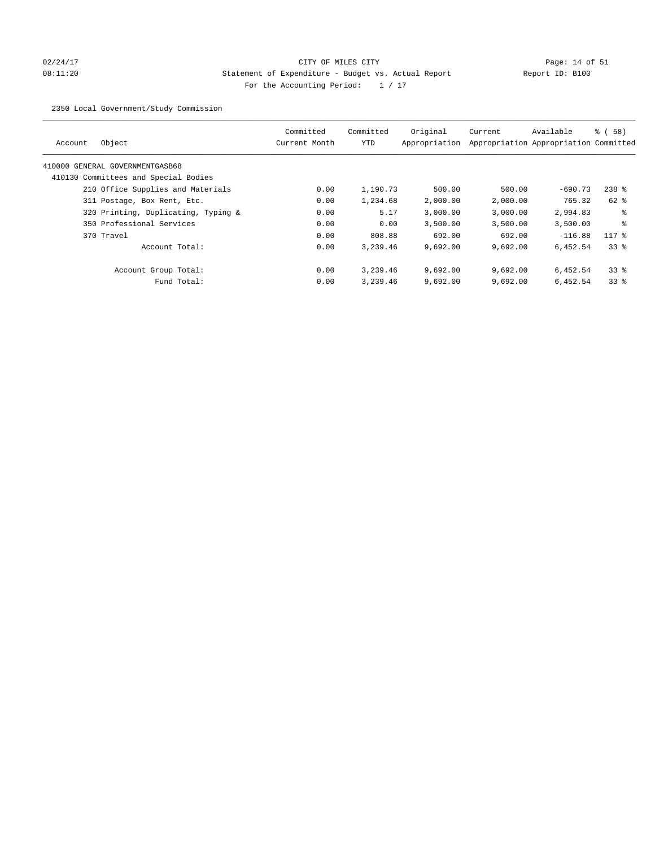# 02/24/17 Page: 14 of 51 08:11:20 Statement of Expenditure - Budget vs. Actual Report Report ID: B100 For the Accounting Period:  $1 / 17$

2350 Local Government/Study Commission

| Object<br>Account                    | Committed<br>Current Month | Committed<br><b>YTD</b> | Original<br>Appropriation | Current  | Available<br>Appropriation Appropriation Committed | 8 ( 58 ) |
|--------------------------------------|----------------------------|-------------------------|---------------------------|----------|----------------------------------------------------|----------|
| 410000 GENERAL GOVERNMENTGASB68      |                            |                         |                           |          |                                                    |          |
| 410130 Committees and Special Bodies |                            |                         |                           |          |                                                    |          |
| 210 Office Supplies and Materials    | 0.00                       | 1,190.73                | 500.00                    | 500.00   | $-690.73$                                          | $238$ %  |
| 311 Postage, Box Rent, Etc.          | 0.00                       | 1,234.68                | 2,000.00                  | 2,000.00 | 765.32                                             | 62 %     |
| 320 Printing, Duplicating, Typing &  | 0.00                       | 5.17                    | 3.000.00                  | 3,000.00 | 2,994.83                                           | ႜ        |
| 350 Professional Services            | 0.00                       | 0.00                    | 3,500.00                  | 3,500.00 | 3,500.00                                           | る        |
| 370 Travel                           | 0.00                       | 808.88                  | 692.00                    | 692.00   | $-116.88$                                          | $117*$   |
| Account Total:                       | 0.00                       | 3,239.46                | 9,692.00                  | 9,692.00 | 6,452.54                                           | 338      |
| Account Group Total:                 | 0.00                       | 3,239.46                | 9.692.00                  | 9.692.00 | 6,452.54                                           | 338      |
| Fund Total:                          | 0.00                       | 3,239.46                | 9,692.00                  | 9,692.00 | 6,452.54                                           | 338      |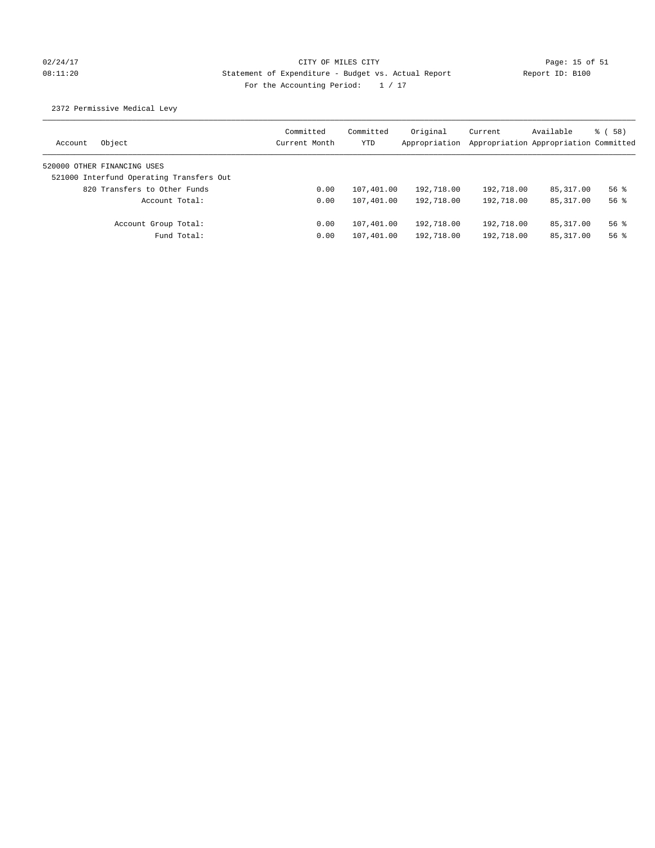# 02/24/17 Page: 15 of 51 08:11:20 Statement of Expenditure - Budget vs. Actual Report Report ID: B100 For the Accounting Period:  $1 / 17$

## 2372 Permissive Medical Levy

| Object<br>Account                        | Committed<br>Current Month | Committed<br>YTD | Original<br>Appropriation | Current<br>Appropriation Appropriation Committed | Available   | % (58)   |
|------------------------------------------|----------------------------|------------------|---------------------------|--------------------------------------------------|-------------|----------|
| 520000 OTHER FINANCING USES              |                            |                  |                           |                                                  |             |          |
| 521000 Interfund Operating Transfers Out |                            |                  |                           |                                                  |             |          |
| 820 Transfers to Other Funds             | 0.00                       | 107,401.00       | 192,718.00                | 192,718.00                                       | 85, 317, 00 | $56$ $%$ |
| Account Total:                           | 0.00                       | 107,401.00       | 192,718.00                | 192,718.00                                       | 85, 317, 00 | $56$ $%$ |
| Account Group Total:                     | 0.00                       | 107,401.00       | 192,718.00                | 192,718.00                                       | 85, 317, 00 | $56$ $%$ |
| Fund Total:                              | 0.00                       | 107,401.00       | 192,718.00                | 192,718.00                                       | 85, 317, 00 | $56$ $%$ |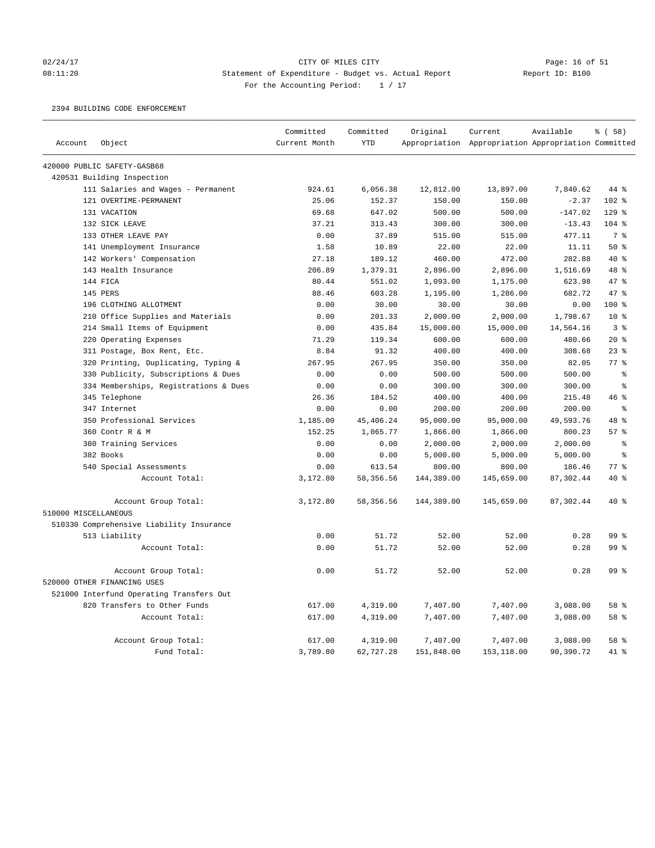## 02/24/17 CITY OF MILES CITY Page: 16 of 51 08:11:20 Statement of Expenditure - Budget vs. Actual Report Report ID: B100 For the Accounting Period:  $1 / 17$

2394 BUILDING CODE ENFORCEMENT

|                      |                                          | Committed     | Committed  | Original   | Current                                             | Available | % (58)         |
|----------------------|------------------------------------------|---------------|------------|------------|-----------------------------------------------------|-----------|----------------|
| Account              | Object                                   | Current Month | <b>YTD</b> |            | Appropriation Appropriation Appropriation Committed |           |                |
|                      | 420000 PUBLIC SAFETY-GASB68              |               |            |            |                                                     |           |                |
|                      | 420531 Building Inspection               |               |            |            |                                                     |           |                |
|                      | 111 Salaries and Wages - Permanent       | 924.61        | 6,056.38   | 12,812.00  | 13,897.00                                           | 7,840.62  | 44 %           |
|                      | 121 OVERTIME-PERMANENT                   | 25.06         | 152.37     | 150.00     | 150.00                                              | $-2.37$   | 102 %          |
|                      | 131 VACATION                             | 69.68         | 647.02     | 500.00     | 500.00                                              | $-147.02$ | $129$ %        |
|                      | 132 SICK LEAVE                           | 37.21         | 313.43     | 300.00     | 300.00                                              | $-13.43$  | $104$ %        |
|                      | 133 OTHER LEAVE PAY                      | 0.00          | 37.89      | 515.00     | 515.00                                              | 477.11    | 7 <sup>°</sup> |
|                      | 141 Unemployment Insurance               | 1.58          | 10.89      | 22.00      | 22.00                                               | 11.11     | 50%            |
|                      | 142 Workers' Compensation                | 27.18         | 189.12     | 460.00     | 472.00                                              | 282.88    | 40 %           |
|                      | 143 Health Insurance                     | 206.89        | 1,379.31   | 2,896.00   | 2,896.00                                            | 1,516.69  | 48 %           |
|                      | 144 FICA                                 | 80.44         | 551.02     | 1,093.00   | 1,175.00                                            | 623.98    | 47 %           |
|                      | 145 PERS                                 | 88.46         | 603.28     | 1,195.00   | 1,286.00                                            | 682.72    | 47.8           |
|                      | 196 CLOTHING ALLOTMENT                   | 0.00          | 30.00      | 30.00      | 30.00                                               | 0.00      | $100*$         |
|                      | 210 Office Supplies and Materials        | 0.00          | 201.33     | 2,000.00   | 2,000.00                                            | 1,798.67  | $10*$          |
|                      | 214 Small Items of Equipment             | 0.00          | 435.84     | 15,000.00  | 15,000.00                                           | 14,564.16 | 3%             |
|                      | 220 Operating Expenses                   | 71.29         | 119.34     | 600.00     | 600.00                                              | 480.66    | $20*$          |
|                      | 311 Postage, Box Rent, Etc.              | 8.84          | 91.32      | 400.00     | 400.00                                              | 308.68    | $23$ %         |
|                      | 320 Printing, Duplicating, Typing &      | 267.95        | 267.95     | 350.00     | 350.00                                              | 82.05     | 77 %           |
|                      | 330 Publicity, Subscriptions & Dues      | 0.00          | 0.00       | 500.00     | 500.00                                              | 500.00    | $\approx$      |
|                      | 334 Memberships, Registrations & Dues    | 0.00          | 0.00       | 300.00     | 300.00                                              | 300.00    | $\rm ^{9}$     |
|                      | 345 Telephone                            | 26.36         | 184.52     | 400.00     | 400.00                                              | 215.48    | 46 %           |
|                      | 347 Internet                             | 0.00          | 0.00       | 200.00     | 200.00                                              | 200.00    | $\epsilon$     |
|                      | 350 Professional Services                | 1,185.00      | 45,406.24  | 95,000.00  | 95,000.00                                           | 49,593.76 | 48 %           |
|                      | 360 Contr R & M                          | 152.25        | 1,065.77   | 1,866.00   | 1,866.00                                            | 800.23    | 57%            |
|                      | 380 Training Services                    | 0.00          | 0.00       | 2,000.00   | 2,000.00                                            | 2,000.00  | န့             |
|                      | 382 Books                                | 0.00          | 0.00       | 5,000.00   | 5,000.00                                            | 5,000.00  | 昙              |
|                      | 540 Special Assessments                  | 0.00          | 613.54     | 800.00     | 800.00                                              | 186.46    | $77$ $%$       |
|                      | Account Total:                           | 3,172.80      | 58, 356.56 | 144,389.00 | 145,659.00                                          | 87,302.44 | 40 %           |
|                      | Account Group Total:                     | 3,172.80      | 58,356.56  | 144,389.00 | 145,659.00                                          | 87,302.44 | $40*$          |
| 510000 MISCELLANEOUS |                                          |               |            |            |                                                     |           |                |
|                      | 510330 Comprehensive Liability Insurance |               |            |            |                                                     |           |                |
|                      | 513 Liability                            | 0.00          | 51.72      | 52.00      | 52.00                                               | 0.28      | 99 %           |
|                      | Account Total:                           | 0.00          | 51.72      | 52.00      | 52.00                                               | 0.28      | 99 %           |
|                      | Account Group Total:                     | 0.00          | 51.72      | 52.00      | 52.00                                               | 0.28      | 99 %           |
|                      | 520000 OTHER FINANCING USES              |               |            |            |                                                     |           |                |
|                      | 521000 Interfund Operating Transfers Out |               |            |            |                                                     |           |                |
|                      | 820 Transfers to Other Funds             | 617.00        | 4,319.00   | 7,407.00   | 7,407.00                                            | 3,088.00  | 58 %           |
|                      | Account Total:                           | 617.00        | 4,319.00   | 7,407.00   | 7,407.00                                            | 3,088.00  | 58 %           |
|                      | Account Group Total:                     | 617.00        | 4,319.00   | 7,407.00   | 7,407.00                                            | 3,088.00  | 58 %           |
|                      | Fund Total:                              | 3,789.80      | 62,727.28  | 151,848.00 | 153,118.00                                          | 90,390.72 | 41 %           |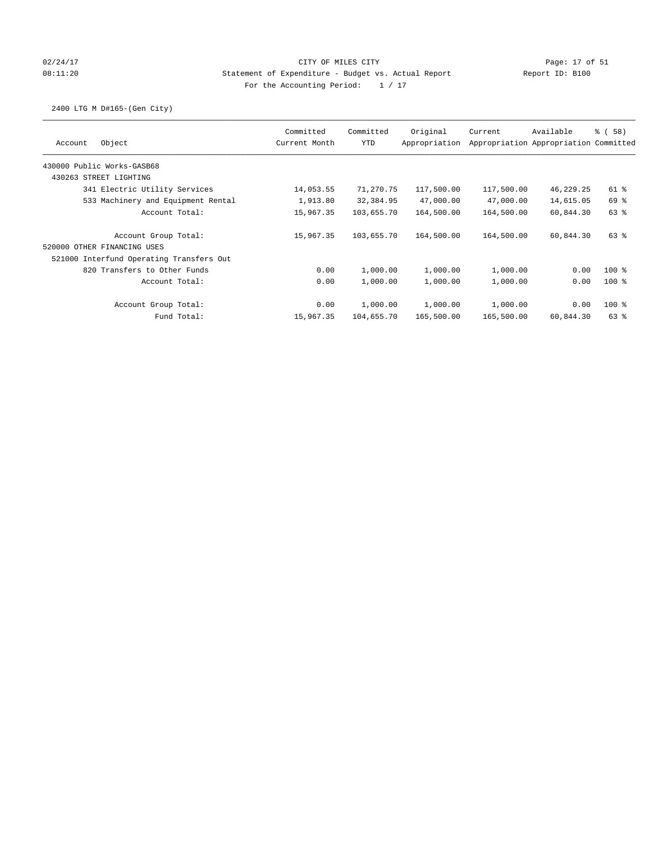## 02/24/17 Page: 17 of 51 08:11:20 Statement of Expenditure - Budget vs. Actual Report Report ID: B100 For the Accounting Period:  $1 / 17$

2400 LTG M D#165-(Gen City)

|                                          | Committed     | Committed  | Original      | Current    | Available                             | % (58)   |
|------------------------------------------|---------------|------------|---------------|------------|---------------------------------------|----------|
| Object<br>Account                        | Current Month | <b>YTD</b> | Appropriation |            | Appropriation Appropriation Committed |          |
| 430000 Public Works-GASB68               |               |            |               |            |                                       |          |
| 430263 STREET LIGHTING                   |               |            |               |            |                                       |          |
| 341 Electric Utility Services            | 14,053.55     | 71,270.75  | 117,500.00    | 117,500.00 | 46,229.25                             | 61 %     |
| 533 Machinery and Equipment Rental       | 1,913.80      | 32,384.95  | 47,000.00     | 47,000.00  | 14,615.05                             | 69 %     |
| Account Total:                           | 15,967.35     | 103,655.70 | 164,500.00    | 164,500.00 | 60,844.30                             | $63$ $%$ |
| Account Group Total:                     | 15,967.35     | 103,655.70 | 164,500.00    | 164,500.00 | 60,844.30                             | 63%      |
| 520000 OTHER FINANCING USES              |               |            |               |            |                                       |          |
| 521000 Interfund Operating Transfers Out |               |            |               |            |                                       |          |
| 820 Transfers to Other Funds             | 0.00          | 1,000.00   | 1,000.00      | 1,000.00   | 0.00                                  | $100$ %  |
| Account Total:                           | 0.00          | 1,000.00   | 1,000.00      | 1,000.00   | 0.00                                  | $100*$   |
| Account Group Total:                     | 0.00          | 1,000.00   | 1,000.00      | 1,000.00   | 0.00                                  | $100$ %  |
| Fund Total:                              | 15,967.35     | 104,655.70 | 165,500.00    | 165,500.00 | 60,844.30                             | $63$ $%$ |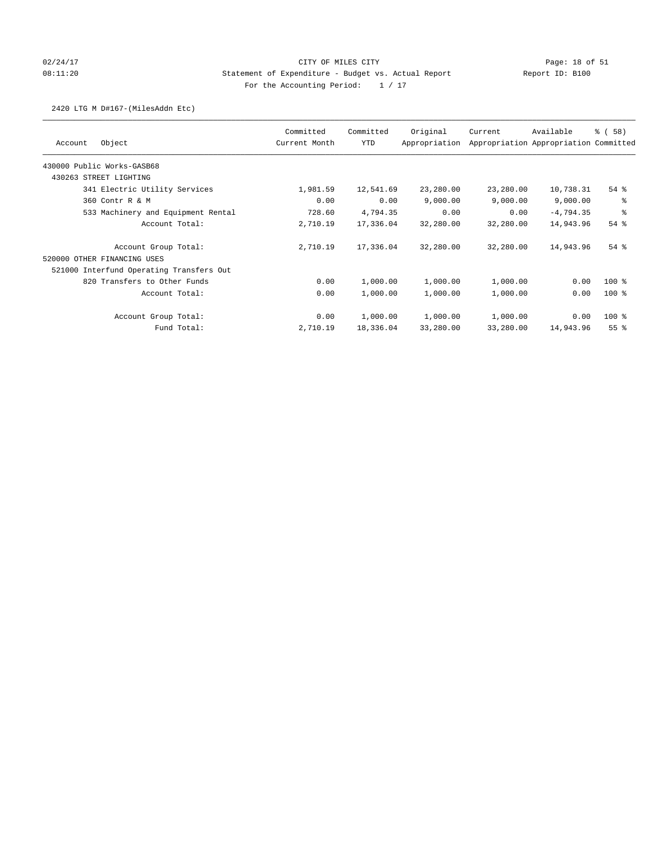## 02/24/17 Page: 18 of 51 08:11:20 Statement of Expenditure - Budget vs. Actual Report Report ID: B100 For the Accounting Period:  $1 / 17$

## 2420 LTG M D#167-(MilesAddn Etc)

|                                          | Committed     | Committed | Original      | Current   | Available                             | % (58)          |
|------------------------------------------|---------------|-----------|---------------|-----------|---------------------------------------|-----------------|
| Object<br>Account                        | Current Month | YTD       | Appropriation |           | Appropriation Appropriation Committed |                 |
| 430000 Public Works-GASB68               |               |           |               |           |                                       |                 |
| 430263 STREET LIGHTING                   |               |           |               |           |                                       |                 |
| 341 Electric Utility Services            | 1,981.59      | 12,541.69 | 23,280.00     | 23,280.00 | 10,738.31                             | $54$ $%$        |
| 360 Contr R & M                          | 0.00          | 0.00      | 9,000.00      | 9,000.00  | 9,000.00                              | る               |
| 533 Machinery and Equipment Rental       | 728.60        | 4,794.35  | 0.00          | 0.00      | $-4,794.35$                           | る               |
| Account Total:                           | 2,710.19      | 17,336.04 | 32,280.00     | 32,280.00 | 14,943.96                             | $54$ $%$        |
| Account Group Total:                     | 2,710.19      | 17,336.04 | 32,280.00     | 32,280.00 | 14,943.96                             | $54$ $%$        |
| 520000 OTHER FINANCING USES              |               |           |               |           |                                       |                 |
| 521000 Interfund Operating Transfers Out |               |           |               |           |                                       |                 |
| 820 Transfers to Other Funds             | 0.00          | 1,000.00  | 1,000.00      | 1,000.00  | 0.00                                  | $100$ %         |
| Account Total:                           | 0.00          | 1,000.00  | 1,000.00      | 1,000.00  | 0.00                                  | $100$ %         |
| Account Group Total:                     | 0.00          | 1,000.00  | 1,000.00      | 1,000.00  | 0.00                                  | $100$ %         |
| Fund Total:                              | 2,710.19      | 18,336.04 | 33,280.00     | 33,280.00 | 14,943.96                             | 55 <sup>8</sup> |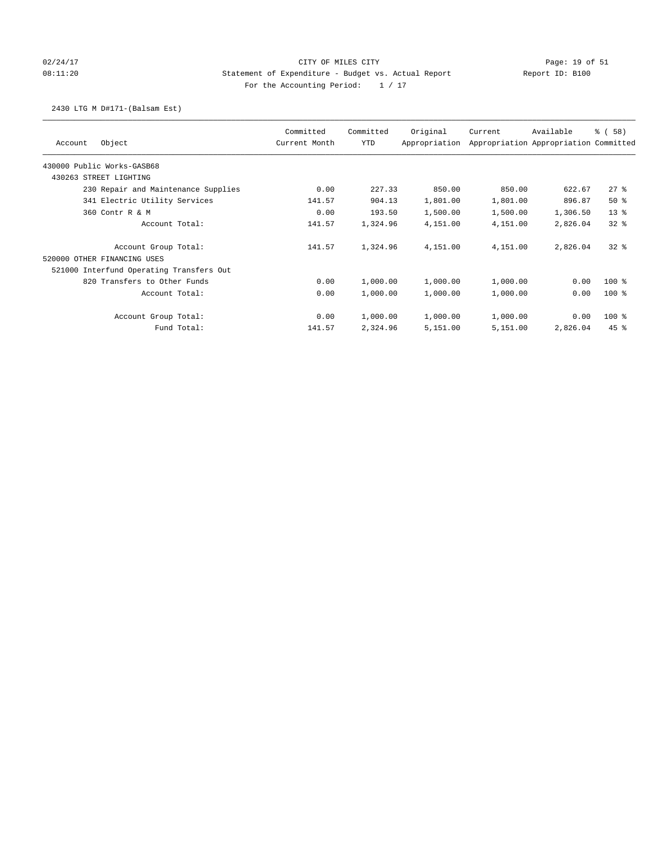## 02/24/17 CITY OF MILES CITY Page: 19 of 51 08:11:20 Statement of Expenditure - Budget vs. Actual Report Report ID: B100 For the Accounting Period:  $1 / 17$

## 2430 LTG M D#171-(Balsam Est)

| Object<br>Account                        | Committed<br>Current Month | Committed<br>YTD | Original<br>Appropriation | Current  | Available<br>Appropriation Appropriation Committed | % (58)   |
|------------------------------------------|----------------------------|------------------|---------------------------|----------|----------------------------------------------------|----------|
| 430000 Public Works-GASB68               |                            |                  |                           |          |                                                    |          |
| 430263 STREET LIGHTING                   |                            |                  |                           |          |                                                    |          |
| 230 Repair and Maintenance Supplies      | 0.00                       | 227.33           | 850.00                    | 850.00   | 622.67                                             | $27$ %   |
| 341 Electric Utility Services            | 141.57                     | 904.13           | 1,801.00                  | 1,801.00 | 896.87                                             | 50%      |
| 360 Contr R & M                          | 0.00                       | 193.50           | 1,500.00                  | 1,500.00 | 1,306.50                                           | $13*$    |
| Account Total:                           | 141.57                     | 1,324.96         | 4,151.00                  | 4,151.00 | 2,826.04                                           | 328      |
| Account Group Total:                     | 141.57                     | 1,324.96         | 4,151.00                  | 4,151.00 | 2,826.04                                           | 328      |
| 520000 OTHER FINANCING USES              |                            |                  |                           |          |                                                    |          |
| 521000 Interfund Operating Transfers Out |                            |                  |                           |          |                                                    |          |
| 820 Transfers to Other Funds             | 0.00                       | 1,000.00         | 1,000.00                  | 1,000.00 | 0.00                                               | $100*$   |
| Account Total:                           | 0.00                       | 1,000.00         | 1,000.00                  | 1,000.00 | 0.00                                               | $100$ %  |
| Account Group Total:                     | 0.00                       | 1,000.00         | 1,000.00                  | 1,000.00 | 0.00                                               | $100$ %  |
| Fund Total:                              | 141.57                     | 2,324.96         | 5,151.00                  | 5,151.00 | 2,826.04                                           | $45$ $%$ |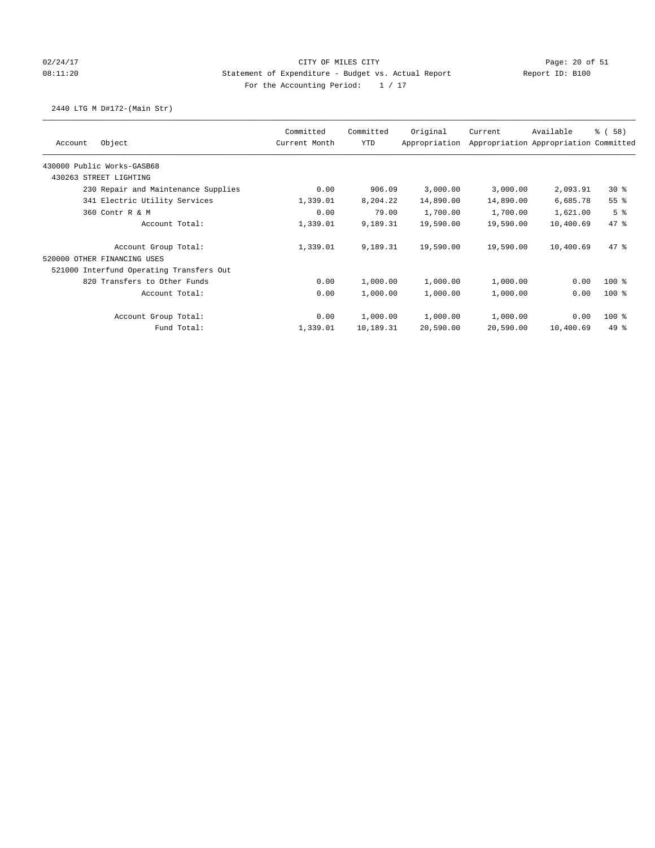## 02/24/17 CITY OF MILES CITY Page: 20 of 51 08:11:20 Statement of Expenditure - Budget vs. Actual Report Report ID: B100 For the Accounting Period:  $1 / 17$

## 2440 LTG M D#172-(Main Str)

|                                          | Committed     | Committed | Original      | Current   | Available                             | % (58)         |
|------------------------------------------|---------------|-----------|---------------|-----------|---------------------------------------|----------------|
| Object<br>Account                        | Current Month | YTD       | Appropriation |           | Appropriation Appropriation Committed |                |
| 430000 Public Works-GASB68               |               |           |               |           |                                       |                |
| 430263<br>STREET LIGHTING                |               |           |               |           |                                       |                |
| 230 Repair and Maintenance Supplies      | 0.00          | 906.09    | 3,000.00      | 3,000.00  | 2,093.91                              | $30*$          |
| 341 Electric Utility Services            | 1,339.01      | 8,204.22  | 14,890.00     | 14,890.00 | 6,685.78                              | 55 %           |
| 360 Contr R & M                          | 0.00          | 79.00     | 1,700.00      | 1,700.00  | 1,621.00                              | 5 <sup>8</sup> |
| Account Total:                           | 1,339.01      | 9,189.31  | 19,590.00     | 19,590.00 | 10,400.69                             | $47*$          |
| Account Group Total:                     | 1,339.01      | 9,189.31  | 19,590.00     | 19,590.00 | 10,400.69                             | $47*$          |
| 520000 OTHER FINANCING USES              |               |           |               |           |                                       |                |
| 521000 Interfund Operating Transfers Out |               |           |               |           |                                       |                |
| 820 Transfers to Other Funds             | 0.00          | 1,000.00  | 1,000.00      | 1,000.00  | 0.00                                  | $100$ %        |
| Account Total:                           | 0.00          | 1,000.00  | 1,000.00      | 1,000.00  | 0.00                                  | $100$ %        |
| Account Group Total:                     | 0.00          | 1,000.00  | 1,000.00      | 1,000.00  | 0.00                                  | $100$ %        |
| Fund Total:                              | 1,339.01      | 10,189.31 | 20,590.00     | 20,590.00 | 10,400.69                             | $49*$          |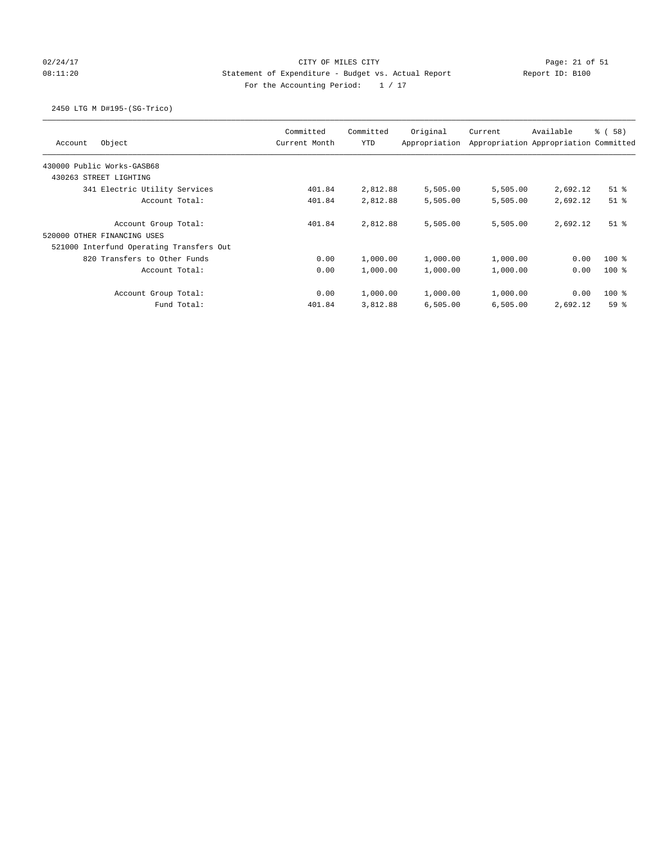# 02/24/17 Page: 21 of 51 Page: 21 of 51 08:11:20 Statement of Expenditure - Budget vs. Actual Report Report ID: B100 For the Accounting Period:  $1 / 17$

## 2450 LTG M D#195-(SG-Trico)

| Object<br>Account                        | Committed<br>Current Month | Committed<br><b>YTD</b> | Original<br>Appropriation | Current  | Available<br>Appropriation Appropriation Committed | <sub>ර</sub> ි (58) |
|------------------------------------------|----------------------------|-------------------------|---------------------------|----------|----------------------------------------------------|---------------------|
| 430000 Public Works-GASB68               |                            |                         |                           |          |                                                    |                     |
| 430263 STREET LIGHTING                   |                            |                         |                           |          |                                                    |                     |
| 341 Electric Utility Services            | 401.84                     | 2,812.88                | 5,505.00                  | 5,505.00 | 2,692.12                                           | $51$ %              |
| Account Total:                           | 401.84                     | 2,812.88                | 5,505.00                  | 5,505.00 | 2,692.12                                           | $51$ $%$            |
| Account Group Total:                     | 401.84                     | 2,812.88                | 5,505.00                  | 5,505.00 | 2,692.12                                           | $51$ %              |
| 520000 OTHER FINANCING USES              |                            |                         |                           |          |                                                    |                     |
| 521000 Interfund Operating Transfers Out |                            |                         |                           |          |                                                    |                     |
| 820 Transfers to Other Funds             | 0.00                       | 1,000.00                | 1,000.00                  | 1,000.00 | 0.00                                               | $100*$              |
| Account Total:                           | 0.00                       | 1,000.00                | 1,000.00                  | 1,000.00 | 0.00                                               | $100*$              |
| Account Group Total:                     | 0.00                       | 1,000.00                | 1,000.00                  | 1,000.00 | 0.00                                               | $100*$              |
| Fund Total:                              | 401.84                     | 3,812.88                | 6,505.00                  | 6,505.00 | 2,692.12                                           | 59%                 |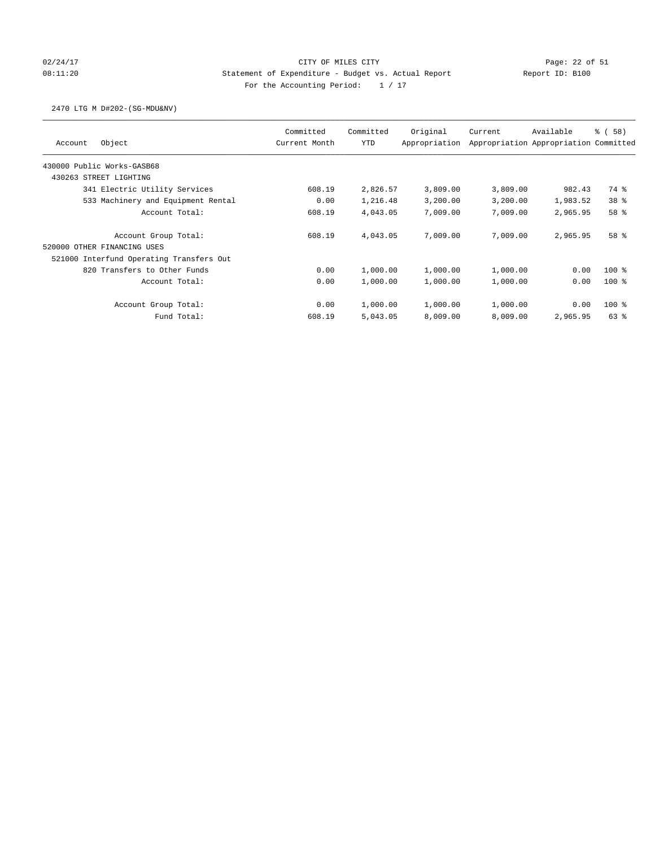# 02/24/17 Page: 22 of 51 08:11:20 Statement of Expenditure - Budget vs. Actual Report Report ID: B100 For the Accounting Period:  $1 / 17$

### 2470 LTG M D#202-(SG-MDU&NV)

| Object<br>Account                        | Committed<br>Current Month | Committed<br><b>YTD</b> | Original<br>Appropriation | Current  | Available<br>Appropriation Appropriation Committed | % (58)          |
|------------------------------------------|----------------------------|-------------------------|---------------------------|----------|----------------------------------------------------|-----------------|
| 430000 Public Works-GASB68               |                            |                         |                           |          |                                                    |                 |
| 430263 STREET LIGHTING                   |                            |                         |                           |          |                                                    |                 |
| 341 Electric Utility Services            | 608.19                     | 2,826.57                | 3,809.00                  | 3,809.00 | 982.43                                             | 74 %            |
| 533 Machinery and Equipment Rental       | 0.00                       | 1,216.48                | 3,200.00                  | 3,200.00 | 1,983.52                                           | 38 <sup>8</sup> |
| Account Total:                           | 608.19                     | 4,043.05                | 7,009.00                  | 7,009.00 | 2,965.95                                           | 58 %            |
| Account Group Total:                     | 608.19                     | 4,043.05                | 7,009.00                  | 7,009.00 | 2,965.95                                           | 58 %            |
| 520000 OTHER FINANCING USES              |                            |                         |                           |          |                                                    |                 |
| 521000 Interfund Operating Transfers Out |                            |                         |                           |          |                                                    |                 |
| 820 Transfers to Other Funds             | 0.00                       | 1,000.00                | 1,000.00                  | 1,000.00 | 0.00                                               | $100*$          |
| Account Total:                           | 0.00                       | 1,000.00                | 1,000.00                  | 1,000.00 | 0.00                                               | $100*$          |
| Account Group Total:                     | 0.00                       | 1,000.00                | 1,000.00                  | 1,000.00 | 0.00                                               | $100*$          |
| Fund Total:                              | 608.19                     | 5,043.05                | 8,009.00                  | 8,009.00 | 2,965.95                                           | $63$ $%$        |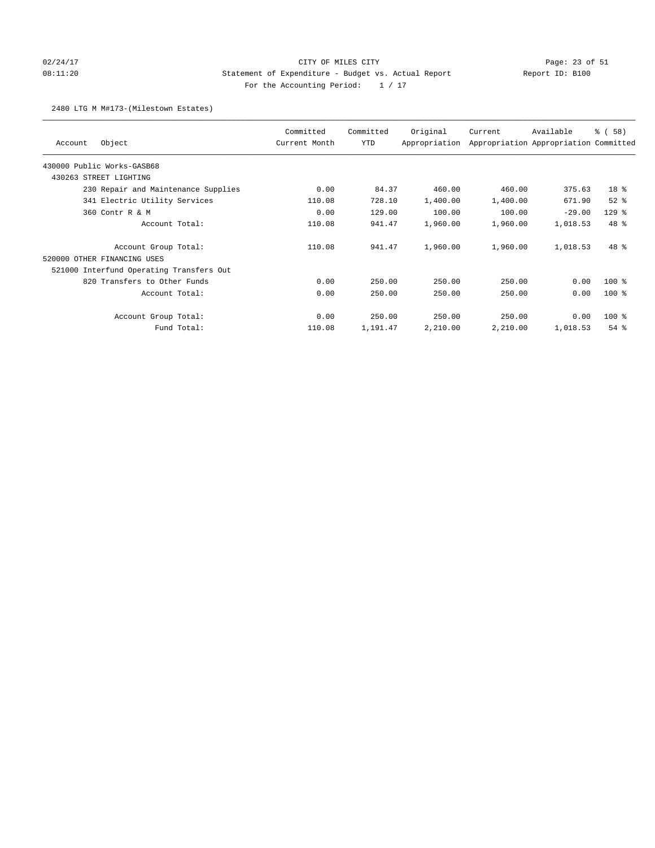# 02/24/17 Page: 23 of 51 08:11:20 Statement of Expenditure - Budget vs. Actual Report Report ID: B100 For the Accounting Period:  $1 / 17$

### 2480 LTG M M#173-(Milestown Estates)

| Object<br>Account                        | Committed<br>Current Month | Committed<br>YTD | Original<br>Appropriation | Current  | Available<br>Appropriation Appropriation Committed | % (58)   |
|------------------------------------------|----------------------------|------------------|---------------------------|----------|----------------------------------------------------|----------|
| 430000 Public Works-GASB68               |                            |                  |                           |          |                                                    |          |
| 430263 STREET LIGHTING                   |                            |                  |                           |          |                                                    |          |
| 230 Repair and Maintenance Supplies      | 0.00                       | 84.37            | 460.00                    | 460.00   | 375.63                                             | 18 %     |
| 341 Electric Utility Services            | 110.08                     | 728.10           | 1,400.00                  | 1,400.00 | 671.90                                             | $52$ $%$ |
| 360 Contr R & M                          | 0.00                       | 129.00           | 100.00                    | 100.00   | $-29.00$                                           | $129$ %  |
| Account Total:                           | 110.08                     | 941.47           | 1,960.00                  | 1,960.00 | 1,018.53                                           | 48 %     |
| Account Group Total:                     | 110.08                     | 941.47           | 1,960.00                  | 1,960.00 | 1,018.53                                           | $48*$    |
| 520000 OTHER FINANCING USES              |                            |                  |                           |          |                                                    |          |
| 521000 Interfund Operating Transfers Out |                            |                  |                           |          |                                                    |          |
| 820 Transfers to Other Funds             | 0.00                       | 250.00           | 250.00                    | 250.00   | 0.00                                               | $100$ %  |
| Account Total:                           | 0.00                       | 250.00           | 250.00                    | 250.00   | 0.00                                               | $100$ %  |
| Account Group Total:                     | 0.00                       | 250.00           | 250.00                    | 250.00   | 0.00                                               | $100$ %  |
| Fund Total:                              | 110.08                     | 1,191.47         | 2,210.00                  | 2,210.00 | 1,018.53                                           | $54$ $%$ |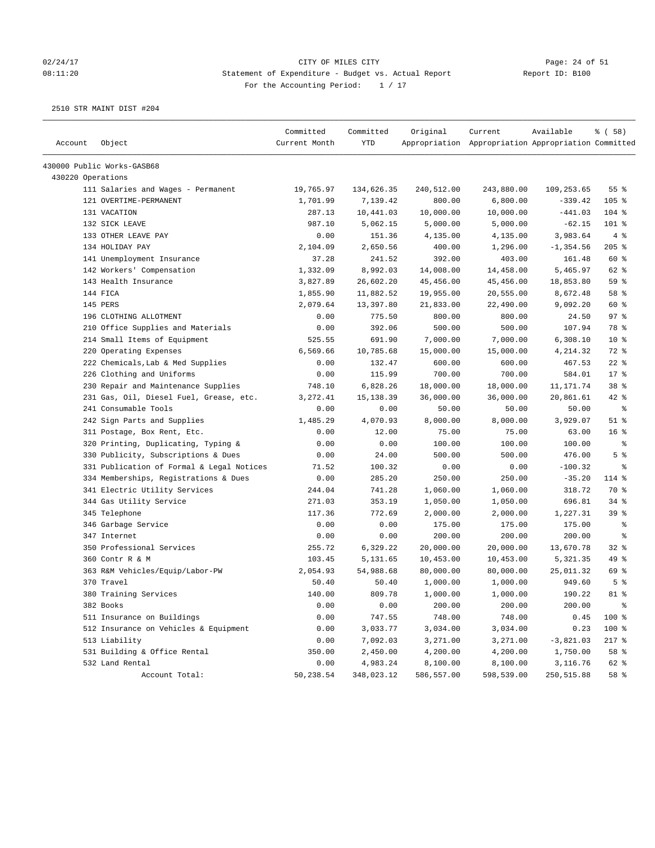### 02/24/17 Page: 24 of 51 08:11:20 Statement of Expenditure - Budget vs. Actual Report Report ID: B100 For the Accounting Period:  $1 / 17$

| Account           | Object                                    | Committed<br>Current Month | Committed<br>YTD | Original   | Current<br>Appropriation Appropriation Appropriation Committed | Available    | % ( 58 )        |
|-------------------|-------------------------------------------|----------------------------|------------------|------------|----------------------------------------------------------------|--------------|-----------------|
|                   | 430000 Public Works-GASB68                |                            |                  |            |                                                                |              |                 |
| 430220 Operations |                                           |                            |                  |            |                                                                |              |                 |
|                   | 111 Salaries and Wages - Permanent        | 19,765.97                  | 134,626.35       | 240,512.00 | 243,880.00                                                     | 109,253.65   | 55%             |
|                   | 121 OVERTIME-PERMANENT                    | 1,701.99                   | 7,139.42         | 800.00     | 6,800.00                                                       | $-339.42$    | 105 %           |
|                   | 131 VACATION                              | 287.13                     | 10,441.03        | 10,000.00  | 10,000.00                                                      | $-441.03$    | $104$ %         |
|                   | 132 SICK LEAVE                            | 987.10                     | 5,062.15         | 5,000.00   | 5,000.00                                                       | $-62.15$     | 101 %           |
|                   | 133 OTHER LEAVE PAY                       | 0.00                       | 151.36           | 4,135.00   | 4,135.00                                                       | 3,983.64     | 4%              |
|                   | 134 HOLIDAY PAY                           | 2,104.09                   | 2,650.56         | 400.00     | 1,296.00                                                       | $-1, 354.56$ | 205%            |
|                   | 141 Unemployment Insurance                | 37.28                      | 241.52           | 392.00     | 403.00                                                         | 161.48       | 60 %            |
|                   | 142 Workers' Compensation                 | 1,332.09                   | 8,992.03         | 14,008.00  | 14,458.00                                                      | 5,465.97     | 62 %            |
|                   | 143 Health Insurance                      | 3,827.89                   | 26,602.20        | 45,456.00  | 45,456.00                                                      | 18,853.80    | 59 %            |
|                   | 144 FICA                                  | 1,855.90                   | 11,882.52        | 19,955.00  | 20,555.00                                                      | 8,672.48     | 58 %            |
|                   | 145 PERS                                  | 2,079.64                   | 13,397.80        | 21,833.00  | 22,490.00                                                      | 9,092.20     | 60 %            |
|                   | 196 CLOTHING ALLOTMENT                    | 0.00                       | 775.50           | 800.00     | 800.00                                                         | 24.50        | 97%             |
|                   | 210 Office Supplies and Materials         | 0.00                       | 392.06           | 500.00     | 500.00                                                         | 107.94       | 78 %            |
|                   | 214 Small Items of Equipment              | 525.55                     | 691.90           | 7,000.00   | 7,000.00                                                       | 6,308.10     | $10*$           |
|                   | 220 Operating Expenses                    | 6,569.66                   | 10,785.68        | 15,000.00  | 15,000.00                                                      | 4,214.32     | 72 %            |
|                   | 222 Chemicals, Lab & Med Supplies         | 0.00                       | 132.47           | 600.00     | 600.00                                                         | 467.53       | $22$ %          |
|                   | 226 Clothing and Uniforms                 | 0.00                       | 115.99           | 700.00     | 700.00                                                         | 584.01       | 17.8            |
|                   | 230 Repair and Maintenance Supplies       | 748.10                     | 6,828.26         | 18,000.00  | 18,000.00                                                      | 11,171.74    | 38 <sup>8</sup> |
|                   | 231 Gas, Oil, Diesel Fuel, Grease, etc.   | 3,272.41                   | 15, 138.39       | 36,000.00  | 36,000.00                                                      | 20,861.61    | $42$ %          |
|                   | 241 Consumable Tools                      | 0.00                       | 0.00             | 50.00      | 50.00                                                          | 50.00        | နွ              |
|                   | 242 Sign Parts and Supplies               | 1,485.29                   | 4,070.93         | 8,000.00   | 8,000.00                                                       | 3,929.07     | $51$ %          |
|                   | 311 Postage, Box Rent, Etc.               | 0.00                       | 12.00            | 75.00      | 75.00                                                          | 63.00        | 16 <sup>8</sup> |
|                   | 320 Printing, Duplicating, Typing &       | 0.00                       | 0.00             | 100.00     | 100.00                                                         | 100.00       | ್ಠಿ             |
|                   | 330 Publicity, Subscriptions & Dues       | 0.00                       | 24.00            | 500.00     | 500.00                                                         | 476.00       | 5 <sup>8</sup>  |
|                   | 331 Publication of Formal & Legal Notices | 71.52                      | 100.32           | 0.00       | 0.00                                                           | $-100.32$    | နွ              |
|                   | 334 Memberships, Registrations & Dues     | 0.00                       | 285.20           | 250.00     | 250.00                                                         | $-35.20$     | 114 %           |
|                   | 341 Electric Utility Services             | 244.04                     | 741.28           | 1,060.00   | 1,060.00                                                       | 318.72       | 70 %            |
|                   | 344 Gas Utility Service                   | 271.03                     | 353.19           | 1,050.00   | 1,050.00                                                       | 696.81       | $34$ $%$        |
|                   | 345 Telephone                             | 117.36                     | 772.69           | 2,000.00   | 2,000.00                                                       | 1,227.31     | 39 %            |
|                   | 346 Garbage Service                       | 0.00                       | 0.00             | 175.00     | 175.00                                                         | 175.00       | နွ              |
|                   | 347 Internet                              | 0.00                       | 0.00             | 200.00     | 200.00                                                         | 200.00       | ႜ               |
|                   | 350 Professional Services                 | 255.72                     | 6,329.22         | 20,000.00  | 20,000.00                                                      | 13,670.78    | $32$ $%$        |
|                   | 360 Contr R & M                           | 103.45                     | 5,131.65         | 10,453.00  | 10,453.00                                                      | 5,321.35     | 49 %            |
|                   | 363 R&M Vehicles/Equip/Labor-PW           | 2,054.93                   | 54,988.68        | 80,000.00  | 80,000.00                                                      | 25,011.32    | 69 %            |
|                   | 370 Travel                                | 50.40                      | 50.40            | 1,000.00   | 1,000.00                                                       | 949.60       | 5 <sup>8</sup>  |
|                   | 380 Training Services                     | 140.00                     | 809.78           | 1,000.00   | 1,000.00                                                       | 190.22       | $81$ %          |
|                   | 382 Books                                 | 0.00                       | 0.00             | 200.00     | 200.00                                                         | 200.00       | $\epsilon$      |
|                   | 511 Insurance on Buildings                | 0.00                       | 747.55           | 748.00     | 748.00                                                         | 0.45         | 100 %           |
|                   | 512 Insurance on Vehicles & Equipment     | 0.00                       | 3,033.77         | 3,034.00   | 3,034.00                                                       | 0.23         | 100 %           |
|                   | 513 Liability                             | 0.00                       | 7,092.03         | 3,271.00   | 3,271.00                                                       | $-3,821.03$  | $217$ %         |
|                   | 531 Building & Office Rental              | 350.00                     | 2,450.00         | 4,200.00   | 4,200.00                                                       | 1,750.00     | 58 %            |
|                   | 532 Land Rental                           | 0.00                       | 4,983.24         | 8,100.00   | 8,100.00                                                       | 3,116.76     | 62 %            |
|                   | Account Total:                            | 50,238.54                  | 348,023.12       | 586,557.00 | 598,539.00                                                     | 250,515.88   | 58 %            |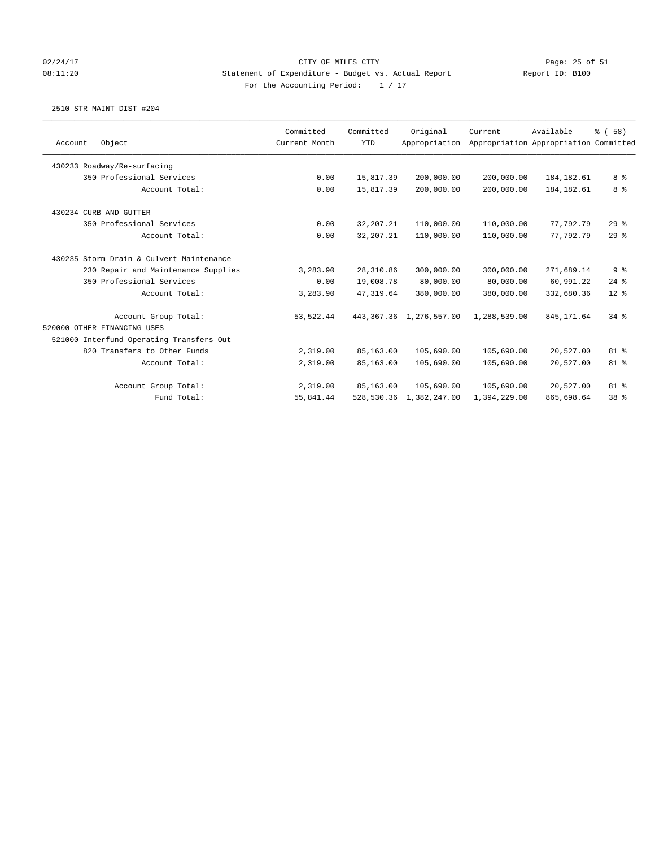## 02/24/17 Page: 25 of 51 08:11:20 Statement of Expenditure - Budget vs. Actual Report Report ID: B100 For the Accounting Period:  $1 / 17$

|         |                                          | Committed     | Committed   | Original                     | Current      | Available                             | % (58)         |
|---------|------------------------------------------|---------------|-------------|------------------------------|--------------|---------------------------------------|----------------|
| Account | Object                                   | Current Month | <b>YTD</b>  | Appropriation                |              | Appropriation Appropriation Committed |                |
|         | 430233 Roadway/Re-surfacing              |               |             |                              |              |                                       |                |
|         | 350 Professional Services                | 0.00          | 15,817.39   | 200,000.00                   | 200,000.00   | 184, 182.61                           | 8 %            |
|         | Account Total:                           | 0.00          | 15,817.39   | 200,000.00                   | 200,000.00   | 184, 182.61                           | 8 %            |
|         | 430234 CURB AND GUTTER                   |               |             |                              |              |                                       |                |
|         | 350 Professional Services                | 0.00          | 32, 207. 21 | 110,000.00                   | 110,000.00   | 77,792.79                             | 29%            |
|         | Account Total:                           | 0.00          | 32, 207. 21 | 110,000.00                   | 110,000.00   | 77.792.79                             | 29%            |
|         | 430235 Storm Drain & Culvert Maintenance |               |             |                              |              |                                       |                |
|         | 230 Repair and Maintenance Supplies      | 3,283.90      | 28, 310.86  | 300,000.00                   | 300,000.00   | 271,689.14                            | 9 <sup>8</sup> |
|         | 350 Professional Services                | 0.00          | 19,008.78   | 80,000.00                    | 80,000.00    | 60,991.22                             | $24$ %         |
|         | Account Total:                           | 3,283.90      | 47.319.64   | 380,000.00                   | 380,000.00   | 332,680.36                            | $12*$          |
|         | Account Group Total:                     | 53,522.44     |             | 443, 367. 36 1, 276, 557. 00 | 1,288,539.00 | 845, 171.64                           | 34.8           |
|         | 520000 OTHER FINANCING USES              |               |             |                              |              |                                       |                |
|         | 521000 Interfund Operating Transfers Out |               |             |                              |              |                                       |                |
|         | 820 Transfers to Other Funds             | 2,319.00      | 85,163.00   | 105,690.00                   | 105,690.00   | 20,527.00                             | 81 %           |
|         | Account Total:                           | 2,319.00      | 85,163.00   | 105,690.00                   | 105,690.00   | 20,527.00                             | 81 %           |
|         | Account Group Total:                     | 2,319.00      | 85,163.00   | 105,690.00                   | 105,690.00   | 20,527.00                             | 81 %           |
|         | Fund Total:                              | 55,841.44     |             | 528,530.36 1,382,247.00      | 1,394,229.00 | 865,698.64                            | 38 %           |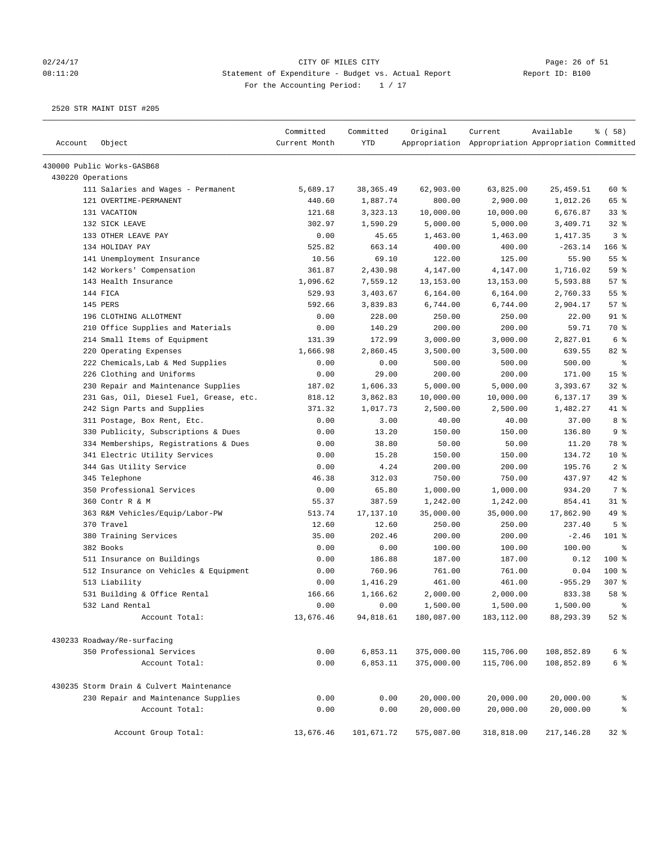# 02/24/17 Page: 26 of 51 08:11:20 Statement of Expenditure - Budget vs. Actual Report Changer Report ID: B100 For the Accounting Period: 1 / 17

|                   |                                          | Committed     | Committed  | Original   | Current                                             | Available   | % (58)          |
|-------------------|------------------------------------------|---------------|------------|------------|-----------------------------------------------------|-------------|-----------------|
| Account           | Object                                   | Current Month | <b>YTD</b> |            | Appropriation Appropriation Appropriation Committed |             |                 |
|                   | 430000 Public Works-GASB68               |               |            |            |                                                     |             |                 |
| 430220 Operations |                                          |               |            |            |                                                     |             |                 |
|                   | 111 Salaries and Wages - Permanent       | 5,689.17      | 38, 365.49 | 62,903.00  | 63,825.00                                           | 25,459.51   | 60 %            |
|                   | 121 OVERTIME-PERMANENT                   | 440.60        | 1,887.74   | 800.00     | 2,900.00                                            | 1,012.26    | 65 %            |
|                   | 131 VACATION                             | 121.68        | 3,323.13   | 10,000.00  | 10,000.00                                           | 6,676.87    | 33%             |
|                   | 132 SICK LEAVE                           | 302.97        | 1,590.29   | 5,000.00   | 5,000.00                                            | 3,409.71    | 32%             |
|                   | 133 OTHER LEAVE PAY                      | 0.00          | 45.65      | 1,463.00   | 1,463.00                                            | 1,417.35    | 3%              |
|                   | 134 HOLIDAY PAY                          | 525.82        | 663.14     | 400.00     | 400.00                                              | $-263.14$   | 166 %           |
|                   | 141 Unemployment Insurance               | 10.56         | 69.10      | 122.00     | 125.00                                              | 55.90       | 55%             |
|                   | 142 Workers' Compensation                | 361.87        | 2,430.98   | 4,147.00   | 4,147.00                                            | 1,716.02    | 59 %            |
|                   | 143 Health Insurance                     | 1,096.62      | 7,559.12   | 13, 153.00 | 13,153.00                                           | 5,593.88    | 57%             |
|                   | 144 FICA                                 | 529.93        | 3,403.67   | 6,164.00   | 6,164.00                                            | 2,760.33    | 55%             |
|                   | 145 PERS                                 | 592.66        | 3,839.83   | 6,744.00   | 6,744.00                                            | 2,904.17    | 57%             |
|                   | 196 CLOTHING ALLOTMENT                   | 0.00          | 228.00     | 250.00     | 250.00                                              | 22.00       | 91 %            |
|                   | 210 Office Supplies and Materials        | 0.00          | 140.29     | 200.00     | 200.00                                              | 59.71       | 70 %            |
|                   | 214 Small Items of Equipment             | 131.39        | 172.99     | 3,000.00   | 3,000.00                                            | 2,827.01    | 6 <sup>°</sup>  |
|                   | 220 Operating Expenses                   | 1,666.98      | 2,860.45   | 3,500.00   | 3,500.00                                            | 639.55      | 82 %            |
|                   | 222 Chemicals, Lab & Med Supplies        | 0.00          | 0.00       | 500.00     | 500.00                                              | 500.00      | နွ              |
|                   | 226 Clothing and Uniforms                | 0.00          | 29.00      | 200.00     | 200.00                                              | 171.00      | 15 <sup>°</sup> |
|                   | 230 Repair and Maintenance Supplies      | 187.02        | 1,606.33   | 5,000.00   | 5,000.00                                            | 3,393.67    | $32$ $%$        |
|                   | 231 Gas, Oil, Diesel Fuel, Grease, etc.  | 818.12        | 3,862.83   | 10,000.00  | 10,000.00                                           | 6,137.17    | 39 %            |
|                   | 242 Sign Parts and Supplies              | 371.32        | 1,017.73   | 2,500.00   | 2,500.00                                            | 1,482.27    | 41 %            |
|                   | 311 Postage, Box Rent, Etc.              | 0.00          | 3.00       | 40.00      | 40.00                                               | 37.00       | 8 %             |
|                   | 330 Publicity, Subscriptions & Dues      | 0.00          | 13.20      | 150.00     | 150.00                                              | 136.80      | 9%              |
|                   | 334 Memberships, Registrations & Dues    | 0.00          | 38.80      | 50.00      | 50.00                                               | 11.20       | 78 %            |
|                   | 341 Electric Utility Services            | 0.00          | 15.28      | 150.00     | 150.00                                              | 134.72      | $10*$           |
|                   | 344 Gas Utility Service                  | 0.00          | 4.24       | 200.00     | 200.00                                              | 195.76      | 2 <sup>8</sup>  |
|                   | 345 Telephone                            | 46.38         | 312.03     | 750.00     | 750.00                                              | 437.97      | 42 %            |
|                   | 350 Professional Services                | 0.00          | 65.80      | 1,000.00   | 1,000.00                                            | 934.20      | 7 %             |
|                   | 360 Contr R & M                          | 55.37         | 387.59     | 1,242.00   | 1,242.00                                            | 854.41      | $31$ %          |
|                   | 363 R&M Vehicles/Equip/Labor-PW          | 513.74        | 17,137.10  | 35,000.00  | 35,000.00                                           | 17,862.90   | 49 %            |
|                   | 370 Travel                               | 12.60         | 12.60      | 250.00     | 250.00                                              | 237.40      | 5 <sup>8</sup>  |
|                   | 380 Training Services                    | 35.00         | 202.46     | 200.00     | 200.00                                              | $-2.46$     | 101 %           |
|                   | 382 Books                                | 0.00          | 0.00       | 100.00     | 100.00                                              | 100.00      | နွ              |
|                   | 511 Insurance on Buildings               | 0.00          | 186.88     | 187.00     | 187.00                                              | 0.12        | 100 %           |
|                   | 512 Insurance on Vehicles & Equipment    | 0.00          | 760.96     | 761.00     | 761.00                                              | 0.04        | $100$ %         |
|                   | 513 Liability                            | 0.00          | 1,416.29   | 461.00     | 461.00                                              | $-955.29$   | $307$ %         |
|                   | 531 Building & Office Rental             | 166.66        | 1,166.62   | 2,000.00   | 2,000.00                                            | 833.38      | 58 %            |
|                   | 532 Land Rental                          | 0.00          | 0.00       | 1,500.00   | 1,500.00                                            | 1,500.00    |                 |
|                   | Account Total:                           | 13,676.46     | 94,818.61  | 180,087.00 | 183,112.00                                          | 88,293.39   | $52$ %          |
|                   | 430233 Roadway/Re-surfacing              |               |            |            |                                                     |             |                 |
|                   | 350 Professional Services                | 0.00          | 6,853.11   | 375,000.00 | 115,706.00                                          | 108,852.89  | 6 %             |
|                   | Account Total:                           | 0.00          | 6,853.11   | 375,000.00 | 115,706.00                                          | 108,852.89  | 6 %             |
|                   | 430235 Storm Drain & Culvert Maintenance |               |            |            |                                                     |             |                 |
|                   |                                          | 0.00          | 0.00       |            |                                                     | 20,000.00   |                 |
|                   | 230 Repair and Maintenance Supplies      |               |            | 20,000.00  | 20,000.00                                           |             | ိစ              |
|                   | Account Total:                           | 0.00          | 0.00       | 20,000.00  | 20,000.00                                           | 20,000.00   | ್ಠಿ             |
|                   | Account Group Total:                     | 13,676.46     | 101,671.72 | 575,087.00 | 318,818.00                                          | 217, 146.28 | 32%             |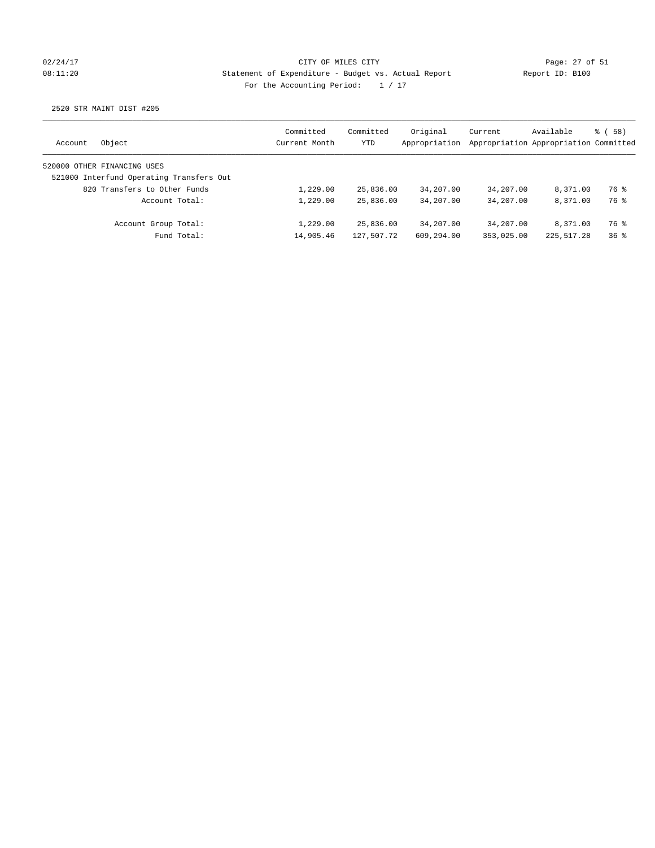## 02/24/17 Page: 27 of 51 08:11:20 Statement of Expenditure - Budget vs. Actual Report Report ID: B100 For the Accounting Period:  $1 / 17$

| Account | Object                                   | Committed<br>Current Month | Committed<br>YTD | Original<br>Appropriation | Current    | Available<br>Appropriation Appropriation Committed | % (58)          |
|---------|------------------------------------------|----------------------------|------------------|---------------------------|------------|----------------------------------------------------|-----------------|
|         | 520000 OTHER FINANCING USES              |                            |                  |                           |            |                                                    |                 |
|         | 521000 Interfund Operating Transfers Out |                            |                  |                           |            |                                                    |                 |
|         | 820 Transfers to Other Funds             | 1,229.00                   | 25,836.00        | 34,207.00                 | 34,207.00  | 8,371.00                                           | 76 %            |
|         | Account Total:                           | 1,229.00                   | 25,836.00        | 34,207.00                 | 34,207.00  | 8,371.00                                           | 76 %            |
|         | Account Group Total:                     | 1,229.00                   | 25,836.00        | 34,207.00                 | 34,207.00  | 8,371.00                                           | 76 %            |
|         | Fund Total:                              | 14,905.46                  | 127,507.72       | 609,294.00                | 353,025.00 | 225,517.28                                         | 36 <sup>8</sup> |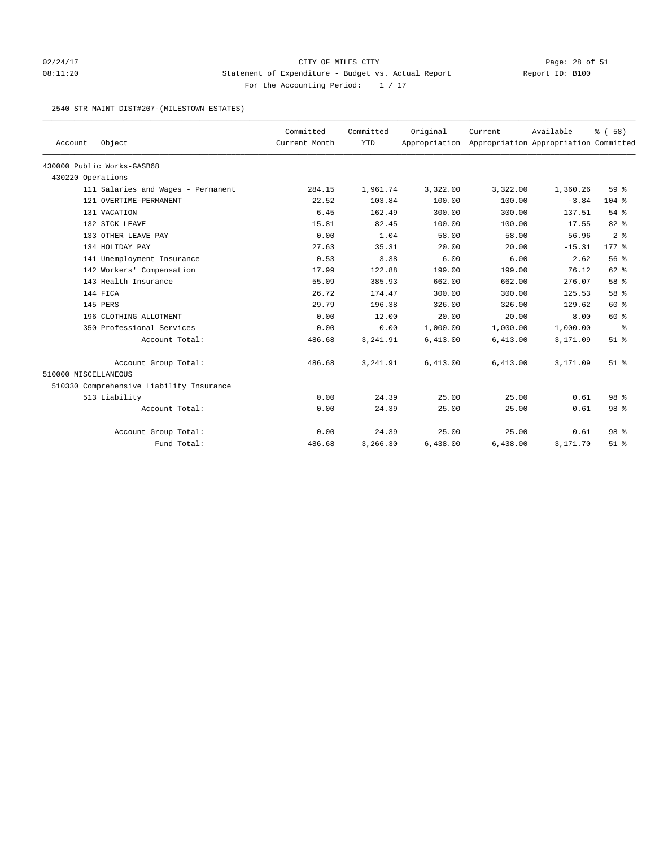## 02/24/17 Page: 28 of 51 08:11:20 Statement of Expenditure - Budget vs. Actual Report Report ID: B100 For the Accounting Period:  $1 / 17$

### 2540 STR MAINT DIST#207-(MILESTOWN ESTATES)

|                      |                                          | Committed     | Committed  | Original | Current                                             | Available | % (58)          |
|----------------------|------------------------------------------|---------------|------------|----------|-----------------------------------------------------|-----------|-----------------|
| Account              | Object                                   | Current Month | <b>YTD</b> |          | Appropriation Appropriation Appropriation Committed |           |                 |
|                      | 430000 Public Works-GASB68               |               |            |          |                                                     |           |                 |
| 430220 Operations    |                                          |               |            |          |                                                     |           |                 |
|                      | 111 Salaries and Wages - Permanent       | 284.15        | 1,961.74   | 3,322.00 | 3,322.00                                            | 1,360.26  | 59%             |
|                      | 121 OVERTIME-PERMANENT                   | 22.52         | 103.84     | 100.00   | 100.00                                              | $-3.84$   | $104*$          |
|                      | 131 VACATION                             | 6.45          | 162.49     | 300.00   | 300.00                                              | 137.51    | 54 %            |
|                      | 132 SICK LEAVE                           | 15.81         | 82.45      | 100.00   | 100.00                                              | 17.55     | 82%             |
|                      | 133 OTHER LEAVE PAY                      | 0.00          | 1.04       | 58.00    | 58.00                                               | 56.96     | 2 <sup>8</sup>  |
|                      | 134 HOLIDAY PAY                          | 27.63         | 35.31      | 20.00    | 20.00                                               | $-15.31$  | $177$ $*$       |
|                      | 141 Unemployment Insurance               | 0.53          | 3.38       | 6.00     | 6.00                                                | 2.62      | 56%             |
|                      | 142 Workers' Compensation                | 17.99         | 122.88     | 199.00   | 199.00                                              | 76.12     | 62 %            |
|                      | 143 Health Insurance                     | 55.09         | 385.93     | 662.00   | 662.00                                              | 276.07    | 58 %            |
|                      | 144 FICA                                 | 26.72         | 174.47     | 300.00   | 300.00                                              | 125.53    | 58 %            |
|                      | 145 PERS                                 | 29.79         | 196.38     | 326.00   | 326.00                                              | 129.62    | 60 %            |
|                      | 196 CLOTHING ALLOTMENT                   | 0.00          | 12.00      | 20.00    | 20.00                                               | 8.00      | 60 %            |
|                      | 350 Professional Services                | 0.00          | 0.00       | 1,000.00 | 1,000.00                                            | 1,000.00  | နွ              |
|                      | Account Total:                           | 486.68        | 3,241.91   | 6,413.00 | 6,413.00                                            | 3,171.09  | $51$ %          |
|                      | Account Group Total:                     | 486.68        | 3,241.91   | 6,413.00 | 6,413.00                                            | 3,171.09  | $51$ $%$        |
| 510000 MISCELLANEOUS |                                          |               |            |          |                                                     |           |                 |
|                      | 510330 Comprehensive Liability Insurance |               |            |          |                                                     |           |                 |
|                      | 513 Liability                            | 0.00          | 24.39      | 25.00    | 25.00                                               | 0.61      | 98 %            |
|                      | Account Total:                           | 0.00          | 24.39      | 25.00    | 25.00                                               | 0.61      | 98 %            |
|                      | Account Group Total:                     | 0.00          | 24.39      | 25.00    | 25.00                                               | 0.61      | 98 <sup>8</sup> |
|                      | Fund Total:                              | 486.68        | 3,266.30   | 6,438.00 | 6,438.00                                            | 3,171.70  | $51$ $%$        |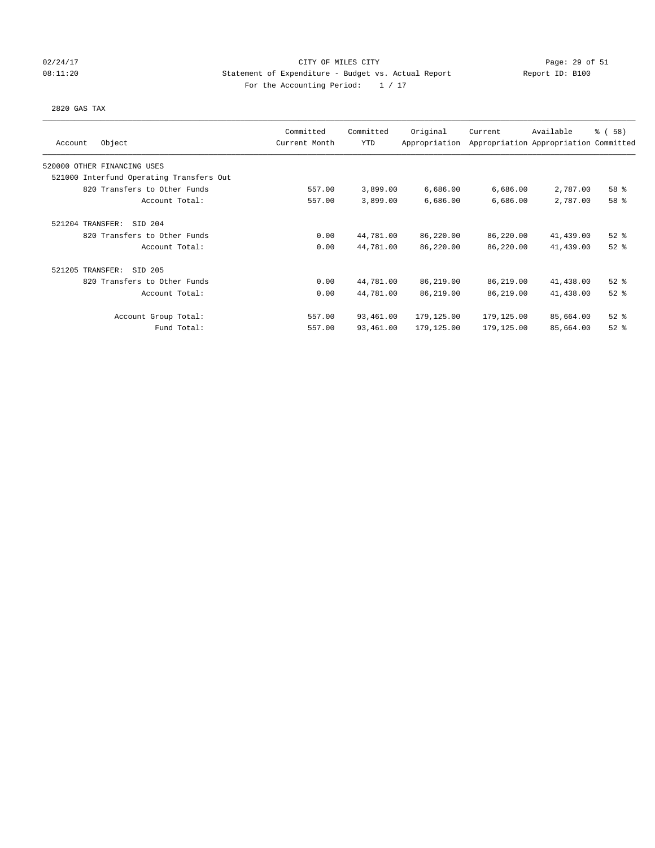## 02/24/17 CITY OF MILES CITY Page: 29 of 51 08:11:20 Statement of Expenditure - Budget vs. Actual Report Report ID: B100 For the Accounting Period:  $1 / 17$

### 2820 GAS TAX

| Object<br>Account                        | Committed<br>Current Month | Committed<br><b>YTD</b> | Original<br>Appropriation | Current    | Available<br>Appropriation Appropriation Committed | % (58)   |
|------------------------------------------|----------------------------|-------------------------|---------------------------|------------|----------------------------------------------------|----------|
| 520000 OTHER FINANCING USES              |                            |                         |                           |            |                                                    |          |
| 521000 Interfund Operating Transfers Out |                            |                         |                           |            |                                                    |          |
| 820 Transfers to Other Funds             | 557.00                     | 3,899.00                | 6,686.00                  | 6,686.00   | 2,787.00                                           | 58 %     |
| Account Total:                           | 557.00                     | 3,899.00                | 6,686.00                  | 6,686.00   | 2,787.00                                           | 58 %     |
| 521204 TRANSFER:<br>SID 204              |                            |                         |                           |            |                                                    |          |
| 820 Transfers to Other Funds             | 0.00                       | 44,781.00               | 86,220.00                 | 86,220.00  | 41,439.00                                          | $52$ $%$ |
| Account Total:                           | 0.00                       | 44,781.00               | 86,220.00                 | 86,220.00  | 41,439.00                                          | $52$ $%$ |
| 521205 TRANSFER:<br>SID 205              |                            |                         |                           |            |                                                    |          |
| 820 Transfers to Other Funds             | 0.00                       | 44,781.00               | 86,219.00                 | 86,219.00  | 41,438.00                                          | $52$ $%$ |
| Account Total:                           | 0.00                       | 44,781.00               | 86,219.00                 | 86,219.00  | 41,438.00                                          | $52$ $%$ |
| Account Group Total:                     | 557.00                     | 93,461.00               | 179,125.00                | 179,125.00 | 85,664.00                                          | $52$ $%$ |
| Fund Total:                              | 557.00                     | 93,461.00               | 179,125.00                | 179,125.00 | 85,664.00                                          | $52$ $%$ |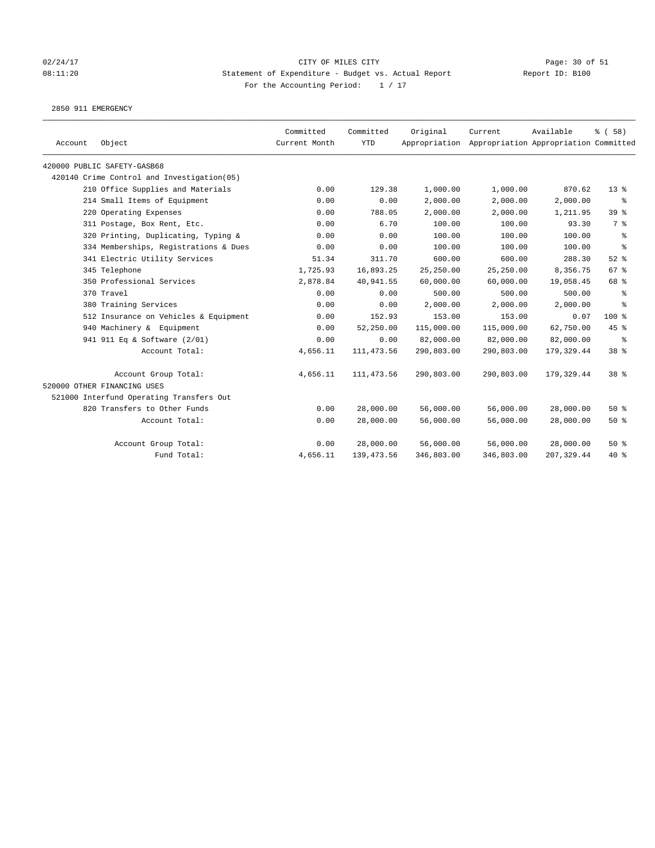# 02/24/17 Page: 30 of 51 08:11:20 Statement of Expenditure - Budget vs. Actual Report Report ID: B100 For the Accounting Period:  $1 / 17$

2850 911 EMERGENCY

| Account | Object                                     | Committed<br>Current Month | Committed<br><b>YTD</b> | Original   | Current<br>Appropriation Appropriation Appropriation Committed | Available   | % (58)                   |
|---------|--------------------------------------------|----------------------------|-------------------------|------------|----------------------------------------------------------------|-------------|--------------------------|
|         | 420000 PUBLIC SAFETY-GASB68                |                            |                         |            |                                                                |             |                          |
|         | 420140 Crime Control and Investigation(05) |                            |                         |            |                                                                |             |                          |
|         | 210 Office Supplies and Materials          | 0.00                       | 129.38                  | 1,000.00   | 1,000.00                                                       | 870.62      | $13*$                    |
|         | 214 Small Items of Equipment               | 0.00                       | 0.00                    | 2,000.00   | 2,000.00                                                       | 2,000.00    | နွ                       |
|         | 220 Operating Expenses                     | 0.00                       | 788.05                  | 2,000.00   | 2,000.00                                                       | 1,211.95    | 39 %                     |
|         | 311 Postage, Box Rent, Etc.                | 0.00                       | 6.70                    | 100.00     | 100.00                                                         | 93.30       | 7 %                      |
|         | 320 Printing, Duplicating, Typing &        | 0.00                       | 0.00                    | 100.00     | 100.00                                                         | 100.00      | $\epsilon$               |
|         | 334 Memberships, Registrations & Dues      | 0.00                       | 0.00                    | 100.00     | 100.00                                                         | 100.00      | $\,{}^{\circ}\!\!\delta$ |
|         | 341 Electric Utility Services              | 51.34                      | 311.70                  | 600.00     | 600.00                                                         | 288.30      | $52$ $%$                 |
|         | 345 Telephone                              | 1,725.93                   | 16,893.25               | 25,250.00  | 25,250.00                                                      | 8,356.75    | 67%                      |
|         | 350 Professional Services                  | 2,878.84                   | 40,941.55               | 60,000.00  | 60,000.00                                                      | 19,058.45   | 68 %                     |
|         | 370 Travel                                 | 0.00                       | 0.00                    | 500.00     | 500.00                                                         | 500.00      | နွ                       |
|         | 380 Training Services                      | 0.00                       | 0.00                    | 2,000.00   | 2,000.00                                                       | 2,000.00    | $\approx$                |
|         | 512 Insurance on Vehicles & Equipment      | 0.00                       | 152.93                  | 153.00     | 153.00                                                         | 0.07        | $100$ %                  |
|         | 940 Machinery & Equipment                  | 0.00                       | 52,250.00               | 115,000.00 | 115,000.00                                                     | 62,750.00   | 45 %                     |
|         | 941 911 Eq & Software (2/01)               | 0.00                       | 0.00                    | 82,000.00  | 82,000.00                                                      | 82,000.00   | ႜ                        |
|         | Account Total:                             | 4,656.11                   | 111, 473.56             | 290,803.00 | 290,803.00                                                     | 179,329.44  | 38 <sup>8</sup>          |
|         | Account Group Total:                       | 4,656.11                   | 111, 473.56             | 290,803.00 | 290,803.00                                                     | 179,329.44  | 38 %                     |
|         | 520000 OTHER FINANCING USES                |                            |                         |            |                                                                |             |                          |
|         | 521000 Interfund Operating Transfers Out   |                            |                         |            |                                                                |             |                          |
|         | 820 Transfers to Other Funds               | 0.00                       | 28,000.00               | 56,000.00  | 56,000.00                                                      | 28,000.00   | $50*$                    |
|         | Account Total:                             | 0.00                       | 28,000.00               | 56,000.00  | 56,000.00                                                      | 28,000.00   | 50%                      |
|         | Account Group Total:                       | 0.00                       | 28,000.00               | 56,000.00  | 56,000.00                                                      | 28,000.00   | 50%                      |
|         | Fund Total:                                | 4,656.11                   | 139, 473.56             | 346,803.00 | 346,803.00                                                     | 207, 329.44 | $40*$                    |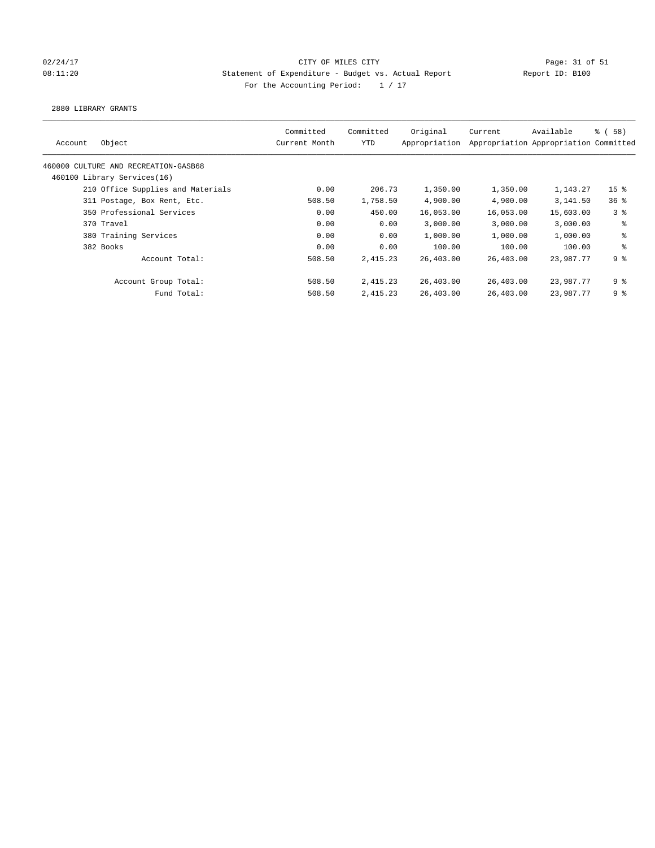## 02/24/17 Page: 31 of 51 and 2020/24/17 Page: 31 of 51 08:11:20 Statement of Expenditure - Budget vs. Actual Report Report ID: B100 For the Accounting Period:  $1 / 17$

2880 LIBRARY GRANTS

| Account | Object                               | Committed<br>Current Month | Committed<br>YTD | Original<br>Appropriation | Current   | Available<br>Appropriation Appropriation Committed | <sub>ර</sub> ි (58) |
|---------|--------------------------------------|----------------------------|------------------|---------------------------|-----------|----------------------------------------------------|---------------------|
|         | 460000 CULTURE AND RECREATION-GASB68 |                            |                  |                           |           |                                                    |                     |
|         | 460100 Library Services(16)          |                            |                  |                           |           |                                                    |                     |
|         | 210 Office Supplies and Materials    | 0.00                       | 206.73           | 1,350.00                  | 1,350.00  | 1,143.27                                           | 15 <sup>8</sup>     |
|         | 311 Postage, Box Rent, Etc.          | 508.50                     | 1,758.50         | 4,900.00                  | 4,900.00  | 3,141.50                                           | 36%                 |
|         | 350 Professional Services            | 0.00                       | 450.00           | 16,053.00                 | 16,053.00 | 15,603.00                                          | 3 <sup>8</sup>      |
|         | 370 Travel                           | 0.00                       | 0.00             | 3,000.00                  | 3.000.00  | 3,000.00                                           | ႜ                   |
|         | 380 Training Services                | 0.00                       | 0.00             | 1,000.00                  | 1,000.00  | 1,000.00                                           | နွ                  |
|         | 382 Books                            | 0.00                       | 0.00             | 100.00                    | 100.00    | 100.00                                             | ి                   |
|         | Account Total:                       | 508.50                     | 2,415.23         | 26,403.00                 | 26,403.00 | 23,987.77                                          | 9%                  |
|         | Account Group Total:                 | 508.50                     | 2,415.23         | 26,403.00                 | 26,403.00 | 23,987.77                                          | 9 %                 |
|         | Fund Total:                          | 508.50                     | 2,415.23         | 26,403.00                 | 26,403.00 | 23,987.77                                          | 9%                  |
|         |                                      |                            |                  |                           |           |                                                    |                     |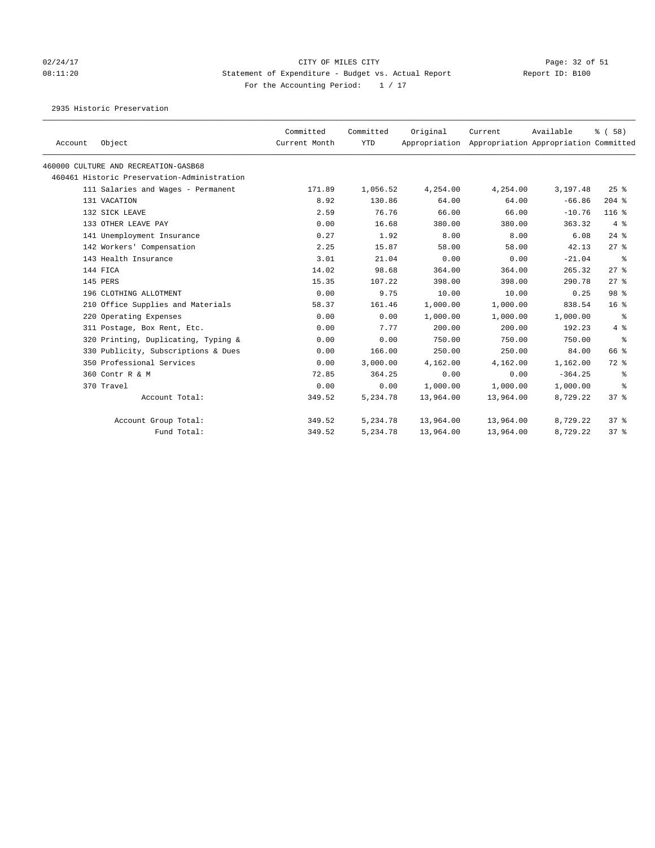# 02/24/17 Page: 32 of 51 08:11:20 Statement of Expenditure - Budget vs. Actual Report Report ID: B100 For the Accounting Period:  $1 / 17$

2935 Historic Preservation

| Account | Object                                      | Committed<br>Current Month | Committed<br><b>YTD</b> | Original<br>Appropriation | Current   | Available<br>Appropriation Appropriation Committed | % (58)          |
|---------|---------------------------------------------|----------------------------|-------------------------|---------------------------|-----------|----------------------------------------------------|-----------------|
|         | 460000 CULTURE AND RECREATION-GASB68        |                            |                         |                           |           |                                                    |                 |
|         | 460461 Historic Preservation-Administration |                            |                         |                           |           |                                                    |                 |
|         | 111 Salaries and Wages - Permanent          | 171.89                     | 1,056.52                | 4,254.00                  | 4,254.00  | 3,197.48                                           | $25$ %          |
|         | 131 VACATION                                | 8.92                       | 130.86                  | 64.00                     | 64.00     | $-66.86$                                           | $204$ %         |
|         | 132 SICK LEAVE                              | 2.59                       | 76.76                   | 66.00                     | 66.00     | $-10.76$                                           | $116$ %         |
|         | 133 OTHER LEAVE PAY                         | 0.00                       | 16.68                   | 380.00                    | 380.00    | 363.32                                             | 4%              |
|         | 141 Unemployment Insurance                  | 0.27                       | 1.92                    | 8.00                      | 8.00      | 6.08                                               | $24$ $%$        |
|         | 142 Workers' Compensation                   | 2.25                       | 15.87                   | 58.00                     | 58.00     | 42.13                                              | $27$ $%$        |
|         | 143 Health Insurance                        | 3.01                       | 21.04                   | 0.00                      | 0.00      | $-21.04$                                           | ႜ               |
|         | 144 FICA                                    | 14.02                      | 98.68                   | 364.00                    | 364.00    | 265.32                                             | $27$ %          |
|         | 145 PERS                                    | 15.35                      | 107.22                  | 398.00                    | 398.00    | 290.78                                             | $27$ %          |
|         | 196 CLOTHING ALLOTMENT                      | 0.00                       | 9.75                    | 10.00                     | 10.00     | 0.25                                               | 98 %            |
|         | 210 Office Supplies and Materials           | 58.37                      | 161.46                  | 1,000.00                  | 1,000.00  | 838.54                                             | 16 <sup>8</sup> |
|         | 220 Operating Expenses                      | 0.00                       | 0.00                    | 1,000.00                  | 1,000.00  | 1,000.00                                           | ႜ               |
|         | 311 Postage, Box Rent, Etc.                 | 0.00                       | 7.77                    | 200.00                    | 200.00    | 192.23                                             | 4%              |
|         | 320 Printing, Duplicating, Typing &         | 0.00                       | 0.00                    | 750.00                    | 750.00    | 750.00                                             | နွ              |
|         | 330 Publicity, Subscriptions & Dues         | 0.00                       | 166.00                  | 250.00                    | 250.00    | 84.00                                              | 66 %            |
|         | 350 Professional Services                   | 0.00                       | 3,000.00                | 4,162.00                  | 4,162.00  | 1,162.00                                           | 72 %            |
|         | 360 Contr R & M                             | 72.85                      | 364.25                  | 0.00                      | 0.00      | $-364.25$                                          | ႜ               |
|         | 370 Travel                                  | 0.00                       | 0.00                    | 1,000.00                  | 1,000.00  | 1,000.00                                           | ႜ               |
|         | Account Total:                              | 349.52                     | 5,234.78                | 13,964.00                 | 13,964.00 | 8,729.22                                           | 37%             |
|         | Account Group Total:                        | 349.52                     | 5,234.78                | 13,964.00                 | 13,964.00 | 8,729.22                                           | 37%             |
|         | Fund Total:                                 | 349.52                     | 5,234.78                | 13,964.00                 | 13,964.00 | 8,729.22                                           | 378             |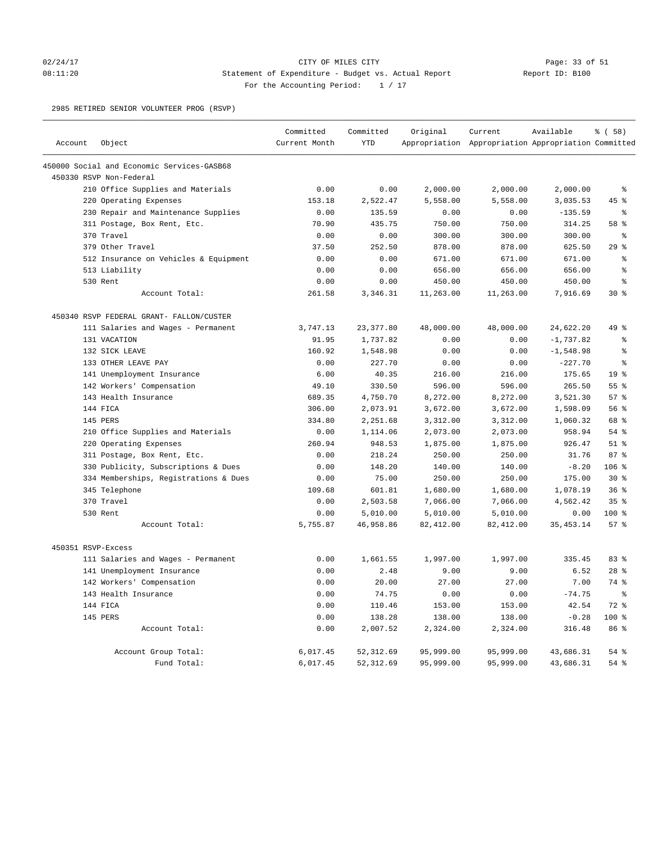### 02/24/17 Page: 33 of 51 08:11:20 Statement of Expenditure - Budget vs. Actual Report Report ID: B100 For the Accounting Period: 1 / 17

2985 RETIRED SENIOR VOLUNTEER PROG (RSVP)

|                    |                                            | Committed     | Committed                | Original               | Current                                             | Available              | % (58)          |
|--------------------|--------------------------------------------|---------------|--------------------------|------------------------|-----------------------------------------------------|------------------------|-----------------|
| Account            | Object                                     | Current Month | <b>YTD</b>               |                        | Appropriation Appropriation Appropriation Committed |                        |                 |
|                    | 450000 Social and Economic Services-GASB68 |               |                          |                        |                                                     |                        |                 |
|                    | 450330 RSVP Non-Federal                    |               |                          |                        |                                                     |                        |                 |
|                    | 210 Office Supplies and Materials          | 0.00          | 0.00                     | 2,000.00               | 2,000.00                                            | 2,000.00               | ៖               |
|                    | 220 Operating Expenses                     | 153.18        | 2,522.47                 | 5,558.00               | 5,558.00                                            | 3,035.53               | 45 %            |
|                    | 230 Repair and Maintenance Supplies        | 0.00          | 135.59                   | 0.00                   | 0.00                                                | $-135.59$              | နွ              |
|                    | 311 Postage, Box Rent, Etc.                | 70.90         | 435.75                   | 750.00                 | 750.00                                              | 314.25                 | 58 %            |
|                    | 370 Travel                                 | 0.00          | 0.00                     | 300.00                 | 300.00                                              | 300.00                 | နွ              |
|                    | 379 Other Travel                           | 37.50         | 252.50                   | 878.00                 | 878.00                                              | 625.50                 | $29$ $%$        |
|                    | 512 Insurance on Vehicles & Equipment      | 0.00          | 0.00                     | 671.00                 | 671.00                                              | 671.00                 | ៖               |
|                    | 513 Liability                              | 0.00          | 0.00                     | 656.00                 | 656.00                                              | 656.00                 | $\approx$       |
|                    | 530 Rent                                   | 0.00          | 0.00                     | 450.00                 | 450.00                                              | 450.00                 | န့              |
|                    | Account Total:                             | 261.58        | 3,346.31                 | 11,263.00              | 11,263.00                                           | 7,916.69               | $30*$           |
|                    | 450340 RSVP FEDERAL GRANT- FALLON/CUSTER   |               |                          |                        |                                                     |                        |                 |
|                    | 111 Salaries and Wages - Permanent         | 3,747.13      | 23, 377.80               | 48,000.00              | 48,000.00                                           | 24,622.20              | 49 %            |
|                    | 131 VACATION                               | 91.95         | 1,737.82                 | 0.00                   | 0.00                                                | $-1,737.82$            | ి               |
|                    | 132 SICK LEAVE                             | 160.92        | 1,548.98                 | 0.00                   | 0.00                                                | $-1,548.98$            | ៖               |
|                    | 133 OTHER LEAVE PAY                        | 0.00          | 227.70                   | 0.00                   | 0.00                                                | $-227.70$              | ま               |
|                    | 141 Unemployment Insurance                 | 6.00          | 40.35                    | 216.00                 | 216.00                                              | 175.65                 | 19 <sup>°</sup> |
|                    | 142 Workers' Compensation                  | 49.10         | 330.50                   | 596.00                 | 596.00                                              | 265.50                 | 55 %            |
|                    | 143 Health Insurance                       | 689.35        | 4,750.70                 | 8,272.00               | 8,272.00                                            | 3,521.30               | 57%             |
|                    | 144 FICA                                   | 306.00        | 2,073.91                 | 3,672.00               | 3,672.00                                            | 1,598.09               | 56%             |
|                    | 145 PERS                                   | 334.80        | 2,251.68                 | 3,312.00               | 3,312.00                                            | 1,060.32               | 68 %            |
|                    | 210 Office Supplies and Materials          | 0.00          | 1,114.06                 | 2,073.00               | 2,073.00                                            | 958.94                 | $54$ $%$        |
|                    | 220 Operating Expenses                     | 260.94        | 948.53                   | 1,875.00               | 1,875.00                                            | 926.47                 | $51$ %          |
|                    | 311 Postage, Box Rent, Etc.                | 0.00          | 218.24                   | 250.00                 | 250.00                                              | 31.76                  | 87%             |
|                    | 330 Publicity, Subscriptions & Dues        | 0.00          | 148.20                   | 140.00                 | 140.00                                              | $-8.20$                | 106 %           |
|                    | 334 Memberships, Registrations & Dues      | 0.00          | 75.00                    | 250.00                 | 250.00                                              | 175.00                 | $30*$           |
|                    | 345 Telephone                              | 109.68        | 601.81                   | 1,680.00               | 1,680.00                                            | 1,078.19               | 36%             |
|                    | 370 Travel                                 | 0.00          | 2,503.58                 | 7,066.00               | 7,066.00                                            | 4,562.42               | 35%             |
|                    | 530 Rent                                   | 0.00          | 5,010.00                 | 5,010.00               | 5,010.00                                            | 0.00                   | 100 %           |
|                    | Account Total:                             | 5,755.87      | 46,958.86                | 82, 412.00             | 82, 412.00                                          | 35, 453. 14            | 57%             |
| 450351 RSVP-Excess |                                            |               |                          |                        |                                                     |                        |                 |
|                    | 111 Salaries and Wages - Permanent         | 0.00          | 1,661.55                 | 1,997.00               | 1,997.00                                            | 335.45                 | 83 %            |
|                    | 141 Unemployment Insurance                 | 0.00          | 2.48                     | 9.00                   | 9.00                                                | 6.52                   | $28$ $%$        |
|                    | 142 Workers' Compensation                  | 0.00          | 20.00                    | 27.00                  | 27.00                                               | 7.00                   | 74 %            |
|                    | 143 Health Insurance                       | 0.00          | 74.75                    | 0.00                   | 0.00                                                | $-74.75$               | $\epsilon$      |
|                    | 144 FICA                                   | 0.00          | 110.46                   | 153.00                 | 153.00                                              | 42.54                  | $72$ $%$        |
|                    | 145 PERS                                   | 0.00          | 138.28                   | 138.00                 | 138.00                                              | $-0.28$                | 100%            |
|                    | Account Total:                             | 0.00          | 2,007.52                 | 2,324.00               | 2,324.00                                            | 316.48                 | 86 %            |
|                    |                                            | 6,017.45      |                          |                        |                                                     |                        | $54$ $%$        |
|                    | Account Group Total:<br>Fund Total:        | 6,017.45      | 52, 312.69<br>52, 312.69 | 95,999.00<br>95,999.00 | 95,999.00<br>95,999.00                              | 43,686.31<br>43,686.31 | 54 %            |
|                    |                                            |               |                          |                        |                                                     |                        |                 |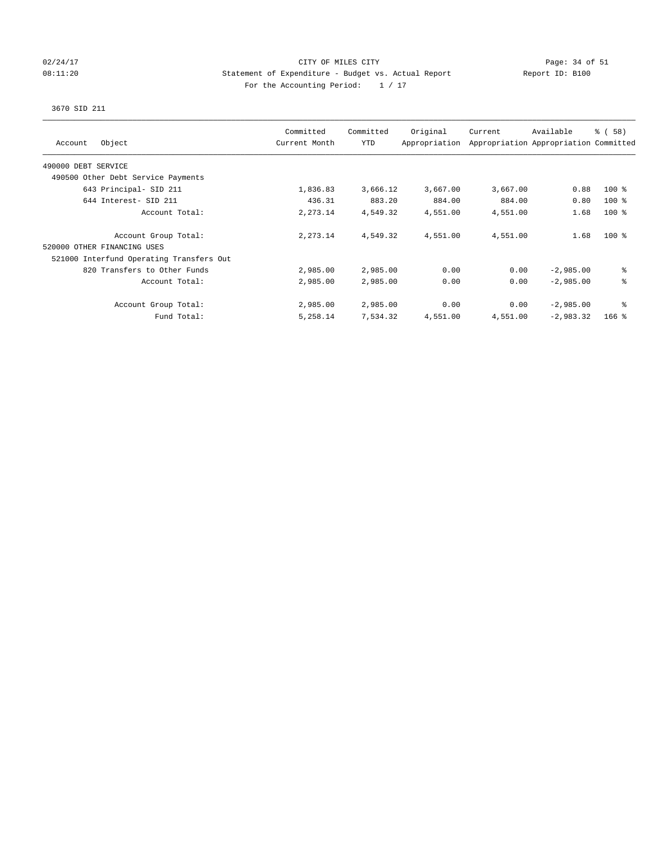### 02/24/17 Page: 34 of 51 08:11:20 Statement of Expenditure - Budget vs. Actual Report Report ID: B100 For the Accounting Period:  $1 / 17$

## 3670 SID 211

| Object<br>Account                        | Committed<br>Current Month | Committed<br>YTD | Original<br>Appropriation | Current  | Available<br>Appropriation Appropriation Committed | 8 ( 58 ) |
|------------------------------------------|----------------------------|------------------|---------------------------|----------|----------------------------------------------------|----------|
| 490000 DEBT SERVICE                      |                            |                  |                           |          |                                                    |          |
| 490500 Other Debt Service Payments       |                            |                  |                           |          |                                                    |          |
| 643 Principal- SID 211                   | 1,836.83                   | 3,666.12         | 3,667.00                  | 3,667.00 | 0.88                                               | $100$ %  |
| 644 Interest- SID 211                    | 436.31                     | 883.20           | 884.00                    | 884.00   | 0.80                                               | $100$ %  |
| Account Total:                           | 2,273.14                   | 4,549.32         | 4,551.00                  | 4,551.00 | 1.68                                               | $100$ %  |
| Account Group Total:                     | 2,273.14                   | 4,549.32         | 4,551.00                  | 4,551.00 | 1.68                                               | $100*$   |
| 520000 OTHER FINANCING USES              |                            |                  |                           |          |                                                    |          |
| 521000 Interfund Operating Transfers Out |                            |                  |                           |          |                                                    |          |
| 820 Transfers to Other Funds             | 2,985.00                   | 2,985.00         | 0.00                      | 0.00     | $-2,985.00$                                        | နွ       |
| Account Total:                           | 2,985.00                   | 2,985.00         | 0.00                      | 0.00     | $-2,985.00$                                        | ి        |
| Account Group Total:                     | 2,985.00                   | 2,985.00         | 0.00                      | 0.00     | $-2,985.00$                                        | ి        |
| Fund Total:                              | 5,258.14                   | 7,534.32         | 4,551.00                  | 4,551.00 | $-2,983.32$                                        | $166$ %  |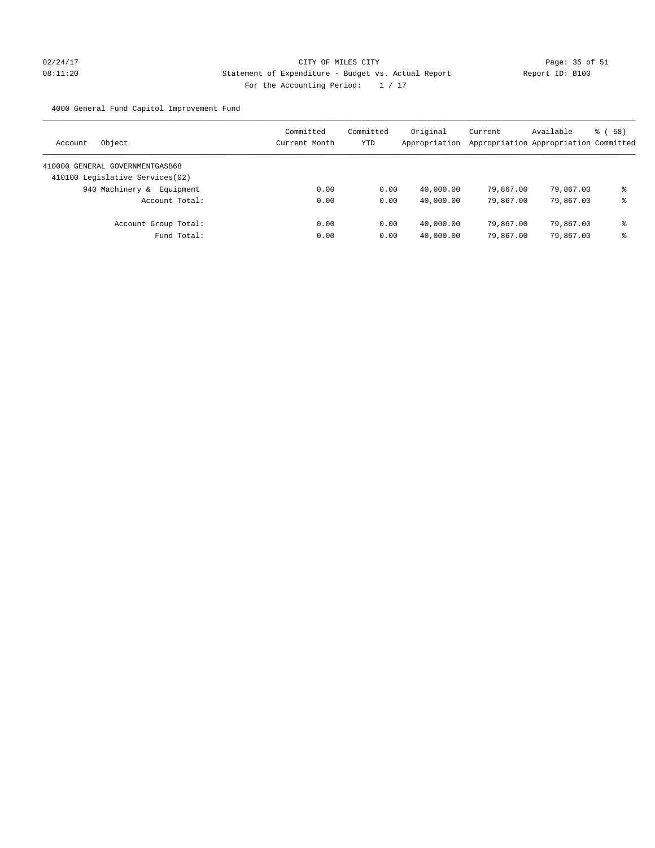# 02/24/17 Page: 35 of 51 08:11:20 Statement of Expenditure - Budget vs. Actual Report Changer (Report ID: B100 For the Accounting Period: 1 / 17

4000 General Fund Capitol Improvement Fund

| Object<br>Account                | Committed<br>Current Month | Committed<br>YTD | Original<br>Appropriation | Current<br>Appropriation Appropriation Committed | Available | 8 ( 58 ) |
|----------------------------------|----------------------------|------------------|---------------------------|--------------------------------------------------|-----------|----------|
| 410000 GENERAL GOVERNMENTGASB68  |                            |                  |                           |                                                  |           |          |
| 410100 Legislative Services (02) |                            |                  |                           |                                                  |           |          |
| 940 Machinery & Equipment        | 0.00                       | 0.00             | 40,000.00                 | 79,867.00                                        | 79,867.00 | နွ       |
| Account Total:                   | 0.00                       | 0.00             | 40,000.00                 | 79,867.00                                        | 79,867.00 | နွ       |
| Account Group Total:             | 0.00                       | 0.00             | 40,000.00                 | 79,867,00                                        | 79,867.00 | နွ       |
| Fund Total:                      | 0.00                       | 0.00             | 40,000.00                 | 79,867.00                                        | 79,867.00 | နွ       |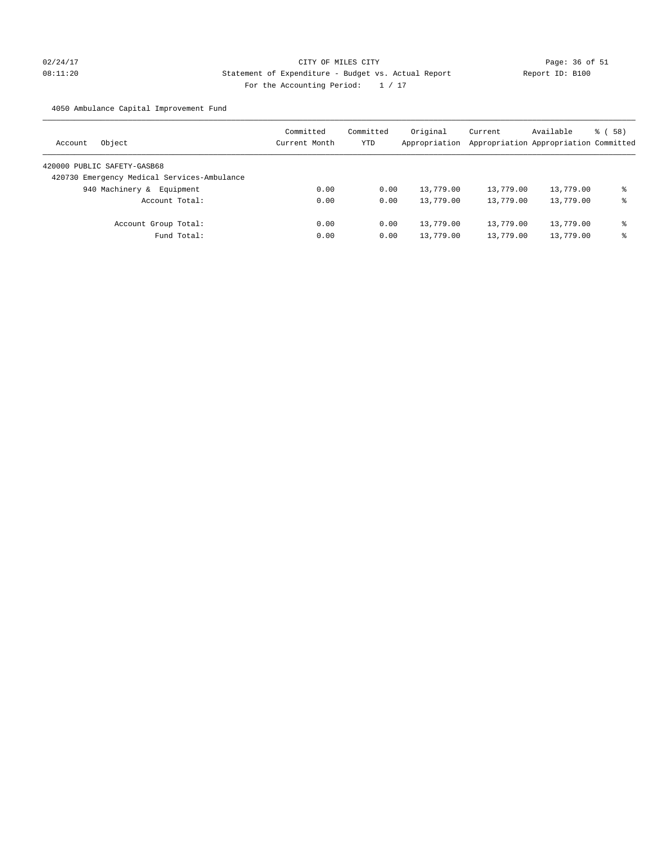# 02/24/17 Page: 36 of 51 08:11:20 Statement of Expenditure - Budget vs. Actual Report Report ID: B100 For the Accounting Period:  $1 / 17$

4050 Ambulance Capital Improvement Fund

| Object<br>Account                           | Committed<br>Current Month | Committed<br>YTD | Original<br>Appropriation | Current<br>Appropriation Appropriation Committed | Available | 8 ( 58 ) |
|---------------------------------------------|----------------------------|------------------|---------------------------|--------------------------------------------------|-----------|----------|
| 420000 PUBLIC SAFETY-GASB68                 |                            |                  |                           |                                                  |           |          |
| 420730 Emergency Medical Services-Ambulance |                            |                  |                           |                                                  |           |          |
| 940 Machinery &<br>Equipment                | 0.00                       | 0.00             | 13,779.00                 | 13,779.00                                        | 13,779.00 | ఄ        |
| Account Total:                              | 0.00                       | 0.00             | 13,779.00                 | 13,779.00                                        | 13,779.00 | နွ       |
| Account Group Total:                        | 0.00                       | 0.00             | 13,779.00                 | 13,779.00                                        | 13,779.00 | နွ       |
| Fund Total:                                 | 0.00                       | 0.00             | 13,779.00                 | 13,779.00                                        | 13,779.00 | နွ       |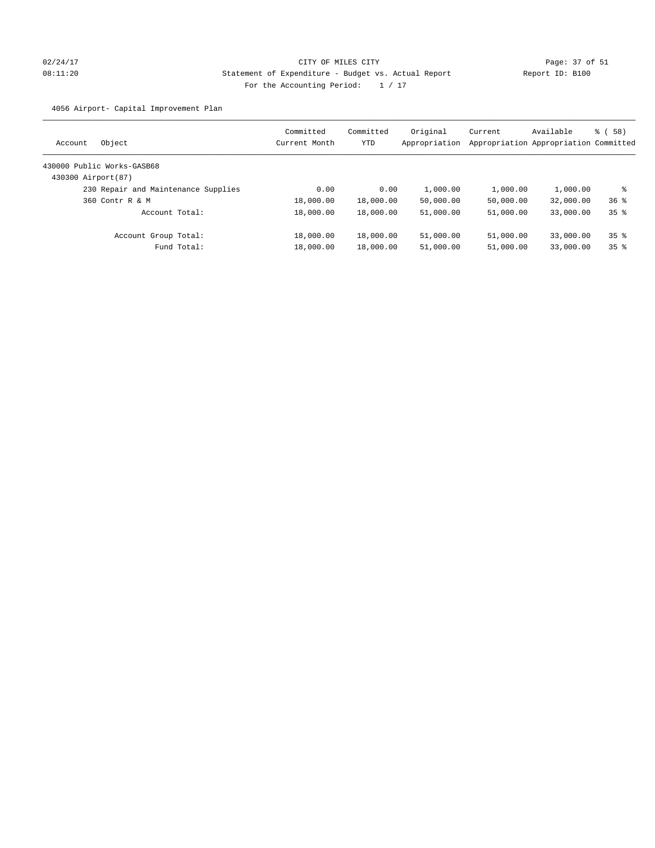# 02/24/17 Page: 37 of 51 08:11:20 Statement of Expenditure - Budget vs. Actual Report Report ID: B100 For the Accounting Period:  $1 / 17$

4056 Airport- Capital Improvement Plan

| Account            | Object                              | Committed<br>Current Month | Committed<br>YTD | Original<br>Appropriation | Current   | Available<br>Appropriation Appropriation Committed | 8 ( 58 )        |
|--------------------|-------------------------------------|----------------------------|------------------|---------------------------|-----------|----------------------------------------------------|-----------------|
|                    | 430000 Public Works-GASB68          |                            |                  |                           |           |                                                    |                 |
| 430300 Airport(87) |                                     |                            |                  |                           |           |                                                    |                 |
|                    | 230 Repair and Maintenance Supplies | 0.00                       | 0.00             | 1,000.00                  | 1,000.00  | 1,000.00                                           | ႜ               |
|                    | 360 Contr R & M                     | 18,000.00                  | 18,000.00        | 50,000.00                 | 50,000.00 | 32,000.00                                          | 36 <sup>8</sup> |
|                    | Account Total:                      | 18,000.00                  | 18,000.00        | 51,000.00                 | 51,000.00 | 33,000.00                                          | 35 <sup>8</sup> |
|                    | Account Group Total:                | 18,000.00                  | 18,000.00        | 51,000.00                 | 51,000.00 | 33,000.00                                          | 35 <sup>8</sup> |
|                    | Fund Total:                         | 18,000.00                  | 18,000.00        | 51,000.00                 | 51,000.00 | 33,000.00                                          | 35 <sup>8</sup> |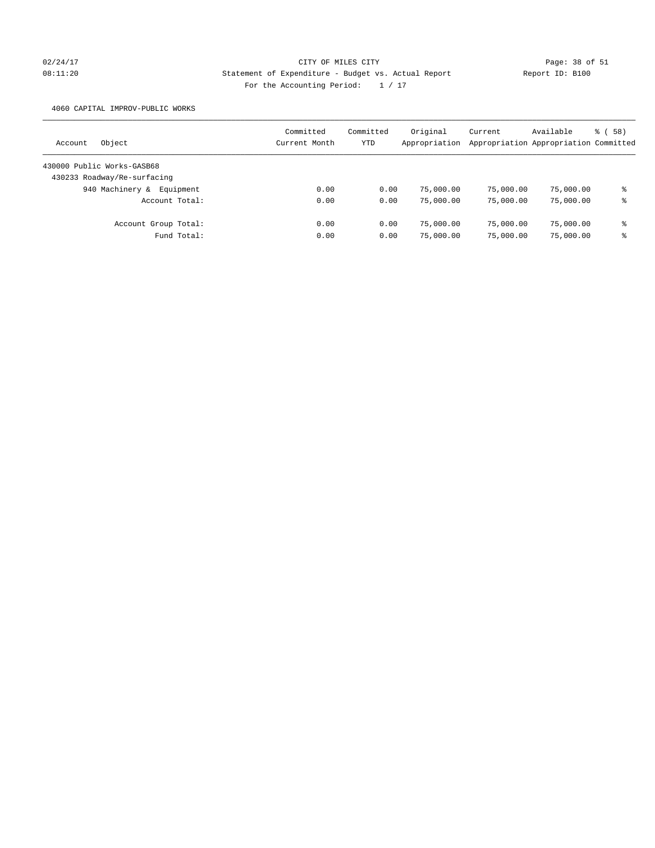# 02/24/17 Page: 38 of 51 08:11:20 Statement of Expenditure - Budget vs. Actual Report Report ID: B100 For the Accounting Period:  $1 / 17$

4060 CAPITAL IMPROV-PUBLIC WORKS

| Object<br>Account            | Committed<br>Current Month | Committed<br>YTD | Original<br>Appropriation | Current   | Available<br>Appropriation Appropriation Committed | 8 ( 58 ) |
|------------------------------|----------------------------|------------------|---------------------------|-----------|----------------------------------------------------|----------|
| 430000 Public Works-GASB68   |                            |                  |                           |           |                                                    |          |
| 430233 Roadway/Re-surfacing  |                            |                  |                           |           |                                                    |          |
| 940 Machinery &<br>Equipment | 0.00                       | 0.00             | 75,000.00                 | 75,000.00 | 75,000.00                                          | နွ       |
| Account Total:               | 0.00                       | 0.00             | 75,000.00                 | 75,000.00 | 75,000.00                                          | နွ       |
| Account Group Total:         | 0.00                       | 0.00             | 75,000.00                 | 75,000.00 | 75,000.00                                          | နွ       |
| Fund Total:                  | 0.00                       | 0.00             | 75,000.00                 | 75,000.00 | 75,000.00                                          | နွ       |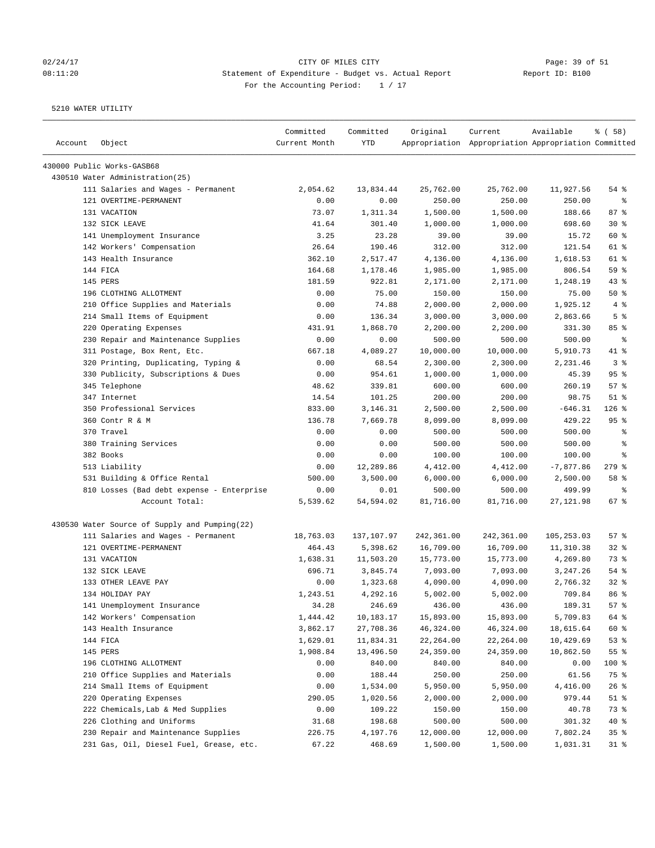# 02/24/17 Page: 39 of 51 08:11:20 Statement of Expenditure - Budget vs. Actual Report Changer Report ID: B100 For the Accounting Period: 1 / 17

| Account | Object                                        | Committed<br>Current Month | Committed<br><b>YTD</b> | Original   | Current<br>Appropriation Appropriation Appropriation Committed | Available   | % ( 58 )                 |
|---------|-----------------------------------------------|----------------------------|-------------------------|------------|----------------------------------------------------------------|-------------|--------------------------|
|         | 430000 Public Works-GASB68                    |                            |                         |            |                                                                |             |                          |
|         | 430510 Water Administration (25)              |                            |                         |            |                                                                |             |                          |
|         | 111 Salaries and Wages - Permanent            | 2,054.62                   | 13,834.44               | 25,762.00  | 25,762.00                                                      | 11,927.56   | $54$ $%$                 |
|         | 121 OVERTIME-PERMANENT                        | 0.00                       | 0.00                    | 250.00     | 250.00                                                         | 250.00      | နွ                       |
|         | 131 VACATION                                  | 73.07                      | 1,311.34                | 1,500.00   | 1,500.00                                                       | 188.66      | 87%                      |
|         | 132 SICK LEAVE                                | 41.64                      | 301.40                  | 1,000.00   | 1,000.00                                                       | 698.60      | $30*$                    |
|         | 141 Unemployment Insurance                    | 3.25                       | 23.28                   | 39.00      | 39.00                                                          | 15.72       | 60 %                     |
|         | 142 Workers' Compensation                     | 26.64                      | 190.46                  | 312.00     | 312.00                                                         | 121.54      | 61 %                     |
|         | 143 Health Insurance                          | 362.10                     | 2,517.47                | 4,136.00   | 4,136.00                                                       | 1,618.53    | 61 %                     |
|         | 144 FICA                                      | 164.68                     | 1,178.46                | 1,985.00   | 1,985.00                                                       | 806.54      | 59 %                     |
|         | 145 PERS                                      | 181.59                     | 922.81                  | 2,171.00   | 2,171.00                                                       | 1,248.19    | 43%                      |
|         | 196 CLOTHING ALLOTMENT                        | 0.00                       | 75.00                   | 150.00     | 150.00                                                         | 75.00       | 50%                      |
|         | 210 Office Supplies and Materials             | 0.00                       | 74.88                   | 2,000.00   | 2,000.00                                                       | 1,925.12    | 4%                       |
|         | 214 Small Items of Equipment                  | 0.00                       | 136.34                  | 3,000.00   | 3,000.00                                                       | 2,863.66    | 5 <sup>8</sup>           |
|         | 220 Operating Expenses                        | 431.91                     | 1,868.70                | 2,200.00   | 2,200.00                                                       | 331.30      | 85%                      |
|         | 230 Repair and Maintenance Supplies           | 0.00                       | 0.00                    | 500.00     | 500.00                                                         | 500.00      | ႜ                        |
|         | 311 Postage, Box Rent, Etc.                   | 667.18                     | 4,089.27                | 10,000.00  | 10,000.00                                                      | 5,910.73    | 41 %                     |
|         | 320 Printing, Duplicating, Typing &           | 0.00                       | 68.54                   | 2,300.00   | 2,300.00                                                       | 2,231.46    | 3 <sup>°</sup>           |
|         | 330 Publicity, Subscriptions & Dues           | 0.00                       | 954.61                  | 1,000.00   | 1,000.00                                                       | 45.39       | 95%                      |
|         | 345 Telephone                                 | 48.62                      | 339.81                  | 600.00     | 600.00                                                         | 260.19      | 57%                      |
|         | 347 Internet                                  | 14.54                      | 101.25                  | 200.00     | 200.00                                                         | 98.75       | $51$ %                   |
|         | 350 Professional Services                     | 833.00                     | 3,146.31                | 2,500.00   | 2,500.00                                                       | $-646.31$   | $126$ %                  |
|         | 360 Contr R & M                               | 136.78                     | 7,669.78                | 8,099.00   | 8,099.00                                                       | 429.22      | 95%                      |
|         | 370 Travel                                    | 0.00                       | 0.00                    | 500.00     | 500.00                                                         | 500.00      | $\epsilon$               |
|         | 380 Training Services                         | 0.00                       | 0.00                    | 500.00     | 500.00                                                         | 500.00      | $\epsilon$               |
|         | 382 Books                                     | 0.00                       | 0.00                    | 100.00     | 100.00                                                         | 100.00      | နွ                       |
|         | 513 Liability                                 | 0.00                       | 12,289.86               | 4,412.00   | 4,412.00                                                       | $-7,877.86$ | $279$ $%$                |
|         | 531 Building & Office Rental                  | 500.00                     | 3,500.00                | 6,000.00   | 6,000.00                                                       | 2,500.00    | 58 %                     |
|         | 810 Losses (Bad debt expense - Enterprise     | 0.00                       | 0.01                    | 500.00     | 500.00                                                         | 499.99      | $\,{}^{\circ}\!\!\delta$ |
|         | Account Total:                                | 5,539.62                   | 54,594.02               | 81,716.00  | 81,716.00                                                      | 27, 121.98  | 67 %                     |
|         | 430530 Water Source of Supply and Pumping(22) |                            |                         |            |                                                                |             |                          |
|         | 111 Salaries and Wages - Permanent            | 18,763.03                  | 137,107.97              | 242,361.00 | 242,361.00                                                     | 105,253.03  | 57%                      |
|         | 121 OVERTIME-PERMANENT                        | 464.43                     | 5,398.62                | 16,709.00  | 16,709.00                                                      | 11,310.38   | $32$ $%$                 |
|         | 131 VACATION                                  | 1,638.31                   | 11,503.20               | 15,773.00  | 15,773.00                                                      | 4,269.80    | 73 %                     |
|         | 132 SICK LEAVE                                | 696.71                     | 3,845.74                | 7,093.00   | 7,093.00                                                       | 3,247.26    | $54$ %                   |
|         | 133 OTHER LEAVE PAY                           | 0.00                       | 1,323.68                | 4,090.00   | 4,090.00                                                       | 2,766.32    | $32$ $%$                 |
|         | 134 HOLIDAY PAY                               | 1,243.51                   | 4,292.16                | 5,002.00   | 5,002.00                                                       | 709.84      | 86 <sup>8</sup>          |
|         | 141 Unemployment Insurance                    | 34.28                      | 246.69                  | 436.00     | 436.00                                                         | 189.31      | 57%                      |
|         | 142 Workers' Compensation                     | 1,444.42                   | 10,183.17               | 15,893.00  | 15,893.00                                                      | 5,709.83    | 64 %                     |
|         | 143 Health Insurance                          | 3,862.17                   | 27,708.36               | 46,324.00  | 46,324.00                                                      | 18,615.64   | 60 %                     |
|         | 144 FICA                                      | 1,629.01                   | 11,834.31               | 22,264.00  | 22,264.00                                                      | 10,429.69   | 53%                      |
|         | 145 PERS                                      | 1,908.84                   | 13,496.50               | 24,359.00  | 24,359.00                                                      | 10,862.50   | 55 %                     |
|         | 196 CLOTHING ALLOTMENT                        | 0.00                       | 840.00                  | 840.00     | 840.00                                                         | 0.00        | 100 %                    |
|         | 210 Office Supplies and Materials             | 0.00                       | 188.44                  | 250.00     | 250.00                                                         | 61.56       | 75 %                     |
|         | 214 Small Items of Equipment                  | 0.00                       | 1,534.00                | 5,950.00   | 5,950.00                                                       | 4,416.00    | 26%                      |
|         | 220 Operating Expenses                        | 290.05                     | 1,020.56                | 2,000.00   | 2,000.00                                                       | 979.44      | $51$ %                   |
|         | 222 Chemicals, Lab & Med Supplies             | 0.00                       | 109.22                  | 150.00     | 150.00                                                         | 40.78       | 73 %                     |
|         | 226 Clothing and Uniforms                     | 31.68                      | 198.68                  | 500.00     | 500.00                                                         | 301.32      | 40 %                     |
|         | 230 Repair and Maintenance Supplies           | 226.75                     | 4,197.76                | 12,000.00  | 12,000.00                                                      | 7,802.24    | 35%                      |
|         | 231 Gas, Oil, Diesel Fuel, Grease, etc.       | 67.22                      | 468.69                  | 1,500.00   | 1,500.00                                                       | 1,031.31    | $31$ %                   |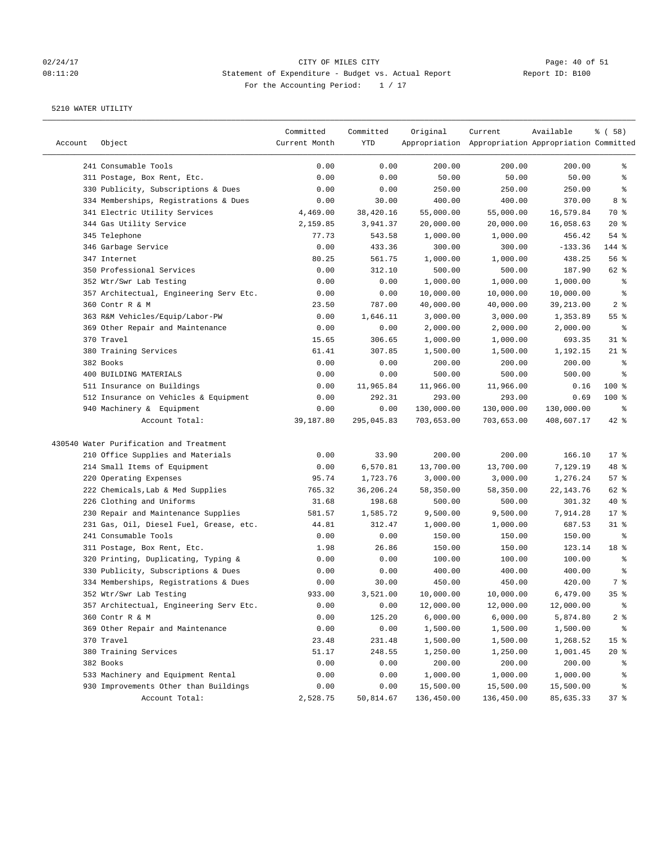# 02/24/17 CITY OF MILES CITY<br>
08:11:20 Buttement of Expenditure - Budget vs. Actual Report Report ID: B100 08:11:20 Statement of Expenditure - Budget vs. Actual Report For the Accounting Period: 1 / 17

| Account | Object                                  | Committed<br>Current Month | Committed<br>YTD | Original   | Current<br>Appropriation Appropriation Appropriation Committed | Available          | % ( 58 )        |
|---------|-----------------------------------------|----------------------------|------------------|------------|----------------------------------------------------------------|--------------------|-----------------|
|         |                                         |                            |                  |            |                                                                |                    |                 |
|         | 241 Consumable Tools                    | 0.00                       | 0.00             | 200.00     | 200.00                                                         | 200.00             | ႜ               |
|         | 311 Postage, Box Rent, Etc.             | 0.00                       | 0.00             | 50.00      | 50.00                                                          | 50.00              | ್ಠಿ             |
|         | 330 Publicity, Subscriptions & Dues     | 0.00                       | 0.00             | 250.00     | 250.00                                                         | 250.00             | နွ              |
|         | 334 Memberships, Registrations & Dues   | 0.00                       | 30.00            | 400.00     | 400.00                                                         | 370.00             | 8 %             |
|         | 341 Electric Utility Services           | 4,469.00                   | 38,420.16        | 55,000.00  | 55,000.00                                                      | 16,579.84          | 70 %            |
|         | 344 Gas Utility Service                 | 2,159.85                   | 3,941.37         | 20,000.00  | 20,000.00                                                      | 16,058.63          | $20*$           |
|         | 345 Telephone                           | 77.73                      | 543.58           | 1,000.00   | 1,000.00                                                       | 456.42             | $54$ %          |
|         | 346 Garbage Service                     | 0.00                       | 433.36           | 300.00     | 300.00                                                         | $-133.36$          | 144 %           |
|         | 347 Internet                            | 80.25                      | 561.75           | 1,000.00   | 1,000.00                                                       | 438.25             | 56%             |
|         | 350 Professional Services               | 0.00                       | 312.10           | 500.00     | 500.00                                                         | 187.90             | 62 %            |
|         | 352 Wtr/Swr Lab Testing                 | 0.00                       | 0.00             | 1,000.00   | 1,000.00                                                       | 1,000.00           | နွ              |
|         | 357 Architectual, Engineering Serv Etc. | 0.00                       | 0.00             | 10,000.00  | 10,000.00                                                      | 10,000.00          | နွ              |
|         | 360 Contr R & M                         | 23.50                      | 787.00           | 40,000.00  | 40,000.00                                                      | 39,213.00          | 2 <sup>8</sup>  |
|         | 363 R&M Vehicles/Equip/Labor-PW         | 0.00                       | 1,646.11         | 3,000.00   | 3,000.00                                                       | 1,353.89           | 55 %            |
|         | 369 Other Repair and Maintenance        | 0.00                       | 0.00             | 2,000.00   | 2,000.00                                                       | 2,000.00           | ್ಠಿ             |
|         | 370 Travel                              | 15.65                      | 306.65           | 1,000.00   | 1,000.00                                                       | 693.35             | $31$ %          |
|         | 380 Training Services                   | 61.41                      | 307.85           | 1,500.00   | 1,500.00                                                       | 1,192.15           | $21$ %          |
|         | 382 Books                               | 0.00                       | 0.00             | 200.00     | 200.00                                                         | 200.00             | နွ              |
|         | 400 BUILDING MATERIALS                  | 0.00                       | 0.00             | 500.00     | 500.00                                                         | 500.00             | ್ಠಿ             |
|         | 511 Insurance on Buildings              | 0.00                       | 11,965.84        | 11,966.00  | 11,966.00                                                      | 0.16               | 100 %           |
|         | 512 Insurance on Vehicles & Equipment   | 0.00                       | 292.31           | 293.00     | 293.00                                                         | 0.69               | $100$ %         |
|         | 940 Machinery & Equipment               | 0.00                       | 0.00             | 130,000.00 | 130,000.00                                                     | 130,000.00         | နွ              |
|         | Account Total:                          | 39,187.80                  | 295,045.83       | 703,653.00 | 703,653.00                                                     | 408,607.17         | $42$ %          |
|         | 430540 Water Purification and Treatment |                            |                  |            |                                                                |                    |                 |
|         | 210 Office Supplies and Materials       | 0.00                       | 33.90            | 200.00     | 200.00                                                         | 166.10             | $17*$           |
|         | 214 Small Items of Equipment            | 0.00                       | 6,570.81         | 13,700.00  | 13,700.00                                                      | 7,129.19           | 48 %            |
|         | 220 Operating Expenses                  | 95.74                      | 1,723.76         | 3,000.00   | 3,000.00                                                       | 1,276.24           | 57%             |
|         | 222 Chemicals, Lab & Med Supplies       | 765.32                     | 36,206.24        | 58,350.00  | 58,350.00                                                      | 22, 143.76         | 62 %            |
|         | 226 Clothing and Uniforms               | 31.68                      | 198.68           | 500.00     | 500.00                                                         | 301.32             | $40*$           |
|         | 230 Repair and Maintenance Supplies     | 581.57                     | 1,585.72         | 9,500.00   | 9,500.00                                                       | 7,914.28           | $17$ %          |
|         | 231 Gas, Oil, Diesel Fuel, Grease, etc. | 44.81                      | 312.47           | 1,000.00   | 1,000.00                                                       | 687.53             | $31$ %          |
|         | 241 Consumable Tools                    | 0.00                       | 0.00             | 150.00     | 150.00                                                         | 150.00             | နွ              |
|         | 311 Postage, Box Rent, Etc.             | 1.98                       | 26.86            | 150.00     | 150.00                                                         | 123.14             | 18 %            |
|         | 320 Printing, Duplicating, Typing &     | 0.00                       | 0.00             | 100.00     | 100.00                                                         | 100.00             | ್ಠಿ             |
|         | 330 Publicity, Subscriptions & Dues     | 0.00                       | 0.00             | 400.00     | 400.00                                                         | 400.00             | ್ಠಿ             |
|         | 334 Memberships, Registrations & Dues   | 0.00                       | 30.00            | 450.00     | 450.00                                                         | 420.00             | 7 %             |
|         | 352 Wtr/Swr Lab Testing                 | 933.00                     | 3,521.00         | 10,000.00  | 10,000.00                                                      | 6,479.00           | 35 <sup>8</sup> |
|         | 357 Architectual, Engineering Serv Etc. | 0.00                       | 0.00             | 12,000.00  | 12,000.00                                                      | 12,000.00          | ိစ              |
|         | 360 Contr R & M                         | 0.00                       | 125.20           | 6,000.00   | 6,000.00                                                       | 5,874.80           | $2$ $\approx$   |
|         | 369 Other Repair and Maintenance        | 0.00                       | 0.00             | 1,500.00   | 1,500.00                                                       | 1,500.00           | ိင              |
|         | 370 Travel                              | 23.48                      | 231.48           | 1,500.00   | 1,500.00                                                       | 1,268.52           | 15 <sup>°</sup> |
|         | 380 Training Services                   | 51.17                      | 248.55           | 1,250.00   | 1,250.00                                                       | 1,001.45           | 20%             |
|         | 382 Books                               | 0.00                       |                  | 200.00     | 200.00                                                         |                    | ိစ              |
|         | 533 Machinery and Equipment Rental      | 0.00                       | 0.00<br>0.00     | 1,000.00   | 1,000.00                                                       | 200.00<br>1,000.00 | ိစ              |
|         | 930 Improvements Other than Buildings   | 0.00                       | 0.00             | 15,500.00  | 15,500.00                                                      |                    | န့              |
|         |                                         |                            |                  |            |                                                                | 15,500.00          |                 |
|         | Account Total:                          | 2,528.75                   | 50,814.67        | 136,450.00 | 136,450.00                                                     | 85,635.33          | 37 %            |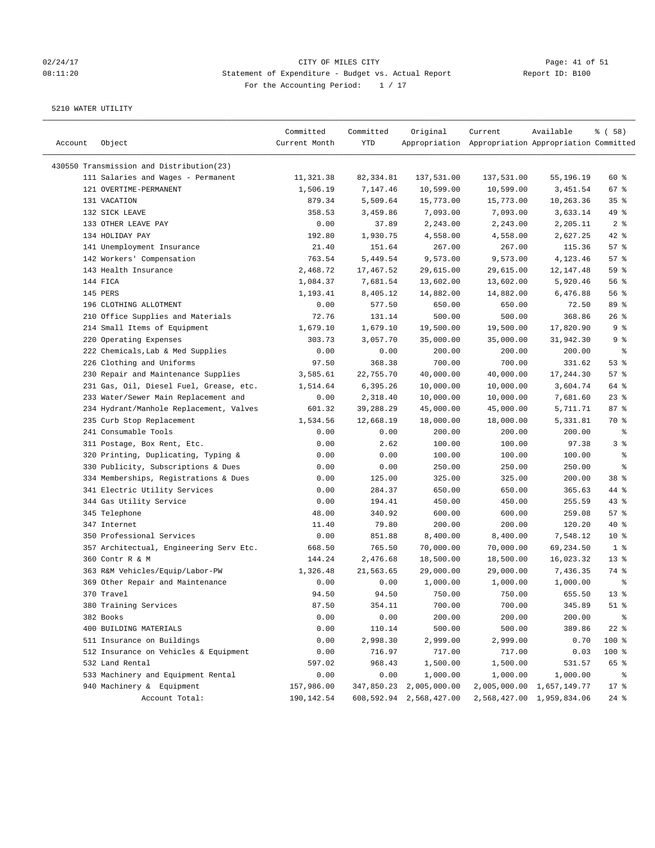# 02/24/17 Page: 41 of 51 08:11:20 Statement of Expenditure - Budget vs. Actual Report Report ID: B100 For the Accounting Period: 1 / 17

| Account | Object                                   | Committed<br>Current Month | Committed<br>YTD | Original                | Current<br>Appropriation Appropriation Appropriation Committed | Available                 | % ( 58 )        |
|---------|------------------------------------------|----------------------------|------------------|-------------------------|----------------------------------------------------------------|---------------------------|-----------------|
|         | 430550 Transmission and Distribution(23) |                            |                  |                         |                                                                |                           |                 |
|         | 111 Salaries and Wages - Permanent       | 11,321.38                  | 82,334.81        | 137,531.00              | 137,531.00                                                     | 55,196.19                 | 60 %            |
|         | 121 OVERTIME-PERMANENT                   | 1,506.19                   | 7,147.46         | 10,599.00               | 10,599.00                                                      | 3,451.54                  | $67$ %          |
|         | 131 VACATION                             | 879.34                     | 5,509.64         | 15,773.00               | 15,773.00                                                      | 10,263.36                 | 35%             |
|         | 132 SICK LEAVE                           | 358.53                     | 3,459.86         | 7,093.00                | 7,093.00                                                       | 3,633.14                  | 49 %            |
|         | 133 OTHER LEAVE PAY                      | 0.00                       | 37.89            | 2,243.00                | 2,243.00                                                       | 2,205.11                  | 2 <sup>8</sup>  |
|         | 134 HOLIDAY PAY                          | 192.80                     | 1,930.75         | 4,558.00                | 4,558.00                                                       | 2,627.25                  | 42 %            |
|         | 141 Unemployment Insurance               | 21.40                      | 151.64           | 267.00                  | 267.00                                                         | 115.36                    | 57%             |
|         | 142 Workers' Compensation                | 763.54                     | 5,449.54         | 9,573.00                | 9,573.00                                                       | 4,123.46                  | 57%             |
|         | 143 Health Insurance                     | 2,468.72                   | 17,467.52        | 29,615.00               | 29,615.00                                                      | 12, 147.48                | 59 %            |
|         | 144 FICA                                 | 1,084.37                   | 7,681.54         | 13,602.00               | 13,602.00                                                      | 5,920.46                  | $56$ $%$        |
|         | 145 PERS                                 | 1,193.41                   | 8,405.12         | 14,882.00               | 14,882.00                                                      | 6,476.88                  | 56%             |
|         | 196 CLOTHING ALLOTMENT                   | 0.00                       | 577.50           | 650.00                  | 650.00                                                         | 72.50                     | 89 %            |
|         | 210 Office Supplies and Materials        | 72.76                      | 131.14           | 500.00                  | 500.00                                                         | 368.86                    | 26%             |
|         | 214 Small Items of Equipment             | 1,679.10                   | 1,679.10         | 19,500.00               | 19,500.00                                                      | 17,820.90                 | 9%              |
|         | 220 Operating Expenses                   | 303.73                     | 3,057.70         | 35,000.00               | 35,000.00                                                      | 31,942.30                 | 9%              |
|         | 222 Chemicals, Lab & Med Supplies        | 0.00                       | 0.00             | 200.00                  | 200.00                                                         | 200.00                    | ್ಠಿ             |
|         | 226 Clothing and Uniforms                | 97.50                      | 368.38           | 700.00                  | 700.00                                                         | 331.62                    | 53%             |
|         | 230 Repair and Maintenance Supplies      | 3,585.61                   | 22,755.70        | 40,000.00               | 40,000.00                                                      | 17,244.30                 | 57%             |
|         | 231 Gas, Oil, Diesel Fuel, Grease, etc.  | 1,514.64                   | 6,395.26         | 10,000.00               | 10,000.00                                                      | 3,604.74                  | 64 %            |
|         | 233 Water/Sewer Main Replacement and     | 0.00                       | 2,318.40         | 10,000.00               | 10,000.00                                                      | 7,681.60                  | $23$ $%$        |
|         | 234 Hydrant/Manhole Replacement, Valves  | 601.32                     | 39,288.29        |                         | 45,000.00                                                      |                           | 87%             |
|         | 235 Curb Stop Replacement                |                            |                  | 45,000.00<br>18,000.00  |                                                                | 5,711.71                  |                 |
|         |                                          | 1,534.56                   | 12,668.19        |                         | 18,000.00                                                      | 5,331.81                  | 70 %            |
|         | 241 Consumable Tools                     | 0.00                       | 0.00             | 200.00                  | 200.00                                                         | 200.00                    | နွ<br>3%        |
|         | 311 Postage, Box Rent, Etc.              | 0.00                       | 2.62             | 100.00                  | 100.00                                                         | 97.38                     |                 |
|         | 320 Printing, Duplicating, Typing &      | 0.00                       | 0.00             | 100.00                  | 100.00                                                         | 100.00                    | ್ಠಿ             |
|         | 330 Publicity, Subscriptions & Dues      | 0.00                       | 0.00             | 250.00                  | 250.00                                                         | 250.00                    | る               |
|         | 334 Memberships, Registrations & Dues    | 0.00                       | 125.00           | 325.00                  | 325.00                                                         | 200.00                    | 38 <sup>8</sup> |
|         | 341 Electric Utility Services            | 0.00                       | 284.37           | 650.00                  | 650.00                                                         | 365.63                    | 44 %            |
|         | 344 Gas Utility Service                  | 0.00                       | 194.41           | 450.00                  | 450.00                                                         | 255.59                    | $43$ %          |
|         | 345 Telephone                            | 48.00                      | 340.92           | 600.00                  | 600.00                                                         | 259.08                    | 57%             |
|         | 347 Internet                             | 11.40                      | 79.80            | 200.00                  | 200.00                                                         | 120.20                    | $40*$           |
|         | 350 Professional Services                | 0.00                       | 851.88           | 8,400.00                | 8,400.00                                                       | 7,548.12                  | $10*$           |
|         | 357 Architectual, Engineering Serv Etc.  | 668.50                     | 765.50           | 70,000.00               | 70,000.00                                                      | 69,234.50                 | 1 <sup>8</sup>  |
|         | 360 Contr R & M                          | 144.24                     | 2,476.68         | 18,500.00               | 18,500.00                                                      | 16,023.32                 | 13 <sub>8</sub> |
|         | 363 R&M Vehicles/Equip/Labor-PW          | 1,326.48                   | 21,563.65        | 29,000.00               | 29,000.00                                                      | 7,436.35                  | 74 %            |
|         | 369 Other Repair and Maintenance         | 0.00                       | 0.00             | 1,000.00                | 1,000.00                                                       | 1,000.00                  | နွ              |
|         | 370 Travel                               | 94.50                      | 94.50            | 750.00                  | 750.00                                                         | 655.50                    | $13*$           |
|         | 380 Training Services                    | 87.50                      | 354.11           | 700.00                  | 700.00                                                         | 345.89                    | $51$ %          |
|         | 382 Books                                | 0.00                       | 0.00             | 200.00                  | 200.00                                                         | 200.00                    | $\frac{8}{6}$   |
|         | 400 BUILDING MATERIALS                   | 0.00                       | 110.14           | 500.00                  | 500.00                                                         | 389.86                    | $22$ %          |
|         | 511 Insurance on Buildings               | 0.00                       | 2,998.30         | 2,999.00                | 2,999.00                                                       | 0.70                      | 100 %           |
|         | 512 Insurance on Vehicles & Equipment    | 0.00                       | 716.97           | 717.00                  | 717.00                                                         | 0.03                      | 100 %           |
|         | 532 Land Rental                          | 597.02                     | 968.43           | 1,500.00                | 1,500.00                                                       | 531.57                    | 65 %            |
|         | 533 Machinery and Equipment Rental       | 0.00                       | 0.00             | 1,000.00                | 1,000.00                                                       | 1,000.00                  | ್ಠಿ             |
|         | 940 Machinery & Equipment                | 157,986.00                 | 347,850.23       | 2,005,000.00            |                                                                | 2,005,000.00 1,657,149.77 | $17$ %          |
|         | Account Total:                           | 190,142.54                 |                  | 608,592.94 2,568,427.00 |                                                                | 2,568,427.00 1,959,834.06 | $24$ %          |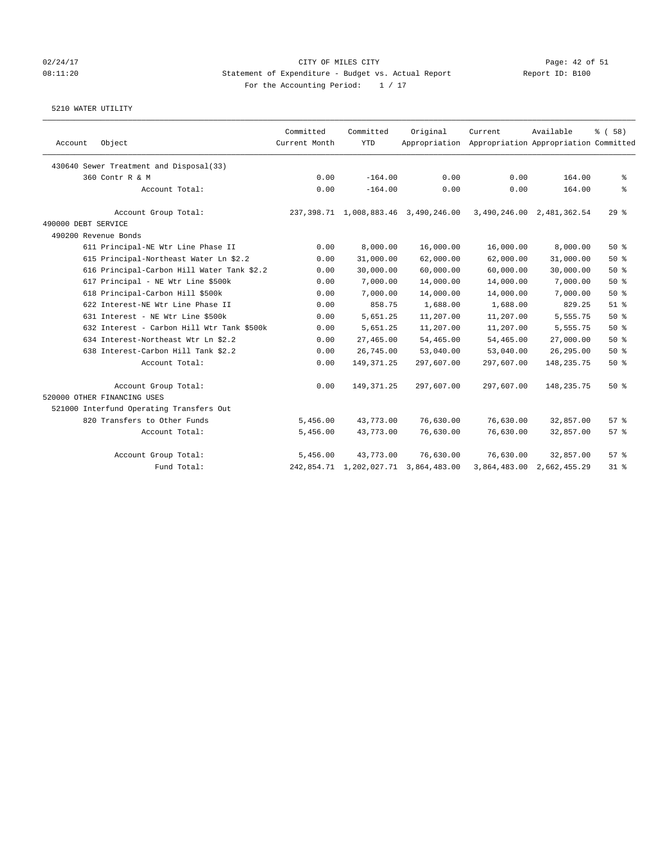### 02/24/17 CITY OF MILES CITY Page: 42 of 51 08:11:20 Statement of Expenditure - Budget vs. Actual Report Report ID: B100 For the Accounting Period:  $1 / 17$

| Account             | Object                                     | Committed<br>Current Month | Committed<br><b>YTD</b> | Original                             | Current<br>Appropriation Appropriation Appropriation Committed | Available                 | % (58) |
|---------------------|--------------------------------------------|----------------------------|-------------------------|--------------------------------------|----------------------------------------------------------------|---------------------------|--------|
|                     | 430640 Sewer Treatment and Disposal(33)    |                            |                         |                                      |                                                                |                           |        |
|                     | 360 Contr R & M                            | 0.00                       | $-164.00$               | 0.00                                 | 0.00                                                           | 164.00                    | နွ     |
|                     | Account Total:                             | 0.00                       | $-164.00$               | 0.00                                 | 0.00                                                           | 164.00                    | နွ     |
|                     | Account Group Total:                       |                            |                         | 237,398.71 1,008,883.46 3,490,246.00 |                                                                | 3,490,246.00 2,481,362.54 | 298    |
| 490000 DEBT SERVICE |                                            |                            |                         |                                      |                                                                |                           |        |
|                     | 490200 Revenue Bonds                       |                            |                         |                                      |                                                                |                           |        |
|                     | 611 Principal-NE Wtr Line Phase II         | 0.00                       | 8,000.00                | 16,000.00                            | 16,000.00                                                      | 8,000.00                  | 50%    |
|                     | 615 Principal-Northeast Water Ln \$2.2     | 0.00                       | 31,000.00               | 62,000.00                            | 62,000.00                                                      | 31,000.00                 | 50%    |
|                     | 616 Principal-Carbon Hill Water Tank \$2.2 | 0.00                       | 30,000.00               | 60,000.00                            | 60,000.00                                                      | 30,000.00                 | 50%    |
|                     | 617 Principal - NE Wtr Line \$500k         | 0.00                       | 7,000.00                | 14,000.00                            | 14,000.00                                                      | 7,000.00                  | 50%    |
|                     | 618 Principal-Carbon Hill \$500k           | 0.00                       | 7,000.00                | 14,000.00                            | 14,000.00                                                      | 7,000.00                  | 50%    |
|                     | 622 Interest-NE Wtr Line Phase II          | 0.00                       | 858.75                  | 1,688.00                             | 1,688.00                                                       | 829.25                    | $51$ % |
|                     | 631 Interest - NE Wtr Line \$500k          | 0.00                       | 5,651.25                | 11,207.00                            | 11,207.00                                                      | 5,555.75                  | 50%    |
|                     | 632 Interest - Carbon Hill Wtr Tank \$500k | 0.00                       | 5,651.25                | 11,207.00                            | 11,207.00                                                      | 5,555.75                  | 50%    |
|                     | 634 Interest-Northeast Wtr Ln \$2.2        | 0.00                       | 27,465.00               | 54,465.00                            | 54,465.00                                                      | 27,000.00                 | 50%    |
|                     | 638 Interest-Carbon Hill Tank \$2.2        | 0.00                       | 26,745.00               | 53,040.00                            | 53,040.00                                                      | 26, 295.00                | 50%    |
|                     | Account Total:                             | 0.00                       | 149, 371.25             | 297,607.00                           | 297,607.00                                                     | 148, 235. 75              | 50%    |
|                     | Account Group Total:                       | 0.00                       | 149, 371.25             | 297,607.00                           | 297,607.00                                                     | 148, 235. 75              | 50%    |
|                     | 520000 OTHER FINANCING USES                |                            |                         |                                      |                                                                |                           |        |
|                     | 521000 Interfund Operating Transfers Out   |                            |                         |                                      |                                                                |                           |        |
|                     | 820 Transfers to Other Funds               | 5,456.00                   | 43,773.00               | 76,630.00                            | 76,630.00                                                      | 32,857.00                 | 57%    |
|                     | Account Total:                             | 5,456.00                   | 43,773.00               | 76,630.00                            | 76,630.00                                                      | 32,857.00                 | 57%    |
|                     | Account Group Total:                       | 5,456.00                   | 43,773.00               | 76,630.00                            | 76,630.00                                                      | 32,857.00                 | 57%    |
|                     | Fund Total:                                |                            | 242,854.71 1,202,027.71 | 3,864,483.00                         | 3,864,483.00                                                   | 2,662,455.29              | 31.8   |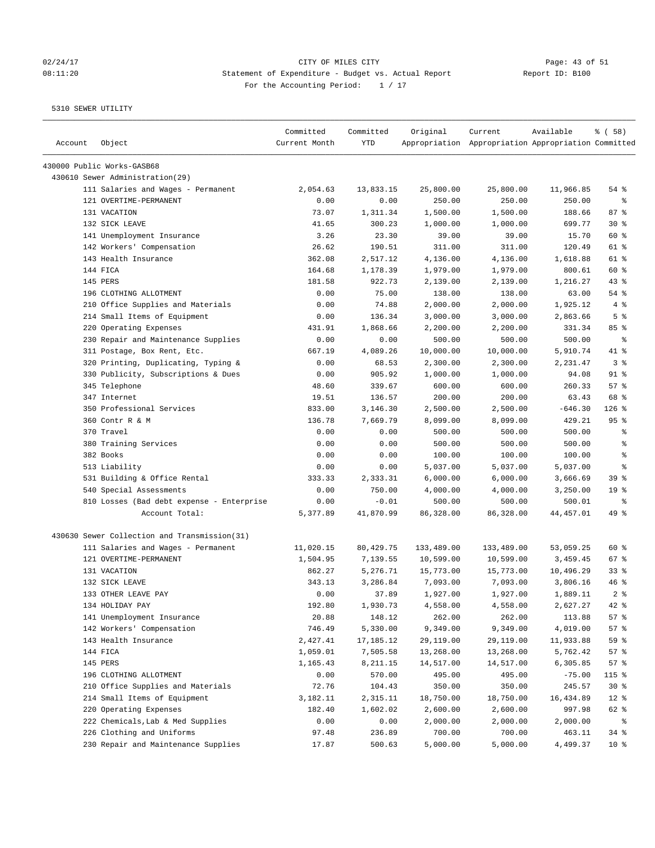# 02/24/17 Page: 43 of 51 08:11:20 Statement of Expenditure - Budget vs. Actual Report Changer Report ID: B100 For the Accounting Period: 1 / 17

| Account | Object                                       | Committed<br>Current Month | Committed<br><b>YTD</b> | Original   | Current<br>Appropriation Appropriation Appropriation Committed | Available | % (58)          |
|---------|----------------------------------------------|----------------------------|-------------------------|------------|----------------------------------------------------------------|-----------|-----------------|
|         | 430000 Public Works-GASB68                   |                            |                         |            |                                                                |           |                 |
|         | 430610 Sewer Administration(29)              |                            |                         |            |                                                                |           |                 |
|         | 111 Salaries and Wages - Permanent           | 2,054.63                   | 13,833.15               | 25,800.00  | 25,800.00                                                      | 11,966.85 | 54 %            |
|         | 121 OVERTIME-PERMANENT                       | 0.00                       | 0.00                    | 250.00     | 250.00                                                         | 250.00    | $\epsilon$      |
|         | 131 VACATION                                 | 73.07                      | 1,311.34                | 1,500.00   | 1,500.00                                                       | 188.66    | 87%             |
|         | 132 SICK LEAVE                               | 41.65                      | 300.23                  | 1,000.00   | 1,000.00                                                       | 699.77    | $30*$           |
|         | 141 Unemployment Insurance                   | 3.26                       | 23.30                   | 39.00      | 39.00                                                          | 15.70     | 60 %            |
|         | 142 Workers' Compensation                    | 26.62                      | 190.51                  | 311.00     | 311.00                                                         | 120.49    | 61 %            |
|         | 143 Health Insurance                         | 362.08                     | 2,517.12                | 4,136.00   | 4,136.00                                                       | 1,618.88  | 61 %            |
|         | 144 FICA                                     | 164.68                     | 1,178.39                | 1,979.00   | 1,979.00                                                       | 800.61    | 60 %            |
|         | 145 PERS                                     | 181.58                     | 922.73                  | 2,139.00   | 2,139.00                                                       | 1,216.27  | $43$ %          |
|         | 196 CLOTHING ALLOTMENT                       | 0.00                       | 75.00                   | 138.00     | 138.00                                                         | 63.00     | 54 %            |
|         | 210 Office Supplies and Materials            | 0.00                       | 74.88                   | 2,000.00   | 2,000.00                                                       | 1,925.12  | 4%              |
|         | 214 Small Items of Equipment                 | 0.00                       | 136.34                  | 3,000.00   | 3,000.00                                                       | 2,863.66  | 5 <sup>°</sup>  |
|         | 220 Operating Expenses                       | 431.91                     | 1,868.66                | 2,200.00   | 2,200.00                                                       | 331.34    | 85%             |
|         | 230 Repair and Maintenance Supplies          | 0.00                       | 0.00                    | 500.00     | 500.00                                                         | 500.00    | ႜ               |
|         | 311 Postage, Box Rent, Etc.                  | 667.19                     | 4,089.26                | 10,000.00  | 10,000.00                                                      | 5,910.74  | 41 %            |
|         | 320 Printing, Duplicating, Typing &          | 0.00                       | 68.53                   | 2,300.00   | 2,300.00                                                       | 2,231.47  | 3 <sup>°</sup>  |
|         | 330 Publicity, Subscriptions & Dues          | 0.00                       | 905.92                  | 1,000.00   | 1,000.00                                                       | 94.08     | $91$ %          |
|         | 345 Telephone                                | 48.60                      | 339.67                  | 600.00     | 600.00                                                         | 260.33    | 57%             |
|         | 347 Internet                                 | 19.51                      | 136.57                  | 200.00     | 200.00                                                         | 63.43     | 68 %            |
|         | 350 Professional Services                    | 833.00                     | 3,146.30                | 2,500.00   | 2,500.00                                                       | $-646.30$ | $126$ %         |
|         | 360 Contr R & M                              | 136.78                     | 7,669.79                | 8,099.00   | 8,099.00                                                       | 429.21    | 95%             |
|         | 370 Travel                                   | 0.00                       | 0.00                    | 500.00     | 500.00                                                         | 500.00    | ್ಠಿ             |
|         | 380 Training Services                        | 0.00                       | 0.00                    | 500.00     | 500.00                                                         | 500.00    | ి               |
|         | 382 Books                                    | 0.00                       | 0.00                    | 100.00     | 100.00                                                         | 100.00    | る               |
|         | 513 Liability                                | 0.00                       | 0.00                    | 5,037.00   | 5,037.00                                                       | 5,037.00  | နွ              |
|         | 531 Building & Office Rental                 | 333.33                     | 2,333.31                | 6,000.00   | 6,000.00                                                       | 3,666.69  | 39 %            |
|         | 540 Special Assessments                      | 0.00                       | 750.00                  | 4,000.00   | 4,000.00                                                       | 3,250.00  | 19 <sup>°</sup> |
|         | 810 Losses (Bad debt expense - Enterprise    | 0.00                       | $-0.01$                 | 500.00     | 500.00                                                         | 500.01    | $\epsilon$      |
|         | Account Total:                               | 5,377.89                   | 41,870.99               | 86,328.00  | 86,328.00                                                      | 44,457.01 | 49 %            |
|         | 430630 Sewer Collection and Transmission(31) |                            |                         |            |                                                                |           |                 |
|         | 111 Salaries and Wages - Permanent           | 11,020.15                  | 80, 429. 75             | 133,489.00 | 133,489.00                                                     | 53,059.25 | 60 %            |
|         | 121 OVERTIME-PERMANENT                       | 1,504.95                   | 7,139.55                | 10,599.00  | 10,599.00                                                      | 3,459.45  | 67%             |
|         | 131 VACATION                                 | 862.27                     | 5,276.71                | 15,773.00  | 15,773.00                                                      | 10,496.29 | 33%             |
|         | 132 SICK LEAVE                               | 343.13                     | 3,286.84                | 7,093.00   | 7,093.00                                                       | 3,806.16  | 46 %            |
|         | 133 OTHER LEAVE PAY                          | 0.00                       | 37.89                   | 1,927.00   | 1,927.00                                                       | 1,889.11  | 2 <sup>8</sup>  |
|         | 134 HOLIDAY PAY                              | 192.80                     | 1,930.73                | 4,558.00   | 4,558.00                                                       | 2,627.27  | 42 %            |
|         | 141 Unemployment Insurance                   | 20.88                      | 148.12                  | 262.00     | 262.00                                                         | 113.88    | 57%             |
|         | 142 Workers' Compensation                    | 746.49                     | 5,330.00                | 9,349.00   | 9,349.00                                                       | 4,019.00  | 57%             |
|         | 143 Health Insurance                         | 2,427.41                   | 17,185.12               | 29,119.00  | 29,119.00                                                      | 11,933.88 | 59 %            |
|         | 144 FICA                                     | 1,059.01                   | 7,505.58                | 13,268.00  | 13,268.00                                                      | 5,762.42  | 57%             |
|         | 145 PERS                                     | 1,165.43                   | 8,211.15                | 14,517.00  | 14,517.00                                                      | 6,305.85  | 57%             |
|         | 196 CLOTHING ALLOTMENT                       | 0.00                       | 570.00                  | 495.00     | 495.00                                                         | $-75.00$  | 115 %           |
|         | 210 Office Supplies and Materials            | 72.76                      | 104.43                  | 350.00     | 350.00                                                         | 245.57    | $30*$           |
|         | 214 Small Items of Equipment                 | 3,182.11                   | 2,315.11                | 18,750.00  | 18,750.00                                                      | 16,434.89 | $12*$           |
|         | 220 Operating Expenses                       | 182.40                     | 1,602.02                | 2,600.00   | 2,600.00                                                       | 997.98    | 62 %            |
|         | 222 Chemicals, Lab & Med Supplies            | 0.00                       | 0.00                    | 2,000.00   | 2,000.00                                                       | 2,000.00  | နွ              |
|         | 226 Clothing and Uniforms                    | 97.48                      | 236.89                  | 700.00     | 700.00                                                         | 463.11    | 34%             |
|         | 230 Repair and Maintenance Supplies          | 17.87                      | 500.63                  | 5,000.00   | 5,000.00                                                       | 4,499.37  | $10*$           |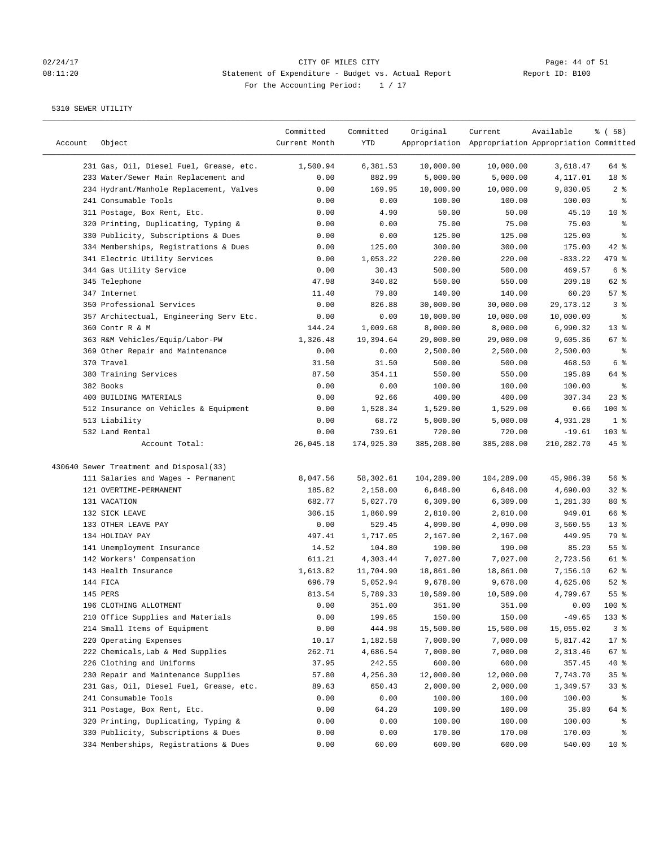# 02/24/17 CITY OF MILES CITY<br>
08:11:20 Statement of Expenditure - Budget vs. Actual Report Report ID: B100 08:11:20 Statement of Expenditure - Budget vs. Actual Report For the Accounting Period: 1 / 17

| Account | Object                                  | Committed<br>Current Month | Committed<br>YTD | Original   | Current<br>Appropriation Appropriation Appropriation Committed | Available  | % ( 58 )        |
|---------|-----------------------------------------|----------------------------|------------------|------------|----------------------------------------------------------------|------------|-----------------|
|         | 231 Gas, Oil, Diesel Fuel, Grease, etc. | 1,500.94                   | 6,381.53         | 10,000.00  | 10,000.00                                                      | 3,618.47   | 64 %            |
|         | 233 Water/Sewer Main Replacement and    | 0.00                       | 882.99           | 5,000.00   | 5,000.00                                                       | 4,117.01   | 18 %            |
|         | 234 Hydrant/Manhole Replacement, Valves | 0.00                       | 169.95           | 10,000.00  | 10,000.00                                                      | 9,830.05   | 2 <sup>8</sup>  |
|         | 241 Consumable Tools                    | 0.00                       | 0.00             | 100.00     | 100.00                                                         | 100.00     | $\epsilon$      |
|         | 311 Postage, Box Rent, Etc.             | 0.00                       | 4.90             | 50.00      | 50.00                                                          | 45.10      | $10*$           |
|         | 320 Printing, Duplicating, Typing &     | 0.00                       | 0.00             | 75.00      | 75.00                                                          | 75.00      | ి               |
|         | 330 Publicity, Subscriptions & Dues     | 0.00                       | 0.00             | 125.00     | 125.00                                                         | 125.00     | ి               |
|         | 334 Memberships, Registrations & Dues   | 0.00                       | 125.00           | 300.00     | 300.00                                                         | 175.00     | $42$ %          |
|         | 341 Electric Utility Services           | 0.00                       | 1,053.22         | 220.00     | 220.00                                                         | $-833.22$  | 479 %           |
|         | 344 Gas Utility Service                 | 0.00                       | 30.43            | 500.00     | 500.00                                                         | 469.57     | 6 <sup>8</sup>  |
|         | 345 Telephone                           | 47.98                      | 340.82           | 550.00     | 550.00                                                         | 209.18     | 62 %            |
|         | 347 Internet                            | 11.40                      | 79.80            | 140.00     | 140.00                                                         | 60.20      | 57%             |
|         | 350 Professional Services               | 0.00                       | 826.88           | 30,000.00  | 30,000.00                                                      | 29,173.12  | 3%              |
|         | 357 Architectual, Engineering Serv Etc. | 0.00                       | 0.00             | 10,000.00  | 10,000.00                                                      | 10,000.00  | နွ              |
|         | 360 Contr R & M                         | 144.24                     | 1,009.68         | 8,000.00   | 8,000.00                                                       | 6,990.32   | 13 <sup>°</sup> |
|         | 363 R&M Vehicles/Equip/Labor-PW         | 1,326.48                   | 19,394.64        | 29,000.00  | 29,000.00                                                      | 9,605.36   | $67$ %          |
|         | 369 Other Repair and Maintenance        | 0.00                       | 0.00             | 2,500.00   | 2,500.00                                                       | 2,500.00   | နွ              |
|         | 370 Travel                              | 31.50                      | 31.50            | 500.00     | 500.00                                                         | 468.50     | $6\degree$      |
|         | 380 Training Services                   | 87.50                      | 354.11           | 550.00     | 550.00                                                         | 195.89     | 64 %            |
|         | 382 Books                               | 0.00                       | 0.00             | 100.00     | 100.00                                                         | 100.00     | နွ              |
|         | 400 BUILDING MATERIALS                  | 0.00                       | 92.66            | 400.00     | 400.00                                                         | 307.34     | $23$ $%$        |
|         | 512 Insurance on Vehicles & Equipment   | 0.00                       | 1,528.34         | 1,529.00   | 1,529.00                                                       | 0.66       | $100$ %         |
|         | 513 Liability                           | 0.00                       | 68.72            | 5,000.00   | 5,000.00                                                       | 4,931.28   | 1 <sup>8</sup>  |
|         | 532 Land Rental                         | 0.00                       | 739.61           | 720.00     | 720.00                                                         | $-19.61$   | 103 %           |
|         | Account Total:                          | 26,045.18                  | 174,925.30       | 385,208.00 | 385,208.00                                                     | 210,282.70 | $45$ %          |
|         | 430640 Sewer Treatment and Disposal(33) |                            |                  |            |                                                                |            |                 |
|         | 111 Salaries and Wages - Permanent      | 8,047.56                   | 58,302.61        | 104,289.00 | 104,289.00                                                     | 45,986.39  | 56%             |
|         | 121 OVERTIME-PERMANENT                  | 185.82                     | 2,158.00         | 6,848.00   | 6,848.00                                                       | 4,690.00   | $32$ $%$        |
|         | 131 VACATION                            | 682.77                     | 5,027.70         | 6,309.00   | 6,309.00                                                       | 1,281.30   | 80%             |
|         | 132 SICK LEAVE                          | 306.15                     | 1,860.99         | 2,810.00   | 2,810.00                                                       | 949.01     | 66 %            |
|         | 133 OTHER LEAVE PAY                     | 0.00                       | 529.45           | 4,090.00   | 4,090.00                                                       | 3,560.55   | $13$ %          |
|         | 134 HOLIDAY PAY                         | 497.41                     | 1,717.05         | 2,167.00   | 2,167.00                                                       | 449.95     | 79 %            |
|         | 141 Unemployment Insurance              | 14.52                      | 104.80           | 190.00     | 190.00                                                         | 85.20      | 55 %            |
|         | 142 Workers' Compensation               | 611.21                     | 4,303.44         | 7,027.00   | 7,027.00                                                       | 2,723.56   | 61 %            |
|         | 143 Health Insurance                    | 1,613.82                   | 11,704.90        | 18,861.00  | 18,861.00                                                      | 7,156.10   | 62 %            |
|         | 144 FICA                                | 696.79                     | 5,052.94         | 9,678.00   | 9,678.00                                                       | 4,625.06   | $52$ $%$        |
|         | 145 PERS                                | 813.54                     | 5,789.33         | 10,589.00  | 10,589.00                                                      | 4,799.67   | 55 <sup>8</sup> |
|         | 196 CLOTHING ALLOTMENT                  | 0.00                       | 351.00           | 351.00     | 351.00                                                         | 0.00       | 100 %           |
|         | 210 Office Supplies and Materials       | 0.00                       | 199.65           | 150.00     | 150.00                                                         | $-49.65$   | 133 %           |
|         | 214 Small Items of Equipment            | 0.00                       | 444.98           | 15,500.00  | 15,500.00                                                      | 15,055.02  | 3 <sup>°</sup>  |
|         | 220 Operating Expenses                  | 10.17                      | 1,182.58         | 7,000.00   | 7,000.00                                                       | 5,817.42   | $17$ %          |
|         | 222 Chemicals, Lab & Med Supplies       | 262.71                     | 4,686.54         | 7,000.00   | 7,000.00                                                       | 2,313.46   | 67 %            |
|         | 226 Clothing and Uniforms               | 37.95                      | 242.55           | 600.00     | 600.00                                                         | 357.45     | $40*$           |
|         | 230 Repair and Maintenance Supplies     | 57.80                      | 4,256.30         | 12,000.00  | 12,000.00                                                      | 7,743.70   | 35%             |
|         | 231 Gas, Oil, Diesel Fuel, Grease, etc. | 89.63                      | 650.43           | 2,000.00   | 2,000.00                                                       | 1,349.57   | $33*$           |
|         | 241 Consumable Tools                    | 0.00                       | 0.00             | 100.00     | 100.00                                                         | 100.00     | ႜ               |
|         | 311 Postage, Box Rent, Etc.             | 0.00                       | 64.20            | 100.00     | 100.00                                                         | 35.80      | 64 %            |
|         | 320 Printing, Duplicating, Typing &     | 0.00                       | 0.00             | 100.00     | 100.00                                                         | 100.00     | ್ಠಿ             |
|         | 330 Publicity, Subscriptions & Dues     | 0.00                       | 0.00             | 170.00     | 170.00                                                         | 170.00     | ႜ               |
|         | 334 Memberships, Registrations & Dues   | 0.00                       | 60.00            | 600.00     | 600.00                                                         | 540.00     | 10 <sub>8</sub> |
|         |                                         |                            |                  |            |                                                                |            |                 |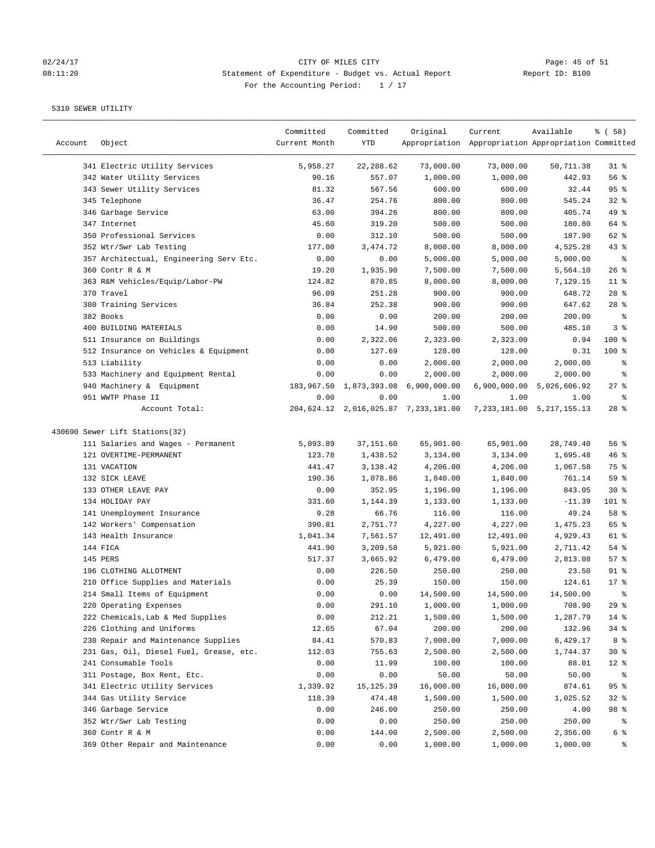# 02/24/17 CITY OF MILES CITY<br>
08:11:20 Buttement of Expenditure - Budget vs. Actual Report Report ID: B100 08:11:20 Statement of Expenditure - Budget vs. Actual Report For the Accounting Period: 1 / 17

| Account | Object                                  | Committed<br>Current Month | Committed<br>YTD | Original                                  | Current<br>Appropriation Appropriation Appropriation Committed | Available                     | % ( 58 )   |
|---------|-----------------------------------------|----------------------------|------------------|-------------------------------------------|----------------------------------------------------------------|-------------------------------|------------|
|         | 341 Electric Utility Services           | 5,958.27                   | 22,288.62        | 73,000.00                                 | 73,000.00                                                      | 50,711.38                     | $31$ %     |
|         | 342 Water Utility Services              | 90.16                      | 557.07           | 1,000.00                                  | 1,000.00                                                       | 442.93                        | 56%        |
|         | 343 Sewer Utility Services              | 81.32                      | 567.56           | 600.00                                    | 600.00                                                         | 32.44                         | 95%        |
|         | 345 Telephone                           | 36.47                      | 254.76           | 800.00                                    | 800.00                                                         | 545.24                        | 32%        |
|         | 346 Garbage Service                     | 63.00                      | 394.26           | 800.00                                    | 800.00                                                         | 405.74                        | 49 %       |
|         | 347 Internet                            | 45.60                      | 319.20           | 500.00                                    | 500.00                                                         | 180.80                        | 64 %       |
|         | 350 Professional Services               | 0.00                       | 312.10           | 500.00                                    | 500.00                                                         | 187.90                        | 62 %       |
|         | 352 Wtr/Swr Lab Testing                 | 177.00                     | 3,474.72         | 8,000.00                                  | 8,000.00                                                       | 4,525.28                      | 43%        |
|         | 357 Architectual, Engineering Serv Etc. | 0.00                       | 0.00             | 5,000.00                                  | 5,000.00                                                       | 5,000.00                      | $\epsilon$ |
|         | 360 Contr R & M                         | 19.20                      | 1,935.90         | 7,500.00                                  | 7,500.00                                                       | 5,564.10                      | $26$ %     |
|         | 363 R&M Vehicles/Equip/Labor-PW         | 124.82                     | 870.85           | 8,000.00                                  | 8,000.00                                                       | 7,129.15                      | $11$ %     |
|         | 370 Travel                              | 96.09                      | 251.28           | 900.00                                    | 900.00                                                         | 648.72                        | $28$ %     |
|         | 380 Training Services                   | 36.84                      | 252.38           | 900.00                                    | 900.00                                                         | 647.62                        | $28$ %     |
|         | 382 Books                               | 0.00                       | 0.00             | 200.00                                    | 200.00                                                         | 200.00                        | $\epsilon$ |
|         | 400 BUILDING MATERIALS                  | 0.00                       | 14.90            | 500.00                                    | 500.00                                                         | 485.10                        | 3%         |
|         | 511 Insurance on Buildings              | 0.00                       | 2,322.06         | 2,323.00                                  | 2,323.00                                                       | 0.94                          | 100 %      |
|         | 512 Insurance on Vehicles & Equipment   | 0.00                       | 127.69           | 128.00                                    | 128.00                                                         | 0.31                          | $100$ %    |
|         | 513 Liability                           | 0.00                       | 0.00             | 2,000.00                                  | 2,000.00                                                       | 2,000.00                      | နွ         |
|         | 533 Machinery and Equipment Rental      | 0.00                       | 0.00             | 2,000.00                                  | 2,000.00                                                       | 2,000.00                      | ್ಠಿ        |
|         | 940 Machinery & Equipment               | 183,967.50                 | 1,873,393.08     | 6,900,000.00                              |                                                                | 6,900,000.00 5,026,606.92     | $27$ %     |
|         | 951 WWTP Phase II                       | 0.00                       | 0.00             | 1.00                                      | 1.00                                                           | 1.00                          | နွ         |
|         | Account Total:                          |                            |                  | 204, 624.12 2, 016, 025.87 7, 233, 181.00 |                                                                | 7, 233, 181.00 5, 217, 155.13 | $28$ %     |
|         | 430690 Sewer Lift Stations(32)          |                            |                  |                                           |                                                                |                               |            |
|         | 111 Salaries and Wages - Permanent      | 5,093.89                   | 37,151.60        | 65,901.00                                 | 65,901.00                                                      | 28,749.40                     | 56%        |
|         | 121 OVERTIME-PERMANENT                  | 123.78                     | 1,438.52         | 3,134.00                                  | 3,134.00                                                       | 1,695.48                      | 46%        |
|         | 131 VACATION                            | 441.47                     |                  | 4,206.00                                  | 4,206.00                                                       |                               | 75 %       |
|         | 132 SICK LEAVE                          |                            | 3,138.42         |                                           |                                                                | 1,067.58                      |            |
|         |                                         | 190.36                     | 1,078.86         | 1,840.00                                  | 1,840.00                                                       | 761.14                        | 59 %       |
|         | 133 OTHER LEAVE PAY                     | 0.00                       | 352.95           | 1,196.00                                  | 1,196.00                                                       | 843.05                        | $30*$      |
|         | 134 HOLIDAY PAY                         | 331.60                     | 1,144.39         | 1,133.00                                  | 1,133.00                                                       | $-11.39$                      | 101 %      |
|         | 141 Unemployment Insurance              | 9.28                       | 66.76            | 116.00                                    | 116.00                                                         | 49.24                         | 58 %       |
|         | 142 Workers' Compensation               | 390.81                     | 2,751.77         | 4,227.00                                  | 4,227.00                                                       | 1,475.23                      | 65 %       |
|         | 143 Health Insurance                    | 1,041.34                   | 7,561.57         | 12,491.00                                 | 12,491.00                                                      | 4,929.43                      | 61 %       |
|         | 144 FICA                                | 441.90                     | 3,209.58         | 5,921.00                                  | 5,921.00                                                       | 2,711.42                      | 54 %       |
|         | 145 PERS                                | 517.37                     | 3,665.92         | 6,479.00                                  | 6,479.00                                                       | 2,813.08                      | 57%        |
|         | 196 CLOTHING ALLOTMENT                  | 0.00                       | 226.50           | 250.00                                    | 250.00                                                         | 23.50                         | $91$ %     |
|         | 210 Office Supplies and Materials       | 0.00                       | 25.39            | 150.00                                    | 150.00                                                         | 124.61                        | $17*$      |
|         | 214 Small Items of Equipment            | 0.00                       | 0.00             | 14,500.00                                 | 14,500.00                                                      | 14,500.00                     | ま          |
|         | 220 Operating Expenses                  | 0.00                       | 291.10           | 1,000.00                                  | 1,000.00                                                       | 708.90                        | 29%        |
|         | 222 Chemicals, Lab & Med Supplies       | 0.00                       | 212.21           | 1,500.00                                  | 1,500.00                                                       | 1,287.79                      | $14$ %     |
|         | 226 Clothing and Uniforms               | 12.65                      | 67.04            | 200.00                                    | 200.00                                                         | 132.96                        | 34%        |
|         | 230 Repair and Maintenance Supplies     | 84.41                      | 570.83           | 7,000.00                                  | 7,000.00                                                       | 6,429.17                      | 8 %        |
|         | 231 Gas, Oil, Diesel Fuel, Grease, etc. | 112.03                     | 755.63           | 2,500.00                                  | 2,500.00                                                       | 1,744.37                      | $30*$      |
|         | 241 Consumable Tools                    | 0.00                       | 11.99            | 100.00                                    | 100.00                                                         | 88.01                         | $12$ %     |
|         | 311 Postage, Box Rent, Etc.             | 0.00                       | 0.00             | 50.00                                     | 50.00                                                          | 50.00                         | န့         |
|         | 341 Electric Utility Services           | 1,339.92                   | 15,125.39        | 16,000.00                                 | 16,000.00                                                      | 874.61                        | 95%        |
|         | 344 Gas Utility Service                 | 118.39                     | 474.48           | 1,500.00                                  | 1,500.00                                                       | 1,025.52                      | $32*$      |
|         | 346 Garbage Service                     | 0.00                       | 246.00           | 250.00                                    | 250.00                                                         | 4.00                          | 98 %       |
|         | 352 Wtr/Swr Lab Testing                 | 0.00                       | 0.00             | 250.00                                    | 250.00                                                         | 250.00                        | ိ          |
|         | 360 Contr R & M                         | 0.00                       | 144.00           | 2,500.00                                  | 2,500.00                                                       | 2,356.00                      |            |
|         | 369 Other Repair and Maintenance        | 0.00                       | 0.00             | 1,000.00                                  | 1,000.00                                                       | 1,000.00                      | ွေ         |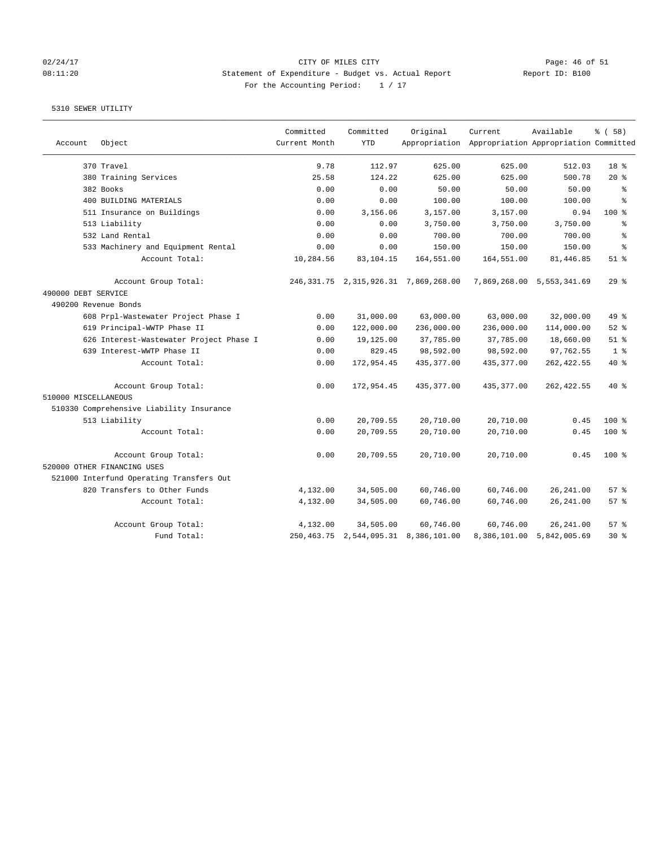# 02/24/17 CITY OF MILES CITY<br>08:11:20 08:11:20 Statement of Expenditure - Budget vs. Actual Report (Report ID: B100 08:11:20 Statement of Expenditure - Budget vs. Actual Report For the Accounting Period: 1 / 17

|                      |                                          | Committed     | Committed  | Original                                  | Current                                             | Available                 | % (58)          |
|----------------------|------------------------------------------|---------------|------------|-------------------------------------------|-----------------------------------------------------|---------------------------|-----------------|
| Account              | Object                                   | Current Month | <b>YTD</b> |                                           | Appropriation Appropriation Appropriation Committed |                           |                 |
|                      | 370 Travel                               | 9.78          | 112.97     | 625.00                                    | 625.00                                              | 512.03                    | 18 <sup>8</sup> |
|                      | 380 Training Services                    | 25.58         | 124.22     | 625.00                                    | 625.00                                              | 500.78                    | $20*$           |
|                      | 382 Books                                | 0.00          | 0.00       | 50.00                                     | 50.00                                               | 50.00                     | နွ              |
|                      | 400 BUILDING MATERIALS                   | 0.00          | 0.00       | 100.00                                    | 100.00                                              | 100.00                    | ÷.              |
|                      | 511 Insurance on Buildings               | 0.00          | 3,156.06   | 3,157.00                                  | 3,157.00                                            | 0.94                      | $100*$          |
|                      | 513 Liability                            | 0.00          | 0.00       | 3,750.00                                  | 3,750.00                                            | 3,750.00                  | နွ              |
|                      | 532 Land Rental                          | 0.00          | 0.00       | 700.00                                    | 700.00                                              | 700.00                    | ి               |
|                      | 533 Machinery and Equipment Rental       | 0.00          | 0.00       | 150.00                                    | 150.00                                              | 150.00                    | $\approx$       |
|                      | Account Total:                           | 10,284.56     | 83,104.15  | 164,551.00                                | 164,551.00                                          | 81, 446.85                | $51$ %          |
|                      | Account Group Total:                     |               |            | 246, 331.75 2, 315, 926.31 7, 869, 268.00 |                                                     | 7,869,268.00 5,553,341.69 | 29%             |
| 490000 DEBT SERVICE  |                                          |               |            |                                           |                                                     |                           |                 |
|                      | 490200 Revenue Bonds                     |               |            |                                           |                                                     |                           |                 |
|                      | 608 Prpl-Wastewater Project Phase I      | 0.00          | 31,000.00  | 63,000.00                                 | 63,000.00                                           | 32,000.00                 | 49.8            |
|                      | 619 Principal-WWTP Phase II              | 0.00          | 122,000.00 | 236,000.00                                | 236,000.00                                          | 114,000.00                | $52$ $%$        |
|                      | 626 Interest-Wastewater Project Phase I  | 0.00          | 19,125.00  | 37,785.00                                 | 37,785.00                                           | 18,660.00                 | $51$ $%$        |
|                      | 639 Interest-WWTP Phase II               | 0.00          | 829.45     | 98,592.00                                 | 98,592.00                                           | 97,762.55                 | 1 <sup>8</sup>  |
|                      | Account Total:                           | 0.00          | 172,954.45 | 435, 377.00                               | 435,377.00                                          | 262, 422.55               | 40 %            |
|                      | Account Group Total:                     | 0.00          | 172,954.45 | 435,377.00                                | 435,377.00                                          | 262, 422.55               | $40*$           |
| 510000 MISCELLANEOUS |                                          |               |            |                                           |                                                     |                           |                 |
|                      | 510330 Comprehensive Liability Insurance |               |            |                                           |                                                     |                           |                 |
|                      | 513 Liability                            | 0.00          | 20,709.55  | 20,710.00                                 | 20,710.00                                           | 0.45                      | $100$ %         |
|                      | Account Total:                           | 0.00          | 20,709.55  | 20,710.00                                 | 20,710.00                                           | 0.45                      | 100 %           |
|                      | Account Group Total:                     | 0.00          | 20,709.55  | 20,710.00                                 | 20,710.00                                           | 0.45                      | $100$ %         |
|                      | 520000 OTHER FINANCING USES              |               |            |                                           |                                                     |                           |                 |
|                      | 521000 Interfund Operating Transfers Out |               |            |                                           |                                                     |                           |                 |
|                      | 820 Transfers to Other Funds             | 4,132.00      | 34,505.00  | 60,746.00                                 | 60,746.00                                           | 26, 241.00                | 57%             |
|                      | Account Total:                           | 4,132.00      | 34,505.00  | 60,746.00                                 | 60,746.00                                           | 26, 241.00                | 57%             |
|                      | Account Group Total:                     | 4,132.00      | 34,505.00  | 60,746.00                                 | 60,746.00                                           | 26, 241.00                | 57%             |
|                      | Fund Total:                              |               |            | 250, 463.75 2, 544, 095.31 8, 386, 101.00 |                                                     | 8,386,101.00 5,842,005.69 | $30*$           |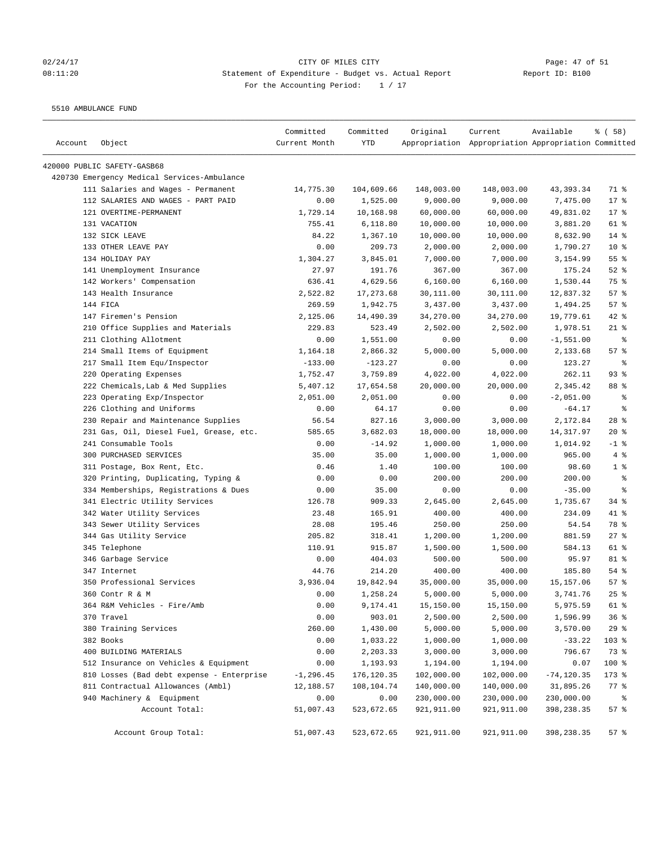# 02/24/17 Page: 47 of 51 08:11:20 Statement of Expenditure - Budget vs. Actual Report Report ID: B100 For the Accounting Period:  $1 / 17$

5510 AMBULANCE FUND

| Account | Object                                      | Committed<br>Current Month | Committed<br>YTD | Original    | Current<br>Appropriation Appropriation Appropriation Committed | Available     | % ( 58 )        |
|---------|---------------------------------------------|----------------------------|------------------|-------------|----------------------------------------------------------------|---------------|-----------------|
|         |                                             |                            |                  |             |                                                                |               |                 |
|         | 420000 PUBLIC SAFETY-GASB68                 |                            |                  |             |                                                                |               |                 |
|         | 420730 Emergency Medical Services-Ambulance |                            |                  |             |                                                                |               |                 |
|         | 111 Salaries and Wages - Permanent          | 14,775.30                  | 104,609.66       | 148,003.00  | 148,003.00                                                     | 43, 393. 34   | 71 %            |
|         | 112 SALARIES AND WAGES - PART PAID          | 0.00                       | 1,525.00         | 9,000.00    | 9,000.00                                                       | 7,475.00      | 17 <sup>°</sup> |
|         | 121 OVERTIME-PERMANENT                      | 1,729.14                   | 10,168.98        | 60,000.00   | 60,000.00                                                      | 49,831.02     | $17$ %          |
|         | 131 VACATION                                | 755.41                     | 6,118.80         | 10,000.00   | 10,000.00                                                      | 3,881.20      | 61 %            |
|         | 132 SICK LEAVE                              | 84.22                      | 1,367.10         | 10,000.00   | 10,000.00                                                      | 8,632.90      | $14$ %          |
|         | 133 OTHER LEAVE PAY                         | 0.00                       | 209.73           | 2,000.00    | 2,000.00                                                       | 1,790.27      | 10 <sup>°</sup> |
|         | 134 HOLIDAY PAY                             | 1,304.27                   | 3,845.01         | 7,000.00    | 7,000.00                                                       | 3,154.99      | 55%             |
|         | 141 Unemployment Insurance                  | 27.97                      | 191.76           | 367.00      | 367.00                                                         | 175.24        | $52$ $%$        |
|         | 142 Workers' Compensation                   | 636.41                     | 4,629.56         | 6,160.00    | 6,160.00                                                       | 1,530.44      | 75 %            |
|         | 143 Health Insurance                        | 2,522.82                   | 17,273.68        | 30,111.00   | 30,111.00                                                      | 12,837.32     | 57%             |
|         | 144 FICA                                    | 269.59                     | 1,942.75         | 3,437.00    | 3,437.00                                                       | 1,494.25      | 57%             |
|         | 147 Firemen's Pension                       | 2,125.06                   | 14,490.39        | 34,270.00   | 34,270.00                                                      | 19,779.61     | $42$ %          |
|         | 210 Office Supplies and Materials           | 229.83                     | 523.49           | 2,502.00    | 2,502.00                                                       | 1,978.51      | $21$ %          |
|         | 211 Clothing Allotment                      | 0.00                       | 1,551.00         | 0.00        | 0.00                                                           | $-1,551.00$   | နွ              |
|         | 214 Small Items of Equipment                | 1,164.18                   | 2,866.32         | 5,000.00    | 5,000.00                                                       | 2,133.68      | 57%             |
|         | 217 Small Item Equ/Inspector                | $-133.00$                  | $-123.27$        | 0.00        | 0.00                                                           | 123.27        | နွ              |
|         | 220 Operating Expenses                      | 1,752.47                   | 3,759.89         | 4,022.00    | 4,022.00                                                       | 262.11        | 93%             |
|         | 222 Chemicals, Lab & Med Supplies           | 5,407.12                   | 17,654.58        | 20,000.00   | 20,000.00                                                      | 2,345.42      | 88 %            |
|         | 223 Operating Exp/Inspector                 | 2,051.00                   | 2,051.00         | 0.00        | 0.00                                                           | $-2,051.00$   | နွ              |
|         | 226 Clothing and Uniforms                   | 0.00                       | 64.17            | 0.00        | 0.00                                                           | $-64.17$      | နွ              |
|         | 230 Repair and Maintenance Supplies         | 56.54                      | 827.16           | 3,000.00    | 3,000.00                                                       | 2,172.84      | $28$ %          |
|         | 231 Gas, Oil, Diesel Fuel, Grease, etc.     | 585.65                     | 3,682.03         | 18,000.00   | 18,000.00                                                      | 14, 317.97    | $20*$           |
|         | 241 Consumable Tools                        | 0.00                       | $-14.92$         | 1,000.00    | 1,000.00                                                       | 1,014.92      | $-1$ %          |
|         | 300 PURCHASED SERVICES                      | 35.00                      | 35.00            | 1,000.00    | 1,000.00                                                       | 965.00        | 4%              |
|         | 311 Postage, Box Rent, Etc.                 | 0.46                       | 1.40             | 100.00      | 100.00                                                         | 98.60         | 1 <sup>8</sup>  |
|         | 320 Printing, Duplicating, Typing &         | 0.00                       | 0.00             | 200.00      | 200.00                                                         | 200.00        | နွ              |
|         | 334 Memberships, Registrations & Dues       | 0.00                       | 35.00            | 0.00        | 0.00                                                           | $-35.00$      | နွ              |
|         | 341 Electric Utility Services               | 126.78                     | 909.33           | 2,645.00    | 2,645.00                                                       | 1,735.67      | $34$ $%$        |
|         | 342 Water Utility Services                  | 23.48                      | 165.91           | 400.00      | 400.00                                                         | 234.09        | 41 %            |
|         | 343 Sewer Utility Services                  | 28.08                      | 195.46           | 250.00      | 250.00                                                         | 54.54         | 78 %            |
|         | 344 Gas Utility Service                     | 205.82                     | 318.41           | 1,200.00    | 1,200.00                                                       | 881.59        | $27$ %          |
|         | 345 Telephone                               | 110.91                     | 915.87           | 1,500.00    | 1,500.00                                                       | 584.13        | 61 %            |
|         | 346 Garbage Service                         | 0.00                       | 404.03           | 500.00      | 500.00                                                         | 95.97         | 81 %            |
|         | 347 Internet                                | 44.76                      | 214.20           | 400.00      | 400.00                                                         | 185.80        | $54$ %          |
|         | 350 Professional Services                   | 3,936.04                   | 19,842.94        | 35,000.00   | 35,000.00                                                      | 15, 157.06    | 57%             |
|         | 360 Contr R & M                             | 0.00                       | 1,258.24         | 5,000.00    | 5,000.00                                                       | 3,741.76      | $25$ $%$        |
|         | 364 R&M Vehicles - Fire/Amb                 | 0.00                       | 9,174.41         | 15,150.00   | 15,150.00                                                      | 5,975.59      | 61 %            |
|         | 370 Travel                                  | 0.00                       | 903.01           | 2,500.00    | 2,500.00                                                       | 1,596.99      | 36%             |
|         | 380 Training Services                       | 260.00                     | 1,430.00         | 5,000.00    | 5,000.00                                                       | 3,570.00      | 29%             |
|         | 382 Books                                   | 0.00                       | 1,033.22         | 1,000.00    | 1,000.00                                                       | $-33.22$      | 103 %           |
|         | 400 BUILDING MATERIALS                      | 0.00                       | 2,203.33         | 3,000.00    | 3,000.00                                                       | 796.67        | 73 %            |
|         | 512 Insurance on Vehicles & Equipment       | 0.00                       | 1,193.93         | 1,194.00    | 1,194.00                                                       | 0.07          | 100 %           |
|         | 810 Losses (Bad debt expense - Enterprise   | $-1, 296.45$               | 176,120.35       | 102,000.00  | 102,000.00                                                     | $-74, 120.35$ | 173 %           |
|         | 811 Contractual Allowances (Ambl)           | 12,188.57                  | 108,104.74       | 140,000.00  | 140,000.00                                                     | 31,895.26     | $77$ $%$        |
|         | 940 Machinery & Equipment                   | 0.00                       | 0.00             | 230,000.00  | 230,000.00                                                     | 230,000.00    | ి               |
|         | Account Total:                              | 51,007.43                  | 523,672.65       | 921,911.00  | 921,911.00                                                     | 398,238.35    | 57%             |
|         | Account Group Total:                        | 51,007.43                  | 523,672.65       | 921, 911.00 | 921,911.00                                                     | 398,238.35    | 57%             |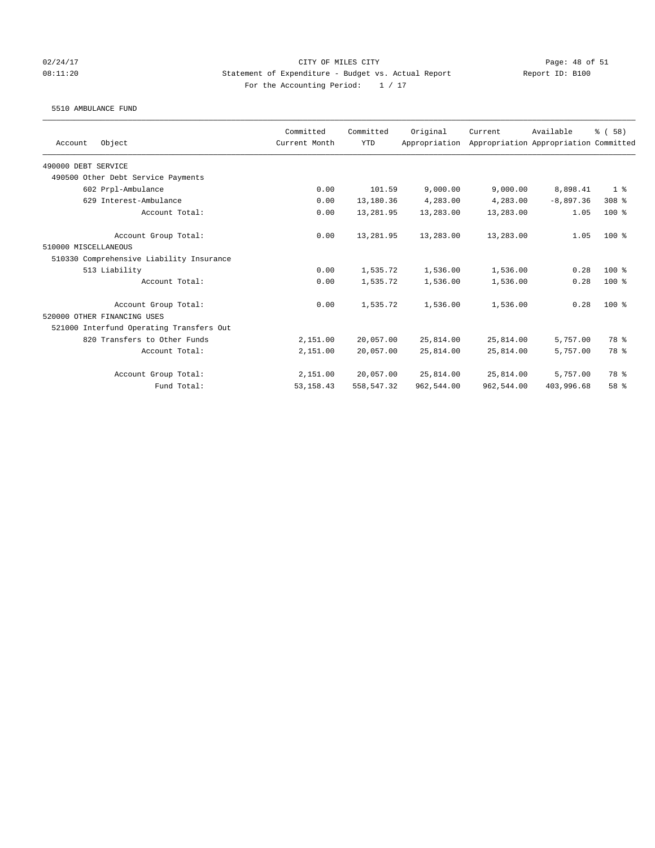# 02/24/17 Page: 48 of 51 08:11:20 Statement of Expenditure - Budget vs. Actual Report Report ID: B100 For the Accounting Period:  $1 / 17$

### 5510 AMBULANCE FUND

|                                          | Committed     | Committed   | Original      | Current    | Available                             | % (58)         |
|------------------------------------------|---------------|-------------|---------------|------------|---------------------------------------|----------------|
| Object<br>Account                        | Current Month | <b>YTD</b>  | Appropriation |            | Appropriation Appropriation Committed |                |
| 490000 DEBT SERVICE                      |               |             |               |            |                                       |                |
| 490500 Other Debt Service Payments       |               |             |               |            |                                       |                |
| 602 Prpl-Ambulance                       | 0.00          | 101.59      | 9,000.00      | 9,000.00   | 8,898.41                              | 1 <sup>8</sup> |
| 629 Interest-Ambulance                   | 0.00          | 13,180.36   | 4,283.00      | 4,283,00   | $-8,897,36$                           | 308 %          |
| Account Total:                           | 0.00          | 13,281.95   | 13,283.00     | 13,283.00  | 1.05                                  | $100*$         |
| Account Group Total:                     | 0.00          | 13,281.95   | 13,283.00     | 13,283.00  | 1.05                                  | $100*$         |
| 510000 MISCELLANEOUS                     |               |             |               |            |                                       |                |
| 510330 Comprehensive Liability Insurance |               |             |               |            |                                       |                |
| 513 Liability                            | 0.00          | 1,535.72    | 1,536.00      | 1,536.00   | 0.28                                  | $100*$         |
| Account Total:                           | 0.00          | 1,535.72    | 1,536.00      | 1,536.00   | 0.28                                  | $100*$         |
| Account Group Total:                     | 0.00          | 1,535.72    | 1,536.00      | 1,536.00   | 0.28                                  | $100*$         |
| 520000 OTHER FINANCING USES              |               |             |               |            |                                       |                |
| 521000 Interfund Operating Transfers Out |               |             |               |            |                                       |                |
| 820 Transfers to Other Funds             | 2,151.00      | 20,057.00   | 25,814.00     | 25,814.00  | 5,757.00                              | 78 %           |
| Account Total:                           | 2,151.00      | 20,057.00   | 25,814.00     | 25,814.00  | 5,757.00                              | 78 %           |
| Account Group Total:                     | 2,151.00      | 20,057.00   | 25,814.00     | 25,814.00  | 5,757.00                              | 78 %           |
| Fund Total:                              | 53, 158.43    | 558, 547.32 | 962,544.00    | 962,544.00 | 403,996.68                            | 58 %           |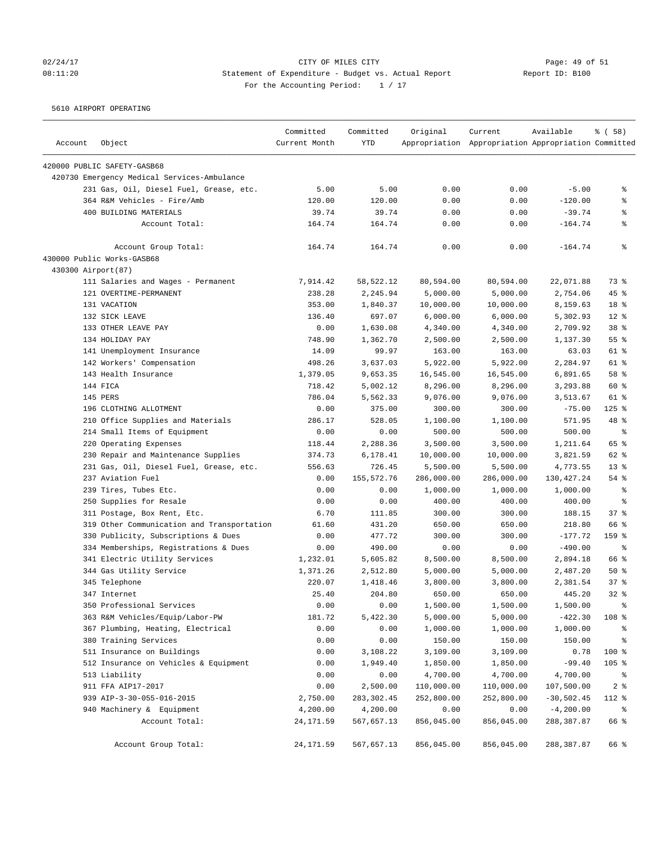# 02/24/17 CITY OF MILES CITY<br>
08:11:20 Statement of Expenditure - Budget vs. Actual Report Report ID: B100 08:11:20 Statement of Expenditure - Budget vs. Actual Report For the Accounting Period: 1 / 17

5610 AIRPORT OPERATING

| Account | Object                                      | Committed<br>Current Month | Committed<br><b>YTD</b> | Original   | Current<br>Appropriation Appropriation Appropriation Committed | Available    | % ( 58 )        |
|---------|---------------------------------------------|----------------------------|-------------------------|------------|----------------------------------------------------------------|--------------|-----------------|
|         | 420000 PUBLIC SAFETY-GASB68                 |                            |                         |            |                                                                |              |                 |
|         | 420730 Emergency Medical Services-Ambulance |                            |                         |            |                                                                |              |                 |
|         | 231 Gas, Oil, Diesel Fuel, Grease, etc.     | 5.00                       | 5.00                    | 0.00       | 0.00                                                           | $-5.00$      | နွ              |
|         | 364 R&M Vehicles - Fire/Amb                 | 120.00                     | 120.00                  | 0.00       | 0.00                                                           | $-120.00$    | နွ              |
|         | 400 BUILDING MATERIALS                      | 39.74                      | 39.74                   | 0.00       | 0.00                                                           | $-39.74$     | နွ              |
|         | Account Total:                              | 164.74                     | 164.74                  | 0.00       | 0.00                                                           | $-164.74$    | ៖               |
|         | Account Group Total:                        | 164.74                     | 164.74                  | 0.00       | 0.00                                                           | $-164.74$    | ి               |
|         | 430000 Public Works-GASB68                  |                            |                         |            |                                                                |              |                 |
|         | 430300 Airport (87)                         |                            |                         |            |                                                                |              |                 |
|         | 111 Salaries and Wages - Permanent          | 7,914.42                   | 58,522.12               | 80,594.00  | 80,594.00                                                      | 22,071.88    | 73 %            |
|         | 121 OVERTIME-PERMANENT                      | 238.28                     | 2,245.94                | 5,000.00   | 5,000.00                                                       | 2,754.06     | $45$ %          |
|         | 131 VACATION                                | 353.00                     | 1,840.37                | 10,000.00  | 10,000.00                                                      | 8,159.63     | 18 <sup>°</sup> |
|         | 132 SICK LEAVE                              | 136.40                     | 697.07                  | 6,000.00   | 6,000.00                                                       | 5,302.93     | $12*$           |
|         | 133 OTHER LEAVE PAY                         | 0.00                       | 1,630.08                | 4,340.00   | 4,340.00                                                       | 2,709.92     | 38 %            |
|         | 134 HOLIDAY PAY                             | 748.90                     | 1,362.70                | 2,500.00   | 2,500.00                                                       | 1,137.30     | 55%             |
|         | 141 Unemployment Insurance                  | 14.09                      | 99.97                   | 163.00     | 163.00                                                         | 63.03        | 61 %            |
|         | 142 Workers' Compensation                   | 498.26                     | 3,637.03                | 5,922.00   | 5,922.00                                                       | 2,284.97     | 61 %            |
|         | 143 Health Insurance                        | 1,379.05                   | 9,653.35                | 16,545.00  | 16,545.00                                                      | 6,891.65     | 58 %            |
|         | 144 FICA                                    | 718.42                     | 5,002.12                | 8,296.00   | 8,296.00                                                       | 3,293.88     | 60 %            |
|         | 145 PERS                                    | 786.04                     | 5,562.33                | 9,076.00   | 9,076.00                                                       | 3,513.67     | 61 %            |
|         | 196 CLOTHING ALLOTMENT                      | 0.00                       | 375.00                  | 300.00     | 300.00                                                         | $-75.00$     | $125$ %         |
|         | 210 Office Supplies and Materials           | 286.17                     | 528.05                  | 1,100.00   | 1,100.00                                                       | 571.95       | 48 %            |
|         | 214 Small Items of Equipment                | 0.00                       | 0.00                    | 500.00     | 500.00                                                         | 500.00       | နွ              |
|         | 220 Operating Expenses                      | 118.44                     | 2,288.36                | 3,500.00   | 3,500.00                                                       | 1,211.64     | 65 %            |
|         | 230 Repair and Maintenance Supplies         | 374.73                     | 6,178.41                | 10,000.00  | 10,000.00                                                      | 3,821.59     | 62 %            |
|         | 231 Gas, Oil, Diesel Fuel, Grease, etc.     | 556.63                     | 726.45                  | 5,500.00   | 5,500.00                                                       | 4,773.55     | $13*$           |
|         | 237 Aviation Fuel                           | 0.00                       | 155,572.76              | 286,000.00 | 286,000.00                                                     | 130,427.24   | 54%             |
|         | 239 Tires, Tubes Etc.                       | 0.00                       | 0.00                    | 1,000.00   | 1,000.00                                                       | 1,000.00     | နွ              |
|         | 250 Supplies for Resale                     | 0.00                       | 0.00                    | 400.00     | 400.00                                                         | 400.00       | နွ              |
|         | 311 Postage, Box Rent, Etc.                 | 6.70                       | 111.85                  | 300.00     | 300.00                                                         | 188.15       | 37%             |
|         | 319 Other Communication and Transportation  | 61.60                      | 431.20                  | 650.00     | 650.00                                                         | 218.80       | 66 %            |
|         | 330 Publicity, Subscriptions & Dues         | 0.00                       | 477.72                  | 300.00     | 300.00                                                         | $-177.72$    | 159 %           |
|         | 334 Memberships, Registrations & Dues       | 0.00                       | 490.00                  | 0.00       | 0.00                                                           | $-490.00$    | နွ              |
|         | 341 Electric Utility Services               | 1,232.01                   | 5,605.82                | 8,500.00   | 8,500.00                                                       | 2,894.18     | 66 %            |
|         | 344 Gas Utility Service                     | 1,371.26                   | 2,512.80                | 5,000.00   | 5,000.00                                                       | 2,487.20     | 50%             |
|         | 345 Telephone                               | 220.07                     | 1,418.46                | 3,800.00   | 3,800.00                                                       | 2,381.54     | 37%             |
|         | 347 Internet                                | 25.40                      | 204.80                  | 650.00     | 650.00                                                         | 445.20       | $32*$           |
|         | 350 Professional Services                   | 0.00                       | 0.00                    | 1,500.00   | 1,500.00                                                       | 1,500.00     | ್ಠಿ             |
|         | 363 R&M Vehicles/Equip/Labor-PW             | 181.72                     | 5,422.30                | 5,000.00   | 5,000.00                                                       | $-422.30$    | 108 %           |
|         | 367 Plumbing, Heating, Electrical           | 0.00                       | 0.00                    | 1,000.00   | 1,000.00                                                       | 1,000.00     | ್ಠಿ             |
|         | 380 Training Services                       | 0.00                       | 0.00                    | 150.00     | 150.00                                                         | 150.00       | ್ಠಿ             |
|         | 511 Insurance on Buildings                  | 0.00                       | 3,108.22                | 3,109.00   | 3,109.00                                                       | 0.78         | 100 %           |
|         | 512 Insurance on Vehicles & Equipment       | 0.00                       | 1,949.40                | 1,850.00   | 1,850.00                                                       | $-99.40$     | $105$ %         |
|         | 513 Liability                               | 0.00                       | 0.00                    | 4,700.00   | 4,700.00                                                       | 4,700.00     | ိစ              |
|         | 911 FFA AIP17-2017                          | 0.00                       | 2,500.00                | 110,000.00 | 110,000.00                                                     | 107,500.00   | 2 <sub>8</sub>  |
|         | 939 AIP-3-30-055-016-2015                   | 2,750.00                   | 283,302.45              | 252,800.00 | 252,800.00                                                     | $-30,502.45$ | 112 %           |
|         | 940 Machinery & Equipment                   | 4,200.00                   | 4,200.00                | 0.00       | 0.00                                                           | $-4,200.00$  | နွ              |
|         | Account Total:                              | 24, 171.59                 | 567,657.13              | 856,045.00 | 856,045.00                                                     | 288,387.87   | 66 %            |
|         | Account Group Total:                        | 24, 171.59                 | 567,657.13              | 856,045.00 | 856,045.00                                                     | 288,387.87   | 66 %            |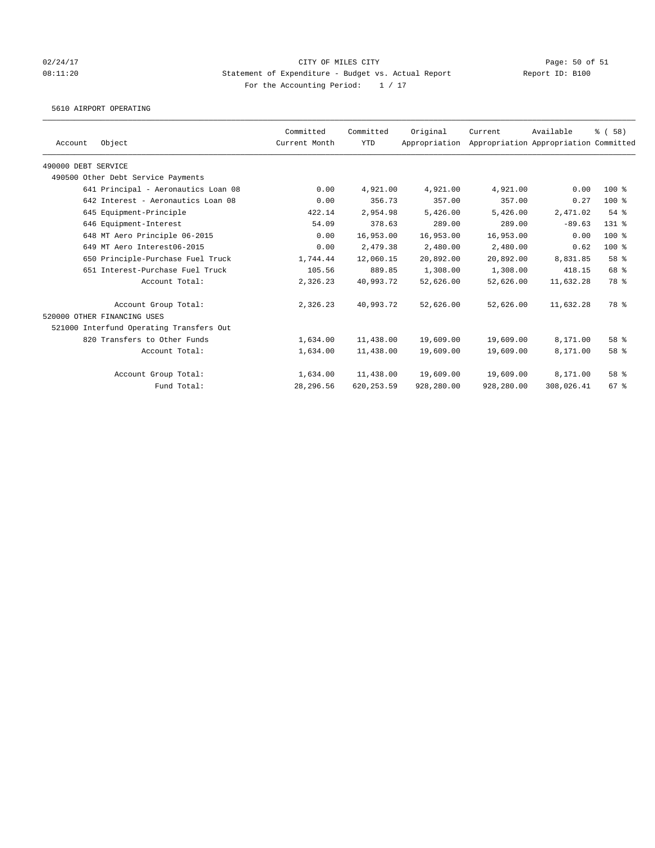### 02/24/17 Page: 50 of 51 08:11:20 Statement of Expenditure - Budget vs. Actual Report Report ID: B100 For the Accounting Period:  $1 / 17$

5610 AIRPORT OPERATING

|                     |                                          | Committed     | Committed   | Original      | Current    | Available                             | % (58)             |
|---------------------|------------------------------------------|---------------|-------------|---------------|------------|---------------------------------------|--------------------|
| Account             | Object                                   | Current Month | <b>YTD</b>  | Appropriation |            | Appropriation Appropriation Committed |                    |
| 490000 DEBT SERVICE |                                          |               |             |               |            |                                       |                    |
|                     | 490500 Other Debt Service Payments       |               |             |               |            |                                       |                    |
|                     | 641 Principal - Aeronautics Loan 08      | 0.00          | 4,921.00    | 4,921.00      | 4,921.00   | 0.00                                  | $100*$             |
|                     | 642 Interest - Aeronautics Loan 08       | 0.00          | 356.73      | 357.00        | 357.00     | 0.27                                  | $100*$             |
|                     | 645 Equipment-Principle                  | 422.14        | 2,954.98    | 5,426.00      | 5,426.00   | 2,471.02                              | $54$ $%$           |
|                     | 646 Equipment-Interest                   | 54.09         | 378.63      | 289.00        | 289.00     | $-89.63$                              | $131$ $%$          |
|                     | 648 MT Aero Principle 06-2015            | 0.00          | 16,953.00   | 16,953.00     | 16,953.00  | 0.00                                  | $100$ %            |
|                     | 649 MT Aero Interest06-2015              | 0.00          | 2,479.38    | 2,480.00      | 2,480.00   | 0.62                                  | $100$ %            |
|                     | 650 Principle-Purchase Fuel Truck        | 1,744.44      | 12,060.15   | 20,892.00     | 20,892.00  | 8,831.85                              | 58 %               |
|                     | 651 Interest-Purchase Fuel Truck         | 105.56        | 889.85      | 1,308.00      | 1,308.00   | 418.15                                | 68 %               |
|                     | Account Total:                           | 2,326.23      | 40,993.72   | 52,626.00     | 52,626.00  | 11,632.28                             | 78 %               |
|                     | Account Group Total:                     | 2,326.23      | 40,993.72   | 52,626.00     | 52,626.00  | 11,632.28                             | 78 %               |
|                     | 520000 OTHER FINANCING USES              |               |             |               |            |                                       |                    |
|                     | 521000 Interfund Operating Transfers Out |               |             |               |            |                                       |                    |
|                     | 820 Transfers to Other Funds             | 1,634.00      | 11,438.00   | 19,609.00     | 19,609.00  | 8,171.00                              | 58 <sup>8</sup>    |
|                     | Account Total:                           | 1,634.00      | 11,438.00   | 19,609.00     | 19,609.00  | 8,171.00                              | 58 %               |
|                     | Account Group Total:                     | 1,634.00      | 11,438.00   | 19,609.00     | 19,609.00  | 8,171.00                              | 58 <sup>8</sup>    |
|                     | Fund Total:                              | 28,296.56     | 620, 253.59 | 928,280.00    | 928,280.00 | 308,026.41                            | $67$ $\frac{6}{3}$ |